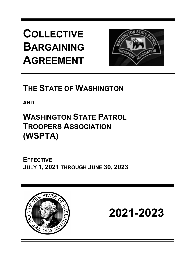**COLLECTIVE BARGAINING AGREEMENT**



# **THE STATE OF WASHINGTON**

**AND**

# **WASHINGTON STATE PATROL TROOPERS ASSOCIATION (WSPTA)**

**EFFECTIVE JULY 1, 2021 THROUGH JUNE 30, 2023**



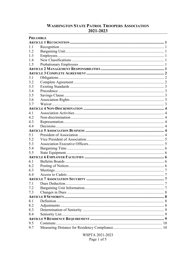# **WASHINGTON STATE PATROL TROOPERS ASSOCIATION** 2021-2023

| <b>PREAMBLE</b> |  |
|-----------------|--|
|                 |  |
| 1.1             |  |
| 1.2             |  |
| 1.3             |  |
| 1.4             |  |
| 1.5             |  |
|                 |  |
|                 |  |
| 3.1             |  |
| 3.2             |  |
| 3.3             |  |
| 3.4             |  |
| 3.5             |  |
| 3.6             |  |
| 3.7             |  |
|                 |  |
| 4.1             |  |
| 4.2             |  |
| 4.3             |  |
| 44              |  |
|                 |  |
| 5.1             |  |
| 5.2             |  |
| 5.3             |  |
| 5.4             |  |
| 5.5             |  |
|                 |  |
| 6.1             |  |
| 6.2             |  |
| 6.3             |  |
| 6.4             |  |
|                 |  |
| 7.1             |  |
| 7.2             |  |
| 7.3             |  |
|                 |  |
| 8.1             |  |
| 8.2             |  |
| 8.3             |  |
| 8.4             |  |
|                 |  |
| 9.5             |  |
| 9.7             |  |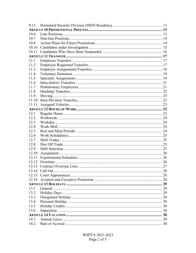| 9.13  |    |
|-------|----|
|       |    |
| 10.6  |    |
| 10.7  |    |
| 10.8  |    |
| 10.10 |    |
| 10.11 |    |
|       |    |
| 11.1  |    |
| 11.2  |    |
| 11.3  |    |
| 11.4  |    |
| 11.5  |    |
| 11.6  |    |
| 11.7  |    |
| 11.8  |    |
| 11.9  |    |
| 11.10 |    |
| 11.11 |    |
|       |    |
| 12.1  |    |
| 12.2  |    |
| 12.3  |    |
| 12.4  |    |
| 12.5  |    |
| 12.6  |    |
| 12.7  |    |
| 12.8  |    |
| 12.9  |    |
| 12.10 |    |
| 12.11 |    |
| 12.12 |    |
|       | 27 |
|       |    |
| 12.15 |    |
|       |    |
|       |    |
| 13.1  |    |
| 13.2  |    |
| 13.3  |    |
| 13.4  |    |
| 13.5  |    |
| 13.6  |    |
|       |    |
| 14.1  |    |
|       |    |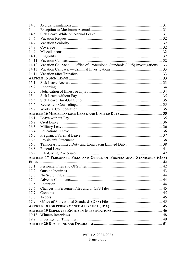| 14.3  |                                                                               |  |
|-------|-------------------------------------------------------------------------------|--|
| 14.4  |                                                                               |  |
| 14.5  |                                                                               |  |
| 14.6  |                                                                               |  |
| 14.7  |                                                                               |  |
| 14.8  |                                                                               |  |
| 14.9  |                                                                               |  |
| 14.10 |                                                                               |  |
| 14.11 |                                                                               |  |
| 14.12 | Vacation Callback — Office of Professional Standards (OPS) Investigations  33 |  |
| 14.13 |                                                                               |  |
| 14.14 |                                                                               |  |
|       |                                                                               |  |
| 15.1  |                                                                               |  |
| 15.2  |                                                                               |  |
| 15.3  |                                                                               |  |
| 15.4  |                                                                               |  |
| 15.5  |                                                                               |  |
| 15.6  |                                                                               |  |
| 15.7  |                                                                               |  |
|       |                                                                               |  |
| 16.1  |                                                                               |  |
| 16.2  |                                                                               |  |
| 16.3  |                                                                               |  |
| 16.4  |                                                                               |  |
| 16.5  |                                                                               |  |
| 16.6  |                                                                               |  |
| 16.7  |                                                                               |  |
| 16.8  |                                                                               |  |
| 16.9  |                                                                               |  |
|       | ARTICLE 17 PERSONNEL FILES AND OFFICE OF PROFESSIONAL STANDARDS (OPS)         |  |
|       |                                                                               |  |
|       |                                                                               |  |
| 17.2  |                                                                               |  |
| 17.3  |                                                                               |  |
| 17.4  |                                                                               |  |
| 17.5  |                                                                               |  |
| 17.6  |                                                                               |  |
| 17.7  |                                                                               |  |
| 17.8  |                                                                               |  |
| 17.9  |                                                                               |  |
|       |                                                                               |  |
|       |                                                                               |  |
| 19.13 |                                                                               |  |
| 19.2  |                                                                               |  |
|       |                                                                               |  |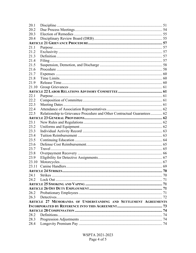| 20.1  |                                                                         |  |
|-------|-------------------------------------------------------------------------|--|
| 20.2  |                                                                         |  |
| 20.3  |                                                                         |  |
| 20.4  |                                                                         |  |
|       |                                                                         |  |
| 21.1  |                                                                         |  |
| 21.2  |                                                                         |  |
| 21.3  |                                                                         |  |
| 21.4  |                                                                         |  |
| 21.5  |                                                                         |  |
| 21.6  |                                                                         |  |
| 21.7  |                                                                         |  |
| 21.8  |                                                                         |  |
| 21.9  |                                                                         |  |
| 21.10 |                                                                         |  |
|       |                                                                         |  |
| 22.1  |                                                                         |  |
| 22.2  |                                                                         |  |
| 22.3  |                                                                         |  |
| 22.4  |                                                                         |  |
| 22.5  | Relationship to Grievance Procedure and Other Contractual Guarantees 62 |  |
|       |                                                                         |  |
| 23.1  |                                                                         |  |
| 23.2  |                                                                         |  |
| 23.3  |                                                                         |  |
| 23.4  |                                                                         |  |
| 23.5  |                                                                         |  |
| 23.6  |                                                                         |  |
| 23.7  |                                                                         |  |
| 23.8  |                                                                         |  |
| 23.9  |                                                                         |  |
| 23.10 |                                                                         |  |
| 23.11 |                                                                         |  |
|       |                                                                         |  |
| 24.1  |                                                                         |  |
| 24.2  |                                                                         |  |
|       |                                                                         |  |
|       |                                                                         |  |
| 26.2  |                                                                         |  |
| 26.3  |                                                                         |  |
|       | ARTICLE 27 MEMORANDA OF UNDERSTANDING AND SETTLEMENT AGREEMENTS         |  |
|       |                                                                         |  |
|       |                                                                         |  |
| 28.2  |                                                                         |  |
| 28.3  |                                                                         |  |
| 28.4  |                                                                         |  |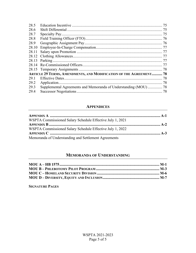| 28.5  |                                                                    |  |
|-------|--------------------------------------------------------------------|--|
| 28.6  |                                                                    |  |
| 28.7  |                                                                    |  |
| 28.8  |                                                                    |  |
| 28.9  |                                                                    |  |
| 28.10 |                                                                    |  |
| 28.11 |                                                                    |  |
|       |                                                                    |  |
|       |                                                                    |  |
|       |                                                                    |  |
|       |                                                                    |  |
|       | ARTICLE 29 TERMS, AMENDMENTS, AND MODIFICATION OF THE AGREEMENT 78 |  |
| 29.1  |                                                                    |  |
| 29.2  |                                                                    |  |
| 29.3  |                                                                    |  |
| 29.4  |                                                                    |  |

# **APPENDICES**

| WSPTA Commissioned Salary Schedule Effective July 1, 2021 |  |
|-----------------------------------------------------------|--|
|                                                           |  |
| WSPTA Commissioned Salary Schedule Effective July 1, 2022 |  |
|                                                           |  |
| Memoranda of Understanding and Settlement Agreements      |  |

# **MEMORANDA OF UNDERSTANDING**

**SIGNATURE PAGES**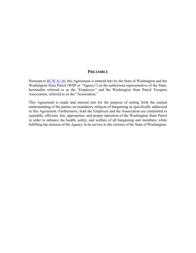#### **PREAMBLE**

<span id="page-7-0"></span>Pursuant to [RCW 41.56,](http://apps.leg.wa.gov/RCW/default.aspx?cite=41.56) this Agreement is entered into by the State of Washington and the Washington State Patrol (WSP or "Agency") as the authorized representative of the State, hereinafter referred to as the "Employer," and the Washington State Patrol Troopers Association, referred to as the "Association."

This Agreement is made and entered into for the purpose of setting forth the mutual understanding of the parties on mandatory subjects of bargaining as specifically addressed in this Agreement. Furthermore, both the Employer and the Association are committed to equitable, efficient, fair, appropriate, and proper operation of the Washington State Patrol in order to enhance the health, safety, and welfare of all bargaining unit members, while fulfilling the mission of the Agency in its service to the citizens of the State of Washington.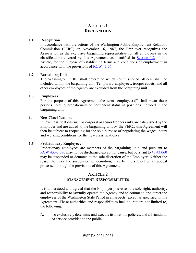# **ARTICLE 1 RECOGNITION**

#### <span id="page-8-1"></span><span id="page-8-0"></span>**1.1 Recognition**

In accordance with the actions of the Washington Public Employment Relations Commission (PERC) on November 16, 1987, the Employer recognizes the Association as the exclusive bargaining representative for all employees in the classifications covered by this Agreement, as identified in [Section 1.2](#page-8-2) of this Article, for the purpose of establishing terms and conditions of employment in accordance with the provisions of [RCW 41.56.](http://apps.leg.wa.gov/RCW/default.aspx?cite=41.56)

#### <span id="page-8-2"></span>**1.2 Bargaining Unit**

The Washington PERC shall determine which commissioned officers shall be included within the bargaining unit. Temporary employees, trooper cadets, and all other employees of the Agency are excluded from the bargaining unit.

#### <span id="page-8-3"></span>**1.3 Employees**

For the purpose of this Agreement, the term "employee(s)" shall mean those persons holding probationary or permanent status in positions included in the bargaining unit.

#### <span id="page-8-4"></span>**1.4 New Classifications**

If new classifications such as corporal or senior trooper ranks are established by the Employer and are added to the bargaining unit by the PERC, this Agreement will then be subject to reopening for the sole purpose of negotiating the wages, hours and working conditions for the new classification(s).

#### <span id="page-8-5"></span>**1.5 Probationary Employees**

Probationary employees are members of the bargaining unit, and pursuant to [RCW 43.43.070](http://apps.leg.wa.gov/RCW/default.aspx?cite=43.43.070) may not be discharged except for cause, but pursuant to [43.43.060](http://apps.leg.wa.gov/RCW/default.aspx?cite=43.43.060) may be suspended or demoted at the sole discretion of the Employer. Neither the reason for, nor the suspension or demotion, may be the subject of an appeal processed through the provisions of this Agreement.

# **ARTICLE 2 MANAGEMENT RESPONSIBILITIES**

<span id="page-8-6"></span>It is understood and agreed that the Employer possesses the sole right, authority, and responsibility to lawfully operate the Agency and to command and direct the employees of the Washington State Patrol in all aspects, except as specified in this Agreement. These authorities and responsibilities include, but are not limited to, the following:

A. To exclusively determine and execute its mission, policies, and all standards of service provided to the public;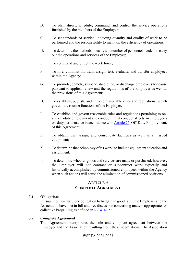- B. To plan, direct, schedule, command, and control the service operations furnished by the members of the Employer;
- C. To set standards of service, including quantity and quality of work to be performed and the responsibility to maintain the efficiency of operations;
- D. To determine the methods, means, and number of personnel needed to carry out the operations and services of the Employer;
- E. To command and direct the work force;
- F. To hire, commission, train, assign, test, evaluate, and transfer employees within the Agency;
- G. To promote, demote, suspend, discipline, or discharge employees for cause pursuant to applicable law and the regulations of the Employer as well as the provisions of this Agreement;
- H. To establish, publish, and enforce reasonable rules and regulations, which govern the routine functions of the Employer;
- I. To establish and govern reasonable rules and regulations pertaining to onand off-duty employment and conduct if that conduct affects an employee's on-duty performance in accordance wit[h Article 26,](#page-78-2) Off-Duty Employment, of this Agreement;
- J. To obtain, use, assign, and consolidate facilities as well as all issued equipment;
- K. To determine the technology of its work, to include equipment selection and assignment;
- L. To determine whether goods and services are made or purchased; however, the Employer will not contract or subcontract work typically and historically accomplished by commissioned employees within the Agency when such actions will cause the elimination of commissioned positions.

# **ARTICLE 3 COMPLETE AGREEMENT**

#### <span id="page-9-1"></span><span id="page-9-0"></span>**3.1 Obligations**

Pursuant to their statutory obligation to bargain in good faith, the Employer and the Association have met in full and free discussion concerning matters appropriate for collective bargaining as defined in [RCW 41.56.](http://apps.leg.wa.gov/RCW/default.aspx?cite=41.56)

## <span id="page-9-2"></span>**3.2 Complete Agreement**

This Agreement incorporates the sole and complete agreement between the Employer and the Association resulting from these negotiations. The Association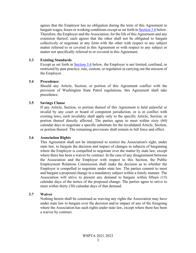agrees that the Employer has no obligation during the term of this Agreement to bargain wages, hours or working conditions except as set forth in [Section 3.6 b](#page-10-3)elow. Therefore, the Employer and the Association, for the life of this Agreement and any extension thereof, each agrees that the other shall not be obligated to bargain collectively or negotiate in any form with the other with respect to any subject matter referred to or covered in this Agreement or with respect to any subject or matter not specifically referred to or covered in this Agreement.

#### <span id="page-10-0"></span>**3.3 Existing Standards**

Except as set forth in **Section 3.6** below, the Employer is not limited, confined, or restricted by past practice, rule, custom, or regulation in carrying out the mission of the Employer.

#### <span id="page-10-1"></span>**3.4 Precedence**

Should any Article, Section, or portion of this Agreement conflict with the provision of Washington State Patrol regulations, this Agreement shall take precedence.

#### <span id="page-10-2"></span>**3.5 Savings Clause**

If any Article, Section, or portion thereof of this Agreement is held unlawful or invalid by any court or board of competent jurisdiction, or is in conflict with existing laws, such invalidity shall apply only to the specific Article, Section, or portion thereof directly affected. The parties agree to meet within sixty (60) calendar days to negotiate a specific substitute for the invalidated Article, Section, or portion thereof. The remaining provisions shall remain in full force and effect.

#### <span id="page-10-3"></span>**3.6 Association Rights**

This Agreement shall not be interpreted to restrict the Association's right, under state law, to bargain the decision and impact of changes in subjects of bargaining where the Employer is compelled to negotiate over the matter by state law, except where there has been a waiver by contract. In the case of any disagreement between the Association and the Employer with respect to this Section, the Public Employment Relations Commission shall make the decision as to whether the Employer is compelled to negotiate under state law. The parties commit to meet and bargain a proposed change in a mandatory subject within a timely manner. The Association will strive to present any demand to bargain within fifteen (15) calendar days of the notice of the proposed change. The parties agree to strive to meet within thirty (30) calendar days of that demand.

#### <span id="page-10-4"></span>**3.7 Waiver**

Nothing herein shall be construed as waiving any rights the Association may have under state law to bargain over the decision and/or impact of any of the foregoing where the Association has such rights under state law, except where there has been a waiver by contract.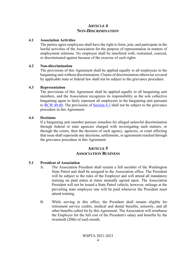# **ARTICLE 4 NON-DISCRIMINATION**

#### <span id="page-11-1"></span><span id="page-11-0"></span>**4.1 Association Activities**

The parties agree employees shall have the right to form, join, and participate in the lawful activities of the Association for the purpose of representation in matters of employment relations. No employee shall be interfered with, restrained, coerced, or discriminated against because of the exercise of such rights.

#### <span id="page-11-2"></span>**4.2 Non-discrimination**

The provisions of this Agreement shall be applied equally to all employees in the bargaining unit without discrimination. Claims of discrimination otherwise covered by applicable state or federal law shall not be subject to the grievance procedure.

#### <span id="page-11-3"></span>**4.3 Representation**

The provisions of this Agreement shall be applied equally to all bargaining unit members, and the Association recognizes its responsibility as the sole collective bargaining agent to fairly represent all employees in the bargaining unit pursuant to [RCW 49.60.](http://apps.leg.wa.gov/RCW/default.aspx?cite=49.60) The provisions of [Section 4.3](#page-11-3) shall not be subject to the grievance procedure in this Agreement.

#### <span id="page-11-4"></span>**4.4 Decisions**

If a bargaining unit member pursues remedies for alleged unlawful discrimination through federal or state agencies charged with investigating such matters, or through the courts, then the decision of such agency, agencies, or court affecting that issue shall supersede any decisions, settlements, or agreements reached through the grievance procedure in this Agreement.

# **ARTICLE 5 ASSOCIATION BUSINESS**

## <span id="page-11-6"></span><span id="page-11-5"></span>**5.1 President of Association**

- A. The Association President shall remain a full member of the Washington State Patrol and shall be assigned to the Association office. The President will be subject to the rules of the Employer and will attend all mandatory training on paid status at times mutually agreed upon. The Association President will not be issued a State Patrol vehicle; however, mileage at the prevailing state employee rate will be paid whenever the President must attend training.
- B. While serving in this office, the President shall remain eligible for retirement service credits, medical and dental benefits, seniority, and all other benefits called for by this Agreement. The Association will reimburse the Employer for the full cost of the President's salary and benefits by the twentieth (20th) of each month.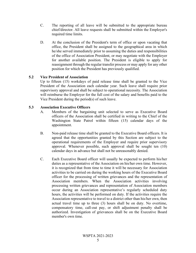- C. The reporting of all leave will be submitted to the appropriate bureau chief/director. All leave requests shall be submitted within the Employer's required time limits.
- D. At the conclusion of the President's term of office or upon vacating that office, the President shall be assigned to the geographical area in which he/she served immediately prior to assuming the duties and responsibilities of the office of Association President, or may negotiate with the Employer for another available position. The President is eligible to apply for reassignment through the regular transfer process or may apply for any other position for which the President has previously qualified.

# <span id="page-12-0"></span>**5.2 Vice President of Association**

Up to fifteen (15) workdays of paid release time shall be granted to the Vice President of the Association each calendar year. Such leave shall require prior supervisory approval and shall be subject to operational necessity. The Association will reimburse the Employer for the full cost of the salary and benefits paid to the Vice President during the period(s) of such leave.

# <span id="page-12-1"></span>**5.3 Association Executive Officers**

- A. Members of the bargaining unit selected to serve as Executive Board officers of the Association shall be certified in writing to the Chief of the Washington State Patrol within fifteen (15) calendar days of the appointment.
- B. Non-paid release time shall be granted to the Executive Board officers. It is agreed that the opportunities granted by this Section are subject to the operational requirements of the Employer and require prior supervisory approval. Whenever possible, such approval shall be sought ten (10) calendar days in advance but shall not be unreasonably denied.
- C. Each Executive Board officer will usually be expected to perform his/her duties as a representative of the Association on his/her own time. However, it is recognized that from time to time it will be necessary for Association activities to be carried on during the working hours of the Executive Board officer for the processing of written grievances and the representation of Association members. When the Association activities involving processing written grievances and representation of Association members occur during an Association representative's regularly scheduled duty hours, the activities will be performed on duty. If the activities require the Association representative to travel to a district other than his/her own, then actual travel time up to three (3) hours shall be on duty. No overtime, compensatory time, call-out pay, or shift adjustment penalty shall be authorized. Investigation of grievances shall be on the Executive Board member's own time.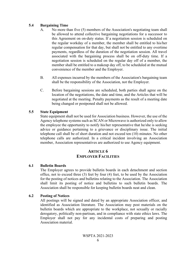## <span id="page-13-0"></span>**5.4 Bargaining Time**

- A. No more than five (5) members of the Association's negotiating team shall be allowed to attend collective bargaining negotiations for a successor to this Agreement on on-duty status. If a negotiation session is scheduled on the regular workday of a member, the member shall be entitled to his/her regular compensation for that day, but shall not be entitled to any overtime payments, regardless of the duration of the negotiation session. All travel associated with the bargaining process shall be on off-duty time. If a negotiation session is scheduled on the regular day off of a member, the member shall be entitled to a makeup day off, to be scheduled at the mutual convenience of the member and the Employer.
- B. All expenses incurred by the members of the Association's bargaining team shall be the responsibility of the Association, not the Employer.
- C. Before bargaining sessions are scheduled, both parties shall agree on the location of the negotiations, the date and time, and the Articles that will be negotiated at the meeting. Penalty payments as the result of a meeting date being changed or postponed shall not be allowed.

# <span id="page-13-1"></span>**5.5 State Equipment**

State equipment shall not be used for Association business. However, the use of the Agency telephone systems such as SCAN or Microwave is authorized only to allow the employee the opportunity to notify his/her representative that he/she is seeking advice or guidance pertaining to a grievance or disciplinary issue. The initial telephone call shall be of short duration and not exceed ten (10) minutes. No other telephone calls are authorized. In a critical incident involving an Association member, Association representatives are authorized to use Agency equipment.

# **ARTICLE 6 EMPLOYER FACILITIES**

# <span id="page-13-3"></span><span id="page-13-2"></span>**6.1 Bulletin Boards**

The Employer agrees to provide bulletin boards in each detachment and section office, not to exceed three (3) feet by four (4) feet, to be used by the Association for the posting of notices and bulletins relating to the Association. The Association shall limit its posting of notice and bulletins to such bulletin boards. The Association shall be responsible for keeping bulletin boards neat and clean.

## <span id="page-13-4"></span>**6.2 Posting of Notices**

All postings will be signed and dated by an appropriate Association officer, and identified as Association literature. The Association may post materials on the bulletin boards which are appropriate to the workplace, not sexually or racially derogatory, politically non-partisan, and in compliance with state ethics laws. The Employer shall not pay for any incidental costs of preparing and posting Association material.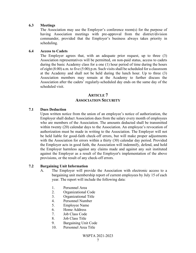#### <span id="page-14-0"></span>**6.3 Meetings**

The Association may use the Employer's conference room(s) for the purpose of having Association meetings with pre-approval from the district/division commander, provided that the Employer's business always takes priority in scheduling.

#### <span id="page-14-1"></span>**6.4 Access to Cadets**

The Employer agrees that, with an adequate prior request, up to three (3) Association representatives will be permitted, on non-paid status, access to cadets during the basic Academy class for a one (1) hour period of time during the hours of eight (8:00) a.m. to five (5:00) p.m. Such visits shall be scheduled for a classroom at the Academy and shall not be held during the lunch hour. Up to three (3) Association members may remain at the Academy to further discuss the Association after the cadets' regularly-scheduled day ends on the same day of the scheduled visit.

# **ARTICLE 7 ASSOCIATION SECURITY**

#### <span id="page-14-3"></span><span id="page-14-2"></span>**7.1 Dues Deduction**

Upon written notice from the union of an employee's notice of authorization, the Employer shall deduct Association dues from the salary every month of employees who are members of the Association. The amounts deducted shall be transmitted within twenty (20) calendar days to the Association. An employee's revocation of authorization must be made in writing to the Association. The Employer will not be held liable for good-faith check-off errors, but will make proper adjustments with the Association for errors within a thirty (30) calendar day period. Provided the Employer acts in good faith, the Association will indemnify, defend, and hold the Employer harmless against any claims made and against any suit instituted against the Employer as a result of the Employer's implementation of the above provisions, or the result of any check-off errors.

## <span id="page-14-4"></span>**7.2 Bargaining Unit Information**

- A. The Employer will provide the Association with electronic access to a bargaining unit membership report of current employees by July 15 of each year. The report will include the following data:
	- 1. Personnel Area
	- 2. Organizational Code
	- 3. Organizational Title
	- 4. Personnel Number
	- 5. Employee Name
	- 6. Home Address
	- 7. Job Class Code
	- 8. Job Class Title
	- 9. Bargaining Unit Code
	- 10. Personnel Area Title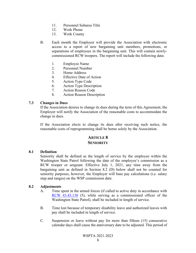- 11. Personnel Subarea Title
- 12. Work Phone
- 13. Work County
- B. Each month the Employer will provide the Association with electronic access to a report of new bargaining unit members, promotions, or separations of employees in the bargaining unit. This will contain newlycommissioned RCW troopers. The report will include the following data:
	- 1. Employee Name
	- 2. Personnel Number
	- 3. Home Address
	- 4. Effective Date of Action
	- 5. Action Type Code
	- 6. Action Type Description
	- 7. Action Reason Code
	- 8. Action Reason Description

#### <span id="page-15-0"></span>**7.3 Changes in Dues**

If the Association desires to change its dues during the term of this Agreement, the Employer will notify the Association of the reasonable costs to accommodate the change in dues.

If the Association elects to change its dues after receiving such notice, the reasonable costs of reprogramming shall be borne solely by the Association.

# **ARTICLE 8 SENIORITY**

#### <span id="page-15-2"></span><span id="page-15-1"></span>**8.1 Definition**

Seniority shall be defined as the length of service by the employee within the Washington State Patrol following the date of the employee's commission as a RCW trooper or sergeant. Effective July 1, 2021, any time away from the bargaining unit as defined in Section 8.2 (D) below shall not be counted for seniority purposes, however, the Employer will base pay calculations (i.e. salary step and ranges) on the WSP commission date.

#### <span id="page-15-3"></span>**8.2 Adjustments**

- A. Time spent in the armed forces (if called to active duty in accordance with [RCW 43.43.130](http://apps.leg.wa.gov/RCW/default.aspx?cite=43.43.130) (5), while serving as a commissioned officer of the Washington State Patrol), shall be included in length of service.
- B. Time lost because of temporary disability leave and authorized leaves with pay shall be included in length of service.
- C. Suspension or leave without pay for more than fifteen (15) consecutive calendar days shall cause the anniversary date to be adjusted. This period of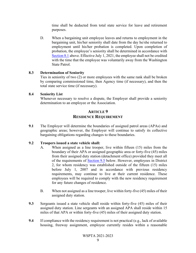time shall be deducted from total state service for leave and retirement purposes.

D. When a bargaining unit employee leaves and returns to employment in the bargaining unit, his/her seniority shall date from the day he/she returned to employment until his/her probation is completed. Upon completion of probation, the employee's seniority shall be determined in accordance with [Section 8.1 a](#page-15-2)bove. Effective July 1, 2021, the employee shall not be credited with the time that the employee was voluntarily away from the Washington State Patrol.

## <span id="page-16-0"></span>**8.3 Determination of Seniority**

Ties in seniority of two (2) or more employees with the same rank shall be broken by comparing commissioned time, then Agency time (if necessary), and then the total state service time (if necessary).

#### <span id="page-16-1"></span>**8.4 Seniority List**

Whenever necessary to resolve a dispute, the Employer shall provide a seniority determination to an employee or the Association.

# **ARTICLE 9 RESIDENCE REQUIREMENT**

<span id="page-16-2"></span>**9.1** The Employer will determine the boundaries of assigned patrol areas (APAs) and geographic areas; however, the Employer will continue to satisfy its collective bargaining obligations regarding changes to these boundaries.

## **9.2 Troopers issued a state vehicle shall:**

- A. When assigned as a line trooper, live within fifteen (15) miles from the boundary of their APA or assigned geographic area or forty-five (45) miles from their assigned duty station (detachment office) provided they meet all of the requirements of [Section 9.5](#page-17-0) below. However, employees in District 2, for whom residency was established outside of the fifteen (15) miles before July 1, 2007 and in accordance with previous residency requirements, may continue to live at their current residence. These employees will be required to comply with the new residency requirement for any future changes of residence.
- B. When not assigned as a line trooper, live within forty-five (45) miles of their assigned duty station.
- **9.3** Sergeants issued a state vehicle shall reside within forty-five (45) miles of their assigned duty station. Line sergeants with an assigned APA shall reside within 15 miles of that APA or within forty-five (45) miles of their assigned duty station.
- **9.4** If compliance with the residency requirement is not practical (e.g., lack of available housing, freeway assignment, employee currently resides within a reasonable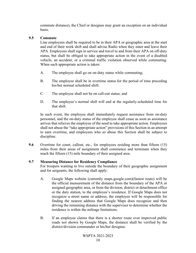commute distance), the Chief or designee may grant an exception on an individual basis.

#### <span id="page-17-0"></span>**9.5 Commute**

Line employees shall be required to be in their APA or geographic area at the start and end of their work shift and shall advise Radio when they enter and leave their APA. Employees shall sign in service and travel to and from their APA on off-duty status, but shall be obliged to take appropriate action in the event of a disabled vehicle, an accident, or a criminal traffic violation observed while commuting. When such appropriate action is taken:

- A. The employee shall go on on-duty status while commuting;
- B. The employee shall be in overtime status for the period of time preceding his/her normal scheduled shift;
- C. The employee shall not be on call-out status; and
- D. The employee's normal shift will end at the regularly-scheduled time for that shift.

In such event, the employee shall immediately request assistance from on-duty personnel, and the on-duty status of the employee shall cease as soon as assistance arrives that relieves the employee of the need to take appropriate action. Employees shall not abuse the "take appropriate action" provisions of this Section in an attempt to earn overtime, and employees who so abuse this Section shall be subject to discipline.

**9.6** Overtime for court, callout, etc., for employees residing more than fifteen (15) miles from their areas of assignment shall commence and terminate when they reach the fifteen (15) mile boundary of their assigned area.

## <span id="page-17-1"></span>**9.7 Measuring Distance for Residency Compliance**

For troopers wanting to live outside the boundary of their geographic assignment and for sergeants, the following shall apply:

- A. Google Maps website (currently maps.google.com)(fastest route) will be the official measurement of the distance from the boundary of the APA or assigned geographic area, or from the division, district or detachment office or the duty station, to the employee's residence. If Google Maps does not recognize a street name or address, the employee will be responsible for finding the nearest address that Google Maps does recognize and then driving the remaining distance with the supervisor to determine whether the residence is within the mileage limitations.
- B. If an employee claims that there is a shorter route over improved public roads not shown by Google Maps, the distance shall be verified by the district/division commander or his/her designee.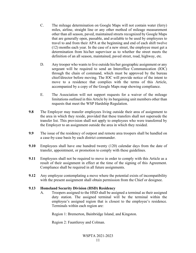- C. The mileage determination on Google Maps will not contain water (ferry) miles, airline, straight line or any other method of mileage measurement other than all season, paved, maintained streets recognized by Google Maps that are generally open, passable, and available to be used by employees to travel to and from their APA at the beginning and end of each shift twelve (12) months each year. In the case of a new street, the employee must get a determination from his/her supervisor as to whether the street meets the definition of an all season, maintained, paved street, road, highway, etc.
- D. Any trooper who wants to live outside his/her geographic assignment or any sergeant will be required to send an Interoffice Communication (IOC) through the chain of command, which must be approved by the bureau chief/director before moving. The IOC will provide notice of the intent to move to a residence that complies with the terms of this Article, accompanied by a copy of the Google Maps map showing compliance.
- E. The Association will not support requests for a waiver of the mileage limitations outlined in this Article by its bargaining unit members other than requests that meet the WSP Hardship Regulation.
- **9.8** The Employer may transfer employees living outside their area of assignment to the area in which they reside, provided that these transfers shall not supersede the transfer list. This provision shall not apply to employees who were transferred by the Employer to an assignment outside the area in which they resided.
- **9.9** The issue of the residency of outpost and remote area troopers shall be handled on a case-by-case basis by each district commander.
- **9.10** Employees shall have one hundred twenty (120) calendar days from the date of transfer, appointment, or promotion to comply with these guidelines.
- **9.11** Employees shall not be required to move in order to comply with this Article as a result of their assignment in effect at the time of the signing of this Agreement. Compliance shall be required in all future assignments.
- **9.12** Any employee contemplating a move where the potential exists of incompatibility with the present assignment shall obtain permission from the Chief or designee.

## <span id="page-18-0"></span>**9.13 Homeland Security Division (HSD) Residency**

A. Troopers assigned to the HSD shall be assigned a terminal as their assigned duty station. The assigned terminal will be the terminal within the employee's assigned region that is closest to the employee's residence. Terminals within each region are:

Region 1: Bremerton, Bainbridge Island, and Kingston.

Region 2: Fauntleroy and Colman.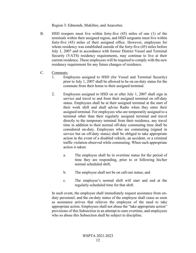Region 3: Edmonds, Mukilteo, and Anacortes.

- B. HSD troopers must live within forty-five (45) miles of one (1) of the terminals within their assigned region, and HSD sergeants must live within forty-five (45) miles of their assigned office. However, employees for whom residency was established outside of the forty-five (45) miles before July 1, 2007 and in accordance with former District Vessel and Terminal Security (VATS) residency requirements, may continue to live at their current residence. These employees will be required to comply with the new residency requirement for any future changes of residence.
- C. Commute:
	- 1. Employees assigned to HSD (for Vessel and Terminal Security) prior to July 1, 2007 shall be allowed to be on on-duty status for the commute from their home to their assigned terminal.
	- 2. Employees assigned to HSD on or after July 1, 2007 shall sign in service and travel to and from their assigned terminal on off-duty status. Employees shall be at their assigned terminal at the start of their work shift and shall advise Radio when they enter their assigned terminal. For employees who are temporarily assigned to a terminal other than their regularly assigned terminal and travel directly to the temporary terminal from their residence, any travel time in addition to their normal off-duty commuting time shall be considered on-duty. Employees who are commuting (signed in service but on off-duty status) shall be obliged to take appropriate action in the event of a disabled vehicle, an accident, or a criminal traffic violation observed while commuting. When such appropriate action is taken:
		- a. The employee shall be in overtime status for the period of time they are responding, prior to or following his/her normal scheduled shift;
		- b. The employee shall not be on call-out status; and
		- c. The employee's normal shift will start and end at the regularly-scheduled time for that shift.

In such event, the employee shall immediately request assistance from onduty personnel, and the on-duty status of the employee shall cease as soon as assistance arrives that relieves the employee of the need to take appropriate action. Employees shall not abuse the "take appropriate action" provisions of this Subsection in an attempt to earn overtime, and employees who so abuse this Subsection shall be subject to discipline.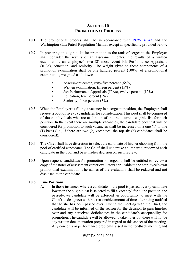# **ARTICLE 10 PROMOTIONAL PROCESS**

- <span id="page-20-0"></span>**10.1** The promotional process shall be in accordance with [RCW 43.43](http://apps.leg.wa.gov/RCW/default.aspx?cite=43.43) and the Washington State Patrol Regulation Manual, except as specifically provided below.
- **10.2** In preparing an eligible list for promotion to the rank of sergeant, the Employer shall consider the results of an assessment center, the results of a written examination, an employee's two (2) most recent Job Performance Appraisals (JPAs), education, and seniority. The weight given to these components of a promotion examination shall be one hundred percent (100%) of a promotional examination, weighted as follows:
	- Assessment center, sixty-five percent (65%)
	- Written examination, fifteen percent (15%)
	- Job Performance Appraisals (JPAs), twelve percent (12%)
	- Education, five percent  $(5%)$
	- Seniority, three percent  $(3%)$
- **10.3** When the Employer is filling a vacancy in a sergeant position, the Employer shall request a pool of five (5) candidates for consideration. This pool shall be composed of those individuals who are at the top of the then-current eligible list for such position. In the event there are multiple vacancies, the candidate pool that will be considered for promotion to such vacancies shall be increased on a one (1) to one (1) basis (i.e., if there are two (2) vacancies, the top six (6) candidates shall be considered).
- **10.4** The Chief shall have discretion to select the candidate of his/her choosing from the pool of certified candidates. The Chief shall undertake an impartial review of each candidate in the pool and base his/her decision on such review.
- **10.5** Upon request, candidates for promotion to sergeant shall be entitled to review a copy of the notes of assessment center evaluators applicable to the employee's own promotional examination. The names of the evaluators shall be redacted and not disclosed to the candidate.

#### <span id="page-20-1"></span>**10.6 Line Positions**

A. In those instances where a candidate in the pool is passed over (a candidate lower on the eligible list is selected to fill a vacancy) for a line position, the passed-over candidate will be afforded an opportunity to meet with the Chief (no designee) within a reasonable amount of time after being notified that he/she has been passed over. During the meeting with the Chief, the candidate will be informed of the reason for the decision to pass him/her over and any perceived deficiencies in the candidate's acceptability for promotion. The candidate will be allowed to take notes but there will not be any written documentation prepared in regard to this aspect of the meeting. Any concerns or performance problems raised in the feedback meeting and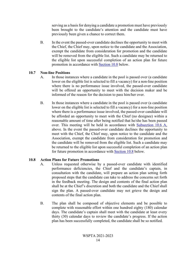serving as a basis for denying a candidate a promotion must have previously been brought to the candidate's attention and the candidate must have previously been given a chance to correct them.

B. In the event the passed-over candidate declines the opportunity to meet with the Chief, the Chief may, upon notice to the candidate and the Association, exempt the candidate from consideration for promotion and the candidate will be removed from the eligible list. Such a candidate may be returned to the eligible list upon successful completion of an action plan for future promotion in accordance with **Section 10.8** below.

#### <span id="page-21-0"></span>**10.7 Non-line Positions**

- A. In those instances where a candidate in the pool is passed over (a candidate lower on the eligible list is selected to fill a vacancy) for a non-line position where there is no performance issue involved, the passed-over candidate will be offered an opportunity to meet with the decision maker and be informed of the reason for the decision to pass him/her over.
- B. In those instances where a candidate in the pool is passed over (a candidate lower on the eligible list is selected to fill a vacancy) for a non-line position where there is a performance issue involved, the passed-over candidate will be afforded an opportunity to meet with the Chief (no designee) within a reasonable amount of time after being notified that he/she has been passed over. This meeting will be held in accordance with [Subsection 10.6 A,](#page-20-1) above. In the event the passed-over candidate declines the opportunity to meet with the Chief, the Chief may, upon notice to the candidate and the Association, exempt the candidate from consideration for promotion and the candidate will be removed from the eligible list. Such a candidate may be returned to the eligible list upon successful completion of an action plan for future promotion in accordance with [Section 10.8](#page-21-1) below.

## <span id="page-21-1"></span>**10.8 Action Plans for Future Promotions**

- A. Unless requested otherwise by a passed-over candidate with identified performance deficiencies, the Chief and the candidate's captain, in consultation with the candidate, will prepare an action plan setting forth proposed steps that the candidate can take to address the concerns set forth in the feedback meeting. The design and contents of the final action plan shall be at the Chief's discretion and both the candidate and the Chief shall sign the plan. A passed-over candidate may not grieve the design and contents of the final action plan.
- B. The plan shall be composed of objective elements and be possible to complete with reasonable effort within one hundred eighty (180) calendar days. The candidate's captain shall meet with the candidate at least every thirty (30) calendar days to review the candidate's progress. If the action plan has been successfully completed, the candidate shall be so notified.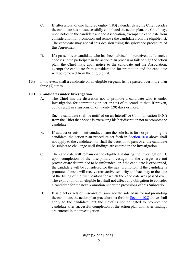- C. If, after a total of one hundred eighty (180) calendar days, the Chief decides the candidate has not successfully completed the action plan, the Chief may, upon notice to the candidate and the Association, exempt the candidate from consideration for promotion and remove the candidate from the eligible list. The candidate may appeal this decision using the grievance procedure of this Agreement.
- D. If a passed-over candidate who has been advised of perceived deficiencies chooses not to participate in the action plan process or fails to sign the action plan, the Chief may, upon notice to the candidate and the Association, exempt the candidate from consideration for promotion and the candidate will be removed from the eligible list.
- **10.9** In no event shall a candidate on an eligible sergeant list be passed over more than three (3) times.

# <span id="page-22-0"></span>**10.10 Candidates under Investigation**

A. The Chief has the discretion not to promote a candidate who is under investigation for committing an act or acts of misconduct that, if proven, could result in a suspension of twenty (20) days or more.

Such a candidate shall be notified on an Interoffice Communication (IOC) from the Chief that he/she is exercising his/her discretion not to promote the candidate.

- B. If said act or acts of misconduct is/are the sole basis for not promoting the candidate, the action plan procedure set forth in [Section 10.8](#page-21-1) above shall not apply to the candidate, nor shall the decision to pass over the candidate be subject to challenge until findings are entered in the investigation.
- C. The candidate will remain on the eligible list during the investigation. If, upon completion of the disciplinary investigation, the charges are not proven or are determined to be unfounded, or if the candidate is exonerated, the candidate will be considered for the next promotion. If the candidate is promoted, he/she will receive retroactive seniority and back pay to the date of the filling of the first position for which the candidate was passed over. The expiration of an eligible list shall not affect any obligation to consider a candidate for the next promotion under the provisions of this Subsection.
- D. If said act or acts of misconduct is/are not the sole basis for not promoting the candidate, the action plan procedure set forth in [Section 10.8](#page-21-1) above shall apply to the candidate, but the Chief is not obligated to promote the candidate after successful completion of the action plan until after findings are entered in the investigation.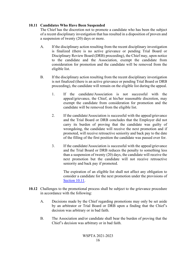## <span id="page-23-0"></span>**10.11 Candidates Who Have Been Suspended**

The Chief has the discretion not to promote a candidate who has been the subject of a recent disciplinary investigation that has resulted in a disposition of proven and a suspension of twenty (20) days or more.

- A. If the disciplinary action resulting from the recent disciplinary investigation is finalized (there is no active grievance or pending Trial Board or Disciplinary Review Board (DRB) proceeding), the Chief may, upon notice to the candidate and the Association, exempt the candidate from consideration for promotion and the candidate will be removed from the eligible list.
- B. If the disciplinary action resulting from the recent disciplinary investigation is not finalized (there is an active grievance or pending Trial Board or DRB proceeding), the candidate will remain on the eligible list during the appeal.
	- 1. If the candidate/Association is not successful with the appeal/grievance, the Chief, at his/her reasonable discretion, may exempt the candidate from consideration for promotion and the candidate will be removed from the eligible list.
	- 2. If the candidate/Association is successful with the appeal/grievance and the Trial Board or DRB concludes that the Employer did not carry its burden of proving that the candidate was guilty of wrongdoing, the candidate will receive the next promotion and if promoted, will receive retroactive seniority and back pay to the date of the filling of the first position the candidate was passed over for.
	- 3. If the candidate/Association is successful with the appeal/grievance and the Trial Board or DRB reduces the penalty to something less than a suspension of twenty (20) days, the candidate will receive the next promotion but the candidate will not receive retroactive seniority and back pay if promoted.

The expiration of an eligible list shall not affect any obligation to consider a candidate for the next promotion under the provisions of [Section 10.11.](#page-23-0)

- **10.12** Challenges to the promotional process shall be subject to the grievance procedure in accordance with the following:
	- A. Decisions made by the Chief regarding promotions may only be set aside by an arbitrator or Trial Board or DRB upon a finding that the Chief's decision was arbitrary or in bad faith.
	- B. The Association and/or candidate shall bear the burden of proving that the Chief's decision was arbitrary or in bad faith.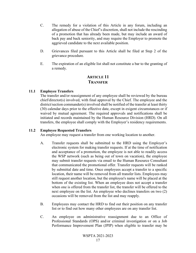- C. The remedy for a violation of this Article in any forum, including an allegation of abuse of the Chief's discretion, shall not include the rescinding of a promotion that has already been made, but may include an award of back pay and back seniority, and may require the Employer to promote the aggrieved candidate to the next available position.
- D. Grievances filed pursuant to this Article shall be filed at Step 2 of the grievance procedure.
- E. The expiration of an eligible list shall not constitute a bar to the granting of a remedy.

# **ARTICLE 11 TRANSFER**

# <span id="page-24-1"></span><span id="page-24-0"></span>**11.1 Employee Transfers**

The transfer and/or reassignment of any employee shall be reviewed by the bureau chief/director(s) involved, with final approval by the Chief. The employee and the district/section commander(s) involved shall be notified of the transfer at least thirty (30) calendar days prior to the effective date, except in exigent circumstances or if waived by mutual agreement. The required approvals and notifications shall be initiated and records maintained by the Human Resource Division (HRD). On all transfers, the employee shall comply with the Employer's residency requirements.

## <span id="page-24-2"></span>**11.2 Employee Requested Transfers**

An employee may request a transfer from one working location to another.

- A. Transfer requests shall be submitted to the HRD using the Employer's electronic system for making transfer requests. If at the time of notification and acceptance of a promotion, the employee is not able to readily access the WSP network (such as being out of town on vacation), the employee may submit transfer requests via email to the Human Resource Consultant that communicated the promotional offer. Transfer requests will be ranked by submittal date and time. Once employees accept a transfer to a specific location, their name will be removed from all transfer lists. Employees may still request another location, but the employee's name will be placed at the bottom of the existing list. When an employee does not accept a transfer when one is offered from the transfer list, the transfer will be offered to the next employee on the list. An employee who declines transfers on two (2) occasions will be removed from the list and may reapply.
- B. Employees may contact the HRD to find out their position on any transfer list or to find out how many other employees are on any transfer list.
- C. An employee on administrative reassignment due to an Office of Professional Standards (OPS) and/or criminal investigation or on a Job Performance Improvement Plan (JPIP) when eligible to transfer may be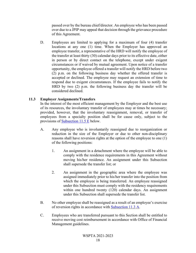passed over by the bureau chief/director. An employee who has been passed over due to a JPIP may appeal that decision through the grievance procedure of this Agreement.

D. Employees are limited to applying for a maximum of four (4) transfer locations at any one (1) time. When the Employer has approved an employee transfer, a representative of the HRD will notify the employee of the transfer at least thirty (30) calendar days prior to its effective date, either in person or by direct contact on the telephone, except under exigent circumstances or if waived by mutual agreement. Upon notice of a transfer opportunity, the employee offered a transfer will notify the HRD before two (2) p.m. on the following business day whether the offered transfer is accepted or declined. The employee may request an extension of time to respond due to exigent circumstances. If the employee fails to notify the HRD by two (2) p.m. the following business day the transfer will be considered declined.

# <span id="page-25-0"></span>**11.3 Employer Assignments/Transfers**

In the interest of the most efficient management by the Employer and the best use of its resources, the involuntary transfer of employees may at times be necessary; provided, however, that the involuntary reassignment, removal, or transfer of employees from a specialty position shall be for cause only, subject to the provisions of [Subsection 11.5 E](#page-26-1) below.

- A. Any employee who is involuntarily reassigned due to reorganization or reduction in the size of the Employer or due to other non-disciplinary reasons shall have reversion rights at the option of the employee to one (1) of the following positions:
	- 1. An assignment in a detachment where the employee will be able to comply with the residence requirements in this Agreement without moving his/her residence. An assignment under this Subsection shall supersede the transfer list; or
	- 2. An assignment in the geographic area where the employee was assigned immediately prior to his/her transfer into the position from which the employee is being transferred. An employee reassigned under this Subsection must comply with the residency requirements within one hundred twenty (120) calendar days. An assignment under this Subsection shall supersede the transfer list.
- B. No other employee shall be reassigned as a result of an employee's exercise of reversion rights in accordance with [Subsection 11.3 A.](#page-25-0)
- C. Employees who are transferred pursuant to this Section shall be entitled to receive moving cost reimbursement in accordance with Office of Financial Management guidelines.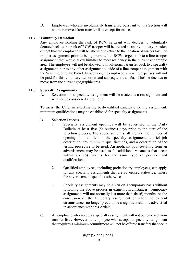D. Employees who are involuntarily transferred pursuant to this Section will not be removed from transfer lists except for cause.

## <span id="page-26-0"></span>**11.4 Voluntary Demotion**

Any employee holding the rank of RCW sergeant who decides to voluntarily demote back to the rank of RCW trooper will be treated as an involuntary transfer, except that the employee will be allowed to return to the location of his/her last line trooper assignment prior to being promoted to RCW sergeant or to a line trooper assignment that would allow him/her to meet residency in the current geographic area. The employee will not be allowed to involuntarily transfer back to a specialty assignment, nor to any other assignment outside of a line trooper assignment with the Washington State Patrol. In addition, the employee's moving expenses will not be paid for this voluntary demotion and subsequent transfer, if he/she decides to move from the current geographic area.

## <span id="page-26-1"></span>**11.5 Specialty Assignments**

A. Selection for a specialty assignment will be treated as a reassignment and will not be considered a promotion.

To assist the Chief in selecting the best-qualified candidate for the assignment, minimum qualifications may be established for specialty assignments.

- B. Selection Process
	- 1. Specialty assignment openings will be advertised in the Daily Bulletin at least five (5) business days prior to the start of the selection process. The advertisement shall include the number of openings to be filled in the specialty assignment, a brief job description, any minimum qualifications, and a description of the testing procedure to be used. An applicant pool resulting from an advertisement may be used to fill additional vacancies that occur within six (6) months for the same type of position and qualifications.
	- 2. Qualified employees, including probationary employees, can apply for any specialty assignments that are advertised statewide, unless the advertisement specifies otherwise.
	- 3. Specialty assignments may be given on a temporary basis without following the above process in exigent circumstances. Temporary assignments will not normally last more than six (6) months. At the conclusion of the temporary assignment or when the exigent circumstances no longer prevail, the assignment shall be advertised in accordance with this Article.
- C. An employee who accepts a specialty assignment will not be removed from transfer lists. However, an employee who accepts a specialty assignment that requires a minimum commitment will not be offered transfers that occur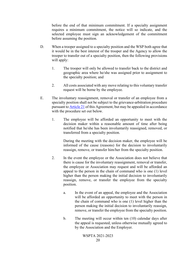before the end of that minimum commitment. If a specialty assignment requires a minimum commitment, the notice will so indicate, and the selected employee must sign an acknowledgement of the commitment before assuming the position.

- D. When a trooper assigned to a specialty position and the WSP both agree that it would be in the best interest of the trooper and the Agency to allow the trooper to transfer out of a specialty position, then the following provisions will apply:
	- 1. The trooper will only be allowed to transfer back to the district and geographic area where he/she was assigned prior to assignment to the specialty position; and
	- 2. All costs associated with any move relating to this voluntary transfer request will be borne by the employee.
- E. The involuntary reassignment, removal or transfer of an employee from a specialty position shall not be subject to the grievance-arbitration procedure pursuant to [Article 21](#page-64-0) of this Agreement, but may be appealed in accordance with the procedure set out below.
	- 1. The employee will be afforded an opportunity to meet with the decision maker within a reasonable amount of time after being notified that he/she has been involuntarily reassigned, removed, or transferred from a specialty position.

During the meeting with the decision maker, the employee will be informed of the cause (reasons) for the decision to involuntarily reassign, remove, or transfer him/her from the specialty position.

- 2. In the event the employee or the Association does not believe that there is cause for the involuntary reassignment, removal or transfer, the employee or Association may request and will be afforded an appeal to the person in the chain of command who is one (1) level higher than the person making the initial decision to involuntarily reassign, remove, or transfer the employee from the specialty position.
	- a. In the event of an appeal, the employee and the Association will be afforded an opportunity to meet with the person in the chain of command who is one (1) level higher than the person making the initial decision to involuntarily reassign, remove, or transfer the employee from the specialty position.
	- b. The meeting will occur within ten (10) calendar days after the appeal is requested, unless otherwise mutually agreed to by the Association and the Employer.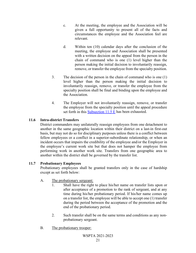- c. At the meeting, the employee and the Association will be given a full opportunity to present all of the facts and circumstances the employee and the Association feel are relevant.
- d. Within ten (10) calendar days after the conclusion of the meeting, the employee and Association shall be presented with a written decision on the appeal from the person in the chain of command who is one (1) level higher than the person making the initial decision to involuntarily reassign, remove, or transfer the employee from the specialty position.
- 3. The decision of the person in the chain of command who is one (1) level higher than the person making the initial decision to involuntarily reassign, remove, or transfer the employee from the specialty position shall be final and binding upon the employee and the Association.
- 4. The Employer will not involuntarily reassign, remove, or transfer the employee from the specialty position until the appeal procedure set forth in this [Subsection 11.5 E](#page-26-1) has been exhausted.

# <span id="page-28-0"></span>**11.6 Intra-district Transfers**

District commanders may unilaterally reassign employees from one detachment to another in the same geographic location within their district on a last-in first-out basis, but may not do so for disciplinary purposes unless there is a conflict between fellow employees or a conflict in a superior-subordinate relationship, or when an incident occurs that impairs the credibility of the employee and/or the Employer in the employee's current work site but that does not hamper the employee from performing work in another work site. Transfers from one geographic area to another within the district shall be governed by the transfer list.

## <span id="page-28-1"></span>**11.7 Probationary Employees**

Probationary employees shall be granted transfers only in the case of hardship except as set forth below:

# A. The probationary sergeant:

- Shall have the right to place his/her name on transfer lists upon or after acceptance of a promotion to the rank of sergeant, and at any time during his/her probationary period. If his/her name comes up on a transfer list, the employee will be able to accept one (1) transfer during the period between the acceptance of the promotion and the end of the probationary period.
- 2. Such transfer shall be on the same terms and conditions as any nonprobationary sergeant.
- B. The probationary trooper: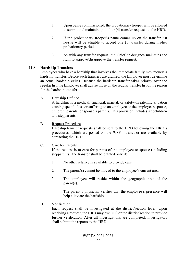- 1. Upon being commissioned, the probationary trooper will be allowed to submit and maintain up to four (4) transfer requests to the HRD.
- 2. If the probationary trooper's name comes up on the transfer list he/she will be eligible to accept one (1) transfer during his/her probationary period.
- 3. As with any transfer request, the Chief or designee maintains the right to approve/disapprove the transfer request.

# <span id="page-29-0"></span>**11.8 Hardship Transfers**

Employees who have a hardship that involves the immediate family may request a hardship transfer. Before such transfers are granted, the Employer must determine an actual hardship exists. Because the hardship transfer takes priority over the regular list, the Employer shall advise those on the regular transfer list of the reason for the hardship transfer.

A. Hardship Defined

A hardship is a medical, financial, marital, or safety-threatening situation causing specific loss or suffering to an employee or the employee's spouse, children, parents, or spouse's parents. This provision includes stepchildren and stepparents.

# B. Request Procedure

Hardship transfer requests shall be sent to the HRD following the HRD's procedures, which are posted on the WSP Intranet or are available by contacting the HRD.

# C. Care for Parents

If the request is to care for parents of the employee or spouse (including stepparents), the transfer shall be granted only if:

- 1. No other relative is available to provide care.
- 2. The parent(s) cannot be moved to the employee's current area.
- 3. The employee will reside within the geographic area of the parent(s).
- 4. The parent's physician verifies that the employee's presence will help alleviate the hardship.
- D. Verification

Each request shall be investigated at the district/section level. Upon receiving a request, the HRD may ask OPS or the district/section to provide further verification. After all investigations are completed, investigators shall submit the reports to the HRD.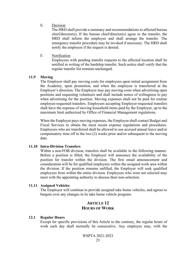#### E. Decision

The HRD shall provide a summary and recommendations to affected bureau chief/director(s). If the bureau chief/director(s) agree to the transfer, the HRD shall inform the employee and shall arrange the transfer. The emergency transfer procedure may be invoked if necessary. The HRD shall notify the employee if the request is denied.

#### F. Notification

Employees with pending transfer requests to the affected location shall be notified in writing of the hardship transfer. Such notice shall verify that the regular transfer list remains unchanged.

#### <span id="page-30-0"></span>**11.9 Moving**

The Employer shall pay moving costs for employees upon initial assignment from the Academy, upon promotion, and when the employee is transferred at the Employer's direction. The Employer may pay moving costs when advertising open positions and requesting volunteers and shall include notice of willingness to pay when advertising for the position. Moving expenses shall not be paid for routine employee-requested transfers. Employees accepting Employer-requested transfers shall have the expense of moving household items paid by the Employer, up to the maximum limit authorized by Office of Financial Management regulations.

When the Employer pays moving expenses, the Employee shall contact Budget and Fiscal Services to obtain the most recent expense regulations and procedures. Employees who are transferred shall be allowed to use accrued annual leave and/or compensatory time off in the two (2) weeks prior and/or subsequent to the moving date.

#### <span id="page-30-1"></span>**11.10 Intra-Division Transfers**

Within a non-FOB division, transfers shall be available in the following manner. Before a position is filled, the Employer will announce the availability of the position for transfer within the division. The first email announcement and consideration will be for qualified employees within the assigned work area within the division. If the position remains unfilled, the Employer will seek qualified employees from within the entire division. Employees who were not selected may meet with the appointing authority to discuss their non-selection.

#### <span id="page-30-2"></span>**11.11 Assigned Vehicles**

The Employer will continue to provide assigned take home vehicles, and agrees to bargain over any changes in its take home vehicle program.

# **ARTICLE 12 HOURS OF WORK**

#### <span id="page-30-4"></span><span id="page-30-3"></span>**12.1 Regular Hours**

Except for specific provisions of this Article to the contrary, the regular hours of work each day shall normally be consecutive. Any employee may, with the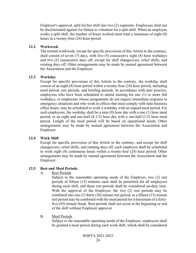Employer's approval, split his/her shift into two (2) segments. Employees shall not be discriminated against for failure to volunteer for a split shift. When an employee works a split shift, the number of hours worked must total a minimum of eight (8) hours in a twenty-four (24) hour period.

## <span id="page-31-0"></span>**12.2 Workweek**

The normal workweek, except for specific provisions of this Article to the contrary, shall consist of seven (7) days, with five (5) consecutive eight (8) hour workdays and two (2) consecutive days off, except for shift changeovers, relief shifts, and rotating days off. Other arrangements may be made by mutual agreement between the Association and the Employer.

# <span id="page-31-1"></span>**12.3 Workday**

Except for specific provisions of this Article to the contrary, the workday shall consist of an eight (8) hour period within a twenty-four (24) hour period, including meal period, rest periods, and briefing periods. In accordance with past practice, employees who have been scheduled to attend training for one (1) or more full workdays, or employees whose assignments do not require immediate response to emergency situations and who work in offices that must comply with state business office hours, may be scheduled to work a workday with an unpaid meal period. For such employees, the workday shall be a nine (9) hour day with a one (1) hour meal period, or an eight and one-half (8-1/2) hour day with a one-half (1/2) hour meal period. Length of the meal period will be based on operational needs. Other arrangements may be made by mutual agreement between the Association and Employer.

## <span id="page-31-2"></span>**12.4 Work Shift**

Except for specific provisions of this Article to the contrary, and except for shift changeovers, relief shifts, and rotating days off, each employee shall be scheduled to work eight (8) continuous hours within a twenty-four (24) hour period. Other arrangements may be made by mutual agreement between the Association and the Employer.

## <span id="page-31-3"></span>**12.5 Rest and Meal Periods**

A. Rest Periods

Subject to the reasonable operating needs of the Employer, two (2) rest periods of fifteen (15) minutes each shall be permitted for all employees during each shift, and these rest periods shall be considered on-duty time. With the approval of the Employer, the two (2) rest periods may be combined into one (1) thirty (30) minute rest period, or a fifteen (15) minute rest period may be combined with the meal period for a maximum of a fortyfive (45) minute break. Rest periods shall not occur at the beginning or end of the shift without Employer approval.

B. Meal Periods

Subject to the reasonable operating needs of the Employer, employees shall be granted a meal period during each work shift, which shall be considered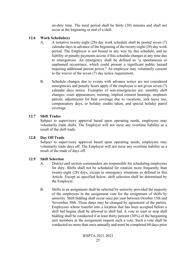on-duty time. The meal period shall be thirty (30) minutes and shall not occur at the beginning or end of a shift.

## <span id="page-32-0"></span>**12.6 Work Schedule(s)**

- A. A tentative twenty-eight (28) day work schedule shall be posted seven (7) calendar days in advance of the beginning of the twenty-eight (28) day work period. The Employer is not bound in any way by this schedule, and no liability or penalty payments accrue if this schedule changes at any time due to emergencies. An emergency shall be defined as "a spontaneous or unplanned occurrence, which could present a significant public hazard requiring additional person power." An employee may voluntarily consent to the waiver of the seven (7) day notice requirement.
- B. Schedule changes due to events with advance notice are not considered emergencies and penalty hours apply if the employee is not given seven (7) calendar days notice. Examples of non-emergencies are: monthly shift changes; court appearances; training; implied consent hearings; emphasis patrols; adjustments for beat coverage due to vacations, sick leave use, compensatory days, or holiday credits taken; and special holiday patrol coverage.

# <span id="page-32-1"></span>**12.7 Shift Trades**

Subject to supervisory approval based upon operating needs, employees may voluntarily trade shifts. The Employer will not incur any overtime liability as a result of the shift trade.

# <span id="page-32-2"></span>**12.8 Day Off Trade**

Subject to supervisory approval based upon operating needs, employees may voluntarily trade days off. The Employer will not incur any overtime liability as a result of the trade of days off.

# <span id="page-32-3"></span>**12.9 Shift Selection**

- A. District and section commanders are responsible for scheduling employees for duty. Shifts shall not be scheduled for rotation more frequently than twenty-eight (28) days, except in emergency situations as defined in this Article. Except as specified below, shift selection shall be determined by the Employer.
- B. Shifts in an assignment shall be selected by seniority provided the majority of the employees in the assignment vote for the assignment of shifts by seniority. Shift bidding shall occur once per year between October 15th and November 30th. These dates may be changed by agreement of the parties. Employees whose transfer into a location that has been accepted before a shift bid begins shall be allowed to shift bid. A vote to start or stop shift bidding shall be conducted if at least thirty percent (30%) of the bargaining unit members in the assignment request such a vote. Such a vote shall be conducted no more than once annually and must be completed 60 days prior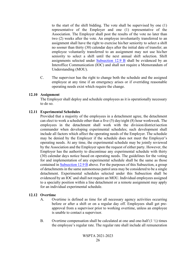to the start of the shift bidding. The vote shall be supervised by one (1) representative of the Employer and one (1) representative of the Association. The Employer shall post the results of the vote no later than two (2) weeks after the vote. An employee involuntarily transferred to an assignment shall have the right to exercise his/her seniority to select a shift no sooner than thirty (30) calendar days after the initial date of transfer; an employee voluntarily transferred to an assignment may not use his/her seniority to select a shift until the next annual shift selection. Shift assignments selected under  $Subsection 12.9 B$  shall be evidenced by an Interoffice Communication (IOC) and shall not require a Memorandum of Understanding (MOU).

C. The supervisor has the right to change both the schedule and the assigned employee at any time if an emergency arises or if overriding reasonable operating needs exist which require the change.

#### <span id="page-33-0"></span>**12.10 Assignment**

The Employer shall deploy and schedule employees as it is operationally necessary to do so.

#### <span id="page-33-1"></span>**12.11 Experimental Schedules**

Provided that a majority of the employees in a detachment agree, the detachment can elect to work a schedule other than a five (5) day/eight (8) hour workweek. The employees in the detachment shall work with the division/district/section commander when developing experimental schedules; such development shall include all factors which affect the operating needs of the Employer. The schedule may be denied by the Employer if the schedule does not meet the Employer's operating needs. At any time, the experimental schedule may be jointly reviewed by the Association and the Employer upon the request of either party. However, the Employer has the authority to discontinue any experimental schedule with thirty (30) calendar days notice based on operating needs. The guidelines for the voting for and implementation of any experimental schedule shall be the same as those contained in [Subsection 12.9 B](#page-32-3) above. For the purposes of this Subsection, a group of detachments in the same autonomous patrol area may be considered to be a single detachment. Experimental schedules selected under this Subsection shall be evidenced by an IOC and shall not require an MOU. Individual employees assigned to a specialty position within a line detachment or a remote assignment may apply for an individual experimental schedule.

## <span id="page-33-2"></span>**12.12 Overtime**

- A. Overtime is defined as time for all necessary agency activities occurring before or after a shift or on a regular day off. Employees shall get preapproval from a supervisor prior to working overtime, unless an employee is unable to contact a supervisor.
- B. Overtime compensation shall be calculated at one and one-half  $(1 \frac{1}{2})$  times the employee's regular rate. The regular rate shall include all remuneration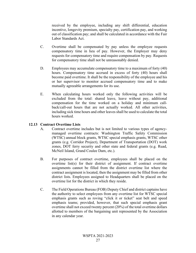received by the employee, including any shift differential, education incentive, longevity premium, specialty pay, certification pay, and working out of classification pay; and shall be calculated in accordance with the Fair Labor Standards Act.

- C. Overtime shall be compensated by pay unless the employee requests compensatory time in lieu of pay. However, the Employer may deny requests for compensatory time and require compensation by pay. Requests for compensatory time shall not be unreasonably denied.
- D. Employees may accumulate compensatory time to a maximum of forty (40) hours. Compensatory time accrued in excess of forty (40) hours shall become paid overtime. It shall be the responsibility of the employee and his or her supervisor to monitor accrued compensatory time and to make mutually agreeable arrangements for its use.
- E. When calculating hours worked only the following activities will be excluded from the total: shared leave, leave without pay, additional compensation for the time worked on a holiday and minimum callback/call-out hours that are not actually worked. All other activities, including sick time hours and other leaves shall be used to calculate the total hours worked.

# <span id="page-34-0"></span>**12.13 Contract Overtime Lists**

- A. Contract overtime includes but is not limited to various types of agencymanaged overtime contracts: Washington Traffic Safety Commission (WTSC) annual block grants, WTSC special emphasis grants, WTSC other grants (e.g. Corridor Project), Department of Transportation (DOT) work zones, DOT ferry security and other state and federal grants (e.g. Ruad, McNeil Island, Grand Coulee Dam, etc.).
- B. For purposes of contract overtime, employees shall be placed on the overtime list(s) for their district of assignment. If contract overtime assignments cannot be filled from the district overtime list where the contract assignment is located, then the assignment may be filled from other district lists. Employees assigned to Headquarters shall be placed on the overtime list for the district in which they reside.
- C. The Field Operations Bureau (FOB) Deputy Chief and district captains have the authority to select employees from any overtime list for WTSC special emphasis grants such as roving "click it or ticket" seat belt and speed emphasis teams; provided, however, that such special emphasis grant overtime shall not exceed twenty percent (20%) of the total overtime dollars allotted to members of the bargaining unit represented by the Association in any calendar year.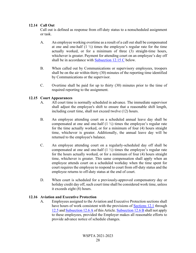## <span id="page-35-0"></span>**12.14 Call Out**

Call out is defined as response from off-duty status to a nonscheduled assignment or task.

- A. An employee working overtime as a result of a call out shall be compensated at one and one-half  $(1 \frac{1}{2})$  times the employee's regular rate for the time actually worked, or for a minimum of three (3) straight-time hours, whichever is greater. Payment for attending court on an employee's day off shall be in accordance with [Subsection 12.15 C](#page-35-1) below.
- B. When called out by Communications or supervisory employees, troopers shall be on the air within thirty (30) minutes of the reporting time identified by Communications or the supervisor.
- C. Overtime shall be paid for up to thirty (30) minutes prior to the time of required reporting to the assignment.

# <span id="page-35-1"></span>**12.15 Court Appearances**

- A. All court time is normally scheduled in advance. The immediate supervisor shall adjust the employee's shift to ensure that a reasonable shift length, including court time, shall not exceed twelve (12) hours.
- B. An employee attending court on a scheduled annual leave day shall be compensated at one and one-half  $(1 \frac{1}{2})$  times the employee's regular rate for the time actually worked, or for a minimum of four (4) hours straight time, whichever is greater. Additionally, the annual leave day will be returned to the employee's balance.
- C. An employee attending court on a regularly-scheduled day off shall be compensated at one and one-half  $(1 \frac{1}{2})$  times the employee's regular rate for the hours actually worked, or for a minimum of four (4) hours straight time, whichever is greater. This same compensation shall apply when an employee attends court on a scheduled workday when the time spent for court requires the employee to respond to court from off-duty status and the employee returns to off-duty status at the end of court.
- D. When court is scheduled for a previously-approved compensatory day or holiday credit day off, such court time shall be considered work time, unless it exceeds eight (8) hours.

## <span id="page-35-2"></span>**12.16 Aviation and Executive Protection**

A. Employees assigned to the Aviation and Executive Protection sections shall have hours of work consistent with the provisions of [Sections 12.1](#page-30-4) through [12.5](#page-31-3) and [Subsection 12.6 A](#page-32-0) of this Article. [Subsection 12.6 B](#page-32-0) shall not apply to these employees, provided the Employer makes all reasonable efforts to provide advance notice of schedule changes.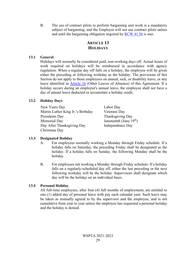B. The use of contract pilots to perform bargaining unit work is a mandatory subject of bargaining, and the Employer will not use contract pilots unless and until the bargaining obligation required by [RCW 41.56](http://apps.leg.wa.gov/RCW/default.aspx?cite=41.56) is met.

# **ARTICLE 13 HOLIDAYS**

## **13.1 General**

Holidays will normally be considered paid, non-working days off. Actual hours of work required on holidays will be reimbursed in accordance with agency regulation. When a regular day off falls on a holiday, the employee will be given either the preceding or following workday as the holiday. The provisions of this Section do not apply to those employees on annual, sick, or disability leave, or any leave identified in [Article 16](#page-42-0) (Other Leaves of Absence) of this Agreement. If a holiday occurs during an employee's annual leave, the employee shall not have a day of annual leave deducted or accumulate a holiday credit.

## **13.2 Holiday Days**

New Years Day Labor Day Martin Luther King Jr.'s Birthday Veterans Day Presidents Day Thanksgiving Day Memorial Day Juneteenth (June  $19<sup>th</sup>$ ) Day After Thanksgiving Day Independence Day Christmas Day

## **13.3 Designated Holiday**

- A. For employees normally working a Monday through Friday schedule: If a holiday falls on Saturday, the preceding Friday shall be designated as the holiday. If a holiday falls on Sunday, the following Monday shall be the holiday.
- B. For employees not working a Monday through Friday schedule: If a holiday falls on a regularly-scheduled day off, either the last preceding or the next following workday will be the holiday. Supervisors shall designate which day will be the holiday on an individual basis.

## **13.4 Personal Holiday**

All full-time employees, after four (4) full months of employment, are entitled to one (1) added day of personal leave with pay each calendar year. Such leave may be taken as mutually agreed to by the supervisor and the employee, and is not cumulative from year to year unless the employee has requested a personal holiday and the holiday is denied.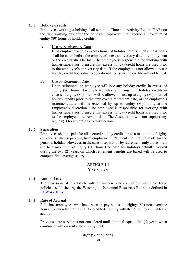#### **13.5 Holiday Credits.**

Employees working a holiday shall submit a Time and Activity Report (TAR) on the first working day after the holiday. Employees shall accrue a maximum of eighty (80) hours of holiday credits.

A. Use by Anniversary Date

If an employee accrues excess hours of holiday credits, such excess hours shall be taken before the employee's next anniversary date of employment or the credits shall be lost. The employee is responsible for working with his/her supervisor to ensure that excess holiday credit hours are used prior to the employee's anniversary date. If the employee is not allowed to use holiday credit hours due to operational necessity the credits will not be lost.

B. Use by Retirement Date

Upon retirement, an employee will lose any holiday credits in excess of eighty (80) hours. An employee who is retiring with holiday credits in excess of eighty (80) hours will be allowed to use up to eighty (80) hours of holiday credits prior to the employee's retirement date, or the employee's retirement date will be extended by up to eighty (80) hours, at the Employer's discretion. The employee is responsible for working with his/her supervisor to ensure that excess holiday credit hours are used prior to the employee's retirement date. The Association will not support any request(s) for exceptions to this Section.

#### **13.6 Separation**

Employees shall be paid for all accrued holiday credits up to a maximum of eighty (80) hours when separating from employment. Payment shall not be made for the personal holiday. However, in the case of separation by retirement, only those hours (up to a maximum of eighty (80) hours) accrued for holidays actually worked during the two (2) years on which retirement benefits are based will be used to compute final average salary.

## **ARTICLE 14 VACATION**

### **14.1 Annual Leave**

The provisions of this Article will remain generally compatible with those leave policies established by the Washington Personnel Resources Board as defined in [RCW 43.01.040.](http://apps.leg.wa.gov/RCW/default.aspx?cite=43.01.040)

#### **14.2 Rate of Accrual**

Full-time employees who have been in pay status for eighty (80) non-overtime hours in a calendar month shall be credited monthly with the following annual leave accrual.

Previous state service is not considered until the total equals five (5) years when combined with current state employment.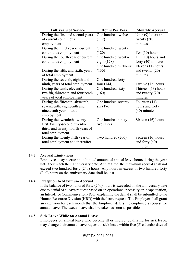| <b>Full Years of Service</b>       | <b>Hours Per Year</b>  | <b>Monthly Accrual</b> |
|------------------------------------|------------------------|------------------------|
| During the first and second years  | One hundred twelve     | Nine (9) hours and     |
| of current continuous              | (112)                  | twenty $(20)$          |
| employment                         |                        | minutes                |
| During the third year of current   | One hundred twenty     |                        |
| continuous employment              | (120)                  | Ten $(10)$ hours       |
| During the fourth year of current  | One hundred twenty-    | Ten (10) hours and     |
| continuous employment              | eight $(128)$          | forty $(40)$ minutes   |
|                                    | One hundred thirty-six | Eleven (11) hours      |
| During the fifth, and sixth, years | (136)                  | and twenty $(20)$      |
| of total employment                |                        | minutes                |
| During the seventh, eighth and     | One hundred forty-     |                        |
| ninth, years of total employment   | four $(144)$           | Twelve (12) hours      |
| During the tenth, eleventh,        | One hundred sixty      | Thirteen (13) hours    |
| twelfth, thirteenth and fourteenth | (160)                  | and twenty (20)        |
| years of total employment          |                        | minutes                |
| During the fifteenth, sixteenth,   | One hundred seventy-   | Fourteen $(14)$        |
| seventeenth, eighteenth and        | six(176)               | hours and forty        |
| nineteenth year of total           |                        | $(40)$ minutes         |
| employment                         |                        |                        |
| During the twentieth, twenty-      | One hundred ninety-    | Sixteen (16) hours     |
| first, twenty-second, twenty-      | two (192)              |                        |
| third, and twenty-fourth years of  |                        |                        |
| total employment                   |                        |                        |
| During the twenty-fifth year of    | Two hundred (200)      | Sixteen (16) hours     |
| total employment and thereafter    |                        | and forty (40)         |
|                                    |                        | minutes                |

### **14.3 Accrual Limitations**

Employees may accrue an unlimited amount of annual leave hours during the year until they reach their anniversary date. At that time, the maximum accrual shall not exceed two hundred forty (240) hours. Any hours in excess of two hundred forty (240) hours on the anniversary date shall be lost.

### **14.4 Exception to Maximum Accrual**

If the balance of two hundred forty (240) hours is exceeded on the anniversary date due to denial of a leave request based on an operational necessity or incapacitation, an Interoffice Communication (IOC) explaining the denial shall be submitted to the Human Resource Division (HRD) with the leave request. The Employer shall grant an extension for each month that the Employer defers the employee's request for annual leave. The excess leave shall be taken as soon as possible.

#### **14.5 Sick Leave While on Annual Leave**

Employees on annual leave who become ill or injured, qualifying for sick leave, may change their annual leave request to sick leave within five (5) calendar days of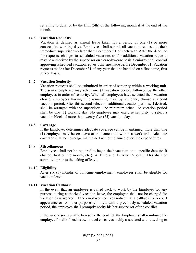returning to duty, or by the fifth (5th) of the following month if at the end of the month.

#### **14.6 Vacation Requests**

Vacation is defined as annual leave taken for a period of one (1) or more consecutive working days. Employees shall submit all vacation requests to their immediate supervisor no later than December 31 of each year. After the deadline for requests, changes to scheduled vacations and/or additional vacation requests may be authorized by the supervisor on a case-by-case basis. Seniority shall control approving scheduled vacation requests that are made before December 31. Vacation requests made after December 31 of any year shall be handled on a first come, first served basis.

#### **14.7 Vacation Seniority**

Vacation requests shall be submitted in order of seniority within a working unit. The senior employee may select one (1) vacation period, followed by the other employees in order of seniority. When all employees have selected their vacation choice, employees having time remaining may, by seniority, choose a second vacation period. After this second selection, additional vacation periods, if desired, shall be arranged with the supervisor. The minimum scheduled vacation period shall be one (1) working day. No employee may exercise seniority to select a vacation block of more than twenty-five (25) vacation days.

#### **14.8 Coverage**

If the Employer determines adequate coverage can be maintained, more than one (1) employee may be on leave at the same time within a work unit. Adequate coverage shall be coverage maintained without planned overtime expenditures.

### **14.9 Miscellaneous**

Employees shall not be required to begin their vacation on a specific date (shift change, first of the month, etc.). A Time and Activity Report (TAR) shall be submitted prior to the taking of leave.

#### **14.10 Eligibility**

After six (6) months of full-time employment, employees shall be eligible for vacation leave.

#### **14.11 Vacation Callback**

In the event that an employee is called back to work by the Employer for any purpose during authorized vacation leave, the employee shall not be charged for vacation days worked. If the employee receives notice that a callback for a court appearance or for other purposes conflicts with a previously-scheduled vacation period, the employee shall promptly notify his/her supervisor of the conflict.

If the supervisor is unable to resolve the conflict, the Employer shall reimburse the employee for all of her/his own travel costs reasonably associated with traveling to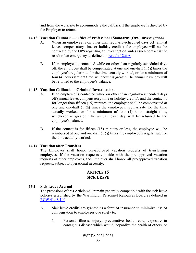and from the work site to accommodate the callback if the employee is directed by the Employer to return.

#### **14.12 Vacation Callback — Office of Professional Standards (OPS) Investigations**

- A. When an employee is on other than regularly-scheduled days off (annual leave, compensatory time or holiday credits), the employee will not be contacted by the OPS regarding an investigation, unless such contact is the result of an emergency as defined in [Article 12.6 A.](#page-32-0)
- B. If an employee is contacted while on other than regularly-scheduled days off, the employee shall be compensated at one and one-half  $(1 \frac{1}{2})$  times the employee's regular rate for the time actually worked, or for a minimum of four (4) hours straight time, whichever is greater. The annual leave day will be returned to the employee's balance.

### **14.13 Vacation Callback — Criminal Investigations**

- A. If an employee is contacted while on other than regularly-scheduled days off (annual leave, compensatory time or holiday credits), and the contact is for longer than fifteen (15) minutes, the employee shall be compensated at one and one-half  $(1 \frac{1}{2})$  times the employee's regular rate for the time actually worked, or for a minimum of four (4) hours straight time, whichever is greater. The annual leave day will be returned to the employee's balance.
- B. If the contact is for fifteen (15) minutes or less, the employee will be reimbursed at one and one-half (1 ½) times the employee's regular rate for the time actually worked.

### **14.14 Vacation after Transfers**

The Employer shall honor pre-approved vacation requests of transferring employees. If the vacation requests coincide with the pre-approved vacation requests of other employees, the Employer shall honor all pre-approved vacation requests, subject to operational necessity.

## **ARTICLE 15 SICK LEAVE**

### <span id="page-40-0"></span>**15.1 Sick Leave Accrual**

The provisions of this Article will remain generally compatible with the sick leave policies established by the Washington Personnel Resources Board as defined in [RCW 41.48.140.](http://apps.leg.wa.gov/RCW/default.aspx?cite=41.48.140)

- A. Sick leave credits are granted as a form of insurance to minimize loss of compensation to employees due solely to:
	- 1. Personal illness, injury, preventative health care, exposure to contagious disease which would jeopardize the health of others, or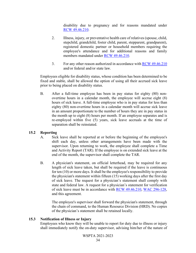disability due to pregnancy and for reasons mandated under [RCW 49.46.210.](https://app.leg.wa.gov/rcw/default.aspx?cite=49.46.210)

- 2. Illness, injury, or preventative health care of relatives (spouse, child, stepchild, grandchild, foster child, parent, stepparent, grandparent), registered domestic partner or household members requiring the employee's attendance and for additional reasons and family members mandated under [RCW 49.46.210.](https://app.leg.wa.gov/rcw/default.aspx?cite=49.46.210)
- 3. For any other reason authorized in accordance with [RCW 49.46.210](https://app.leg.wa.gov/rcw/default.aspx?cite=49.46.210) and/or federal and/or state law.

Employees eligible for disability status, whose condition has been determined to be fixed and stable, shall be allowed the option of using all their accrued sick leave prior to being placed on disability status.

B. After a full-time employee has been in pay status for eighty (80) nonovertime hours in a calendar month, the employee will accrue eight (8) hours of sick leave. A full-time employee who is in pay status for less than eighty (80) non-overtime hours in a calendar month will accrue sick leave in an amount proportionate to the number of hours they are in pay status in the month up to eight (8) hours per month. If an employee separates and is re-employed within five (5) years, sick leave accruals at the time of separation shall be reinstated.

### **15.2 Reporting**

- A. Sick leave shall be reported at or before the beginning of the employee's shift each day, unless other arrangements have been made with the supervisor. Upon returning to work, the employee shall complete a Time and Activity Report (TAR). If the employee is on extended sick leave at the end of the month, the supervisor shall complete the TAR.
- B. A physician's statement, on official letterhead, may be required for any length of sick leave taken, but shall be required if the leave is continuous for ten (10) or more days. It shall be the employee's responsibility to provide the physician's statement within fifteen (15) working days after the first day of sick leave. The request for a physician's statement shall comply with state and federal law. A request for a physician's statement for verification of sick leave must be in accordance with [RCW 49.46.210,](https://app.leg.wa.gov/rcw/default.aspx?cite=49.46.210) [WAC 296-128,](https://app.leg.wa.gov/wac/default.aspx?cite=296-128) and this agreement.

The employee's supervisor shall forward the physician's statement, through the chain of command, to the Human Resource Division (HRD). No copies of the physician's statement shall be retained locally.

### **15.3 Notification of Illness or Injury**

Employees who know they will be unable to report for duty due to illness or injury shall immediately notify the on-duty supervisor, advising him/her of the nature of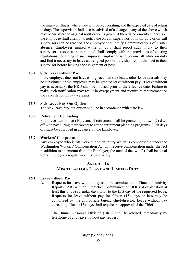the injury or illness, where they will be recuperating, and the expected date of return to duty. The supervisor shall also be advised of a change in any of the above which may occur after the original notification is given. If there is no on-duty supervisor, the employee shall attempt to notify the on-call supervisor. If no on-duty or on-call supervisors can be reached, the employee shall notify Communications of his/her absence. Employees injured while on duty shall report such injury to their supervisor as soon as possible and shall comply with the provisions of existing regulations pertaining to such injuries. Employees who become ill while on duty and find it necessary to leave an assigned post or duty shall report this fact to their supervisor before leaving the assignment or post.

#### **15.4 Sick Leave without Pay**

If the employee does not have enough accrued sick leave, other leave accruals may be substituted or the employee may be granted leave without pay. If leave without pay is necessary, the HRD shall be notified prior to the effective date. Failure to make such notification may result in overpayment and require reimbursement or the cancellation of pay warrants.

#### **15.5 Sick Leave Buy-Out Option**

The sick leave buy-out option shall be in accordance with state law.

#### **15.6 Retirement Counseling**

Employees within ten (10) years of retirement shall be granted up to two (2) days off with pay during their careers to attend retirement planning programs. Such days off must be approved in advance by the Employer.

### **15.7 Workers' Compensation**

Any employee who is off work due to an injury which is compensable under the Washington Workers' Compensation Act will receive compensation under the Act in addition to an amount from the Employer; the total of the two (2) shall be equal to the employee's regular monthly base salary.

## **ARTICLE 16 MISCELLANEOUS LEAVE AND LIMITED DUTY**

### <span id="page-42-0"></span>**16.1 Leave without Pay**

A. Requests for leave without pay shall be submitted on a Time and Activity Report (TAR) with an Interoffice Communication (IOC) of explanation at least thirty (30) calendar days prior to the first day of the requested leave. Requests for leave without pay for fifteen (15) days or less may be authorized by the appropriate bureau chief/director. Leave without pay exceeding fifteen (15) days shall require the approval of the Chief.

The Human Resource Division (HRD) shall be advised immediately by telephone of any leave without pay request.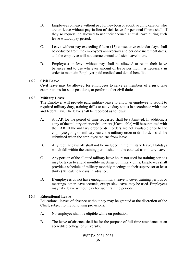- B. Employees on leave without pay for newborn or adoptive child care, or who are on leave without pay in lieu of sick leave for personal illness shall, if they so request, be allowed to use their accrued annual leave during such leave without pay period.
- C. Leave without pay exceeding fifteen (15) consecutive calendar days shall be deducted from the employee's anniversary and periodic increment dates, and the employee will not accrue annual and sick leave hours.
- D. Employees on leave without pay shall be allowed to retain their leave balances and to use whatever amount of leave per month is necessary in order to maintain Employer-paid medical and dental benefits.

### **16.2 Civil Leave**

Civil leave may be allowed for employees to serve as members of a jury, take examinations for state positions, or perform other civil duties.

### **16.3 Military Leave**

The Employer will provide paid military leave to allow an employee to report to required military duty, training drills or active duty status in accordance with state and federal law. The leave shall be recorded as follows:

- A. A TAR for the period of time requested shall be submitted. In addition, a copy of the military order or drill orders (if available) will be submitted with the TAR. If the military order or drill orders are not available prior to the employee going on military leave, the military order or drill orders shall be submitted when the employee returns from leave.
- B. Any regular days off shall not be included in the military leave. Holidays which fall within the training period shall not be counted as military leave.
- C. Any portion of the allotted military leave hours not used for training periods may be taken to attend monthly meetings of military units. Employees shall provide a schedule of military monthly meetings to their supervisor at least thirty (30) calendar days in advance.
- D. If employees do not have enough military leave to cover training periods or meetings, other leave accruals, except sick leave, may be used. Employees may take leave without pay for such training periods.

#### **16.4 Educational Leave**

Educational leaves of absence without pay may be granted at the discretion of the Chief, subject to the following provisions:

- A. No employee shall be eligible while on probation.
- B. The leave of absence shall be for the purpose of full-time attendance at an accredited college or university.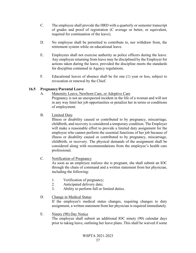- C. The employee shall provide the HRD with a quarterly or semester transcript of grades and proof of registration (C average or better, or equivalent, required for continuation of the leave).
- D. No employee shall be permitted to contribute to, nor withdraw from, the retirement system while on educational leave.
- E. Employees shall not exercise authority as police officers during the leave. Any employee returning from leave may be disciplined by the Employer for actions taken during the leave, provided the discipline meets the standards for discipline contained in Agency regulations.
- F. Educational leaves of absence shall be for one (1) year or less, subject to revocation or renewal by the Chief.

## **16.5 Pregnancy/Parental Leave**

A. Maternity Leave, Newborn Care, or Adoptive Care

Pregnancy is not an unexpected incident in the life of a woman and will not in any way limit her job opportunities or penalize her in terms or conditions of employment.

B. Limited Duty

Illness or disability caused or contributed to by pregnancy, miscarriage, childbirth, and recovery is considered a temporary condition. The Employer will make a reasonable effort to provide a limited duty assignment for the employee who cannot perform the essential functions of her job because of illness or disability caused or contributed to by pregnancy, miscarriage, childbirth, or recovery. The physical demands of the assignment shall be considered along with recommendations from the employee's health care professional.

C. Notification of Pregnancy

As soon as an employee realizes she is pregnant, she shall submit an IOC through the chain of command and a written statement from her physician, including the following:

- 1. Verification of pregnancy;
- 2. Anticipated delivery date;
- 3. Ability to perform full or limited duties.

### D. Change in Medical Status

If the employee's medical status changes, requiring changes to duty assignment, a written statement from her physician is required immediately.

E. Ninety (90) Day Notice

The employee shall submit an additional IOC ninety (90) calendar days prior to taking leave, outlining her leave plans. This shall be waived if some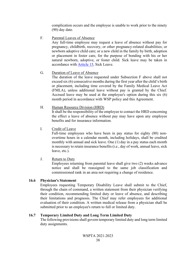complication occurs and the employee is unable to work prior to the ninety (90) day date.

F. Parental Leaves of Absence

Any full-time employee may request a leave of absence without pay for pregnancy, childbirth, recovery, or other pregnancy-related disabilities; or newborn adoptive child care; or a new child in the family by birth, adoption or placement in foster care, for the purpose of bonding with his or her natural newborn, adoptive, or foster child. Sick leave may be taken in accordance with [Article 15,](#page-40-0) Sick Leave.

G. Duration of Leave of Absence

The duration of the leave requested under Subsection F above shall not exceed six (6) consecutive months during the first year after the child's birth or placement, including time covered by the Family Medical Leave Act (FMLA), unless additional leave without pay is granted by the Chief. Accrued leave may be used at the employee's option during this six (6) month period in accordance with WSP policy and this Agreement.

H. Human Resource Division (HRD)

It shall be the responsibility of the employee to contact the HRD concerning the effect a leave of absence without pay may have upon any employee benefits and for insurance information.

I. Credit of Leave

Full-time employees who have been in pay status for eighty (80) nonovertime hours in a calendar month, including holidays, shall be credited monthly with annual and sick leave. One (1) day in a pay status each month is necessary to retain insurance benefits (i.e., day of work, annual leave, sick leave, etc.).

J. Return to Duty

Employees returning from parental leave shall give two (2) weeks advance notice and shall be reassigned to the same job classification and commissioned rank in an area not requiring a change of residence.

## **16.6 Physician's Statement**

Employees requesting Temporary Disability Leave shall submit to the Chief, through the chain of command, a written statement from their physician verifying their condition, recommending limited duty or leave of absence, and describing their limitations and prognosis. The Chief may refer employees for additional evaluation of their condition. A written medical release from a physician shall be submitted prior to an employee's return to full or limited duty.

## <span id="page-45-0"></span>**16.7 Temporary Limited Duty and Long Term Limited Duty**

The following provisions shall govern temporary limited duty and long term limited duty assignments.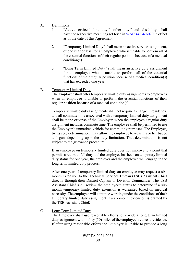- A. Definitions
	- 1. "Active service," "line duty," "other duty," and "disability" shall have the respective meanings set forth i[n WAC 446-40-020](http://apps.leg.wa.gov/WAC/default.aspx?cite=446-40-020) in effect as of the date of this Agreement.
	- 2. "Temporary Limited Duty" shall mean an active service assignment, of one year or less, for an employee who is unable to perform all of the essential functions of their regular position because of a medical condition(s).
	- 3. "Long Term Limited Duty" shall mean an active duty assignment for an employee who is unable to perform all of the essential functions of their regular position because of a medical condition(s) that has exceeded one year.
- B. Temporary Limited Duty

The Employer shall offer temporary limited duty assignments to employees when an employee is unable to perform the essential functions of their regular position because of a medical condition(s).

Temporary limited duty assignments shall not require a change in residency, and all commute time associated with a temporary limited duty assignment shall be at the expense of the Employer, when the employee's regular duty assignment includes commute time. The employee shall be permitted to use the Employer's unmarked vehicle for commuting purposes. The Employer, by its sole determination, may allow the employee to wear his or her badge and gun, depending upon the duty limitation. That determination is not subject to the grievance procedure.

If an employee on temporary limited duty does not improve to a point that permits a return to full duty and the employee has been on temporary limited duty status for one year, the employer and the employee will engage in the long term limited duty process.

After one year of temporary limited duty an employee may request a sixmonth extension to the Technical Services Bureau (TSB) Assistant Chief directly through their District Captain or Division Commander. The TSB Assistant Chief shall review the employee's status to determine if a sixmonth temporary limited duty extension is warranted based on medical necessity. The employee will continue working under the conditions of their temporary limited duty assignment if a six-month extension is granted by the TSB Assistant Chief.

C. Long Term Limited Duty

The Employer shall use reasonable efforts to provide a long term limited duty assignment within fifty (50) miles of the employee's current residence. If after using reasonable efforts the Employer is unable to provide a long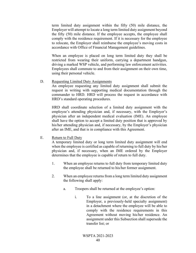term limited duty assignment within the fifty (50) mile distance, the Employer will attempt to locate a long term limited duty assignment beyond the fifty (50) mile distance. If the employee accepts, the employee shall comply with the residence requirement. If it is necessary for the employee to relocate, the Employer shall reimburse the employee's moving costs in accordance with Office of Financial Management guidelines.

When an employee is placed on long term limited duty they shall be restricted from wearing their uniform, carrying a department handgun, driving a marked WSP vehicle, and performing law enforcement activities. Employees shall commute to and from their assignment on their own time, using their personal vehicle.

D. Requesting Limited Duty Assignments

An employee requesting any limited duty assignment shall submit the request in writing with supporting medical documentation through the commander to HRD. HRD will process the request in accordance with HRD's standard operating procedures.

HRD shall coordinate selection of a limited duty assignment with the employee's attending physician and, if necessary, with the Employer's physician after an independent medical evaluation (IME). An employee shall have the option to accept a limited duty position that is approved by his/her attending physician and, if necessary, by the Employer's physician after an IME, and that is in compliance with this Agreement.

E. Return to Full Duty

A temporary limited duty or long term limited duty assignment will end when the employee is certified as capable of returning to full duty by his/her physician and, if necessary, when an IME ordered by the Employer determines that the employee is capable of return to full duty.

- 1. When an employee returns to full duty from temporary limited duty the employee shall be returned to his/her former assignment.
- 2. When an employee returns from a long term limited duty assignment the following shall apply:
	- a. Troopers shall be returned at the employee's option:
		- i. To a line assignment (or, at the discretion of the Employer, a previously-held specialty assignment) in a detachment where the employee will be able to comply with the residence requirements in this Agreement without moving his/her residence. An assignment under this Subsection shall supersede the transfer list; or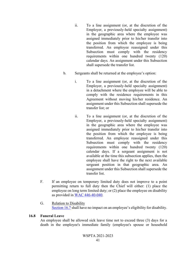- ii. To a line assignment (or, at the discretion of the Employer, a previously-held specialty assignment) in the geographic area where the employee was assigned immediately prior to his/her transfer into the position from which the employee is being transferred. An employee reassigned under this Subsection must comply with the residency requirements within one hundred twenty (120) calendar days. An assignment under this Subsection shall supersede the transfer list.
- b. Sergeants shall be returned at the employee's option:
	- i. To a line assignment (or, at the discretion of the Employer, a previously-held specialty assignment) in a detachment where the employee will be able to comply with the residence requirements in this Agreement without moving his/her residence. An assignment under this Subsection shall supersede the transfer list; or
	- ii. To a line assignment (or, at the discretion of the Employer, a previously-held specialty assignment) in the geographic area where the employee was assigned immediately prior to his/her transfer into the position from which the employee is being transferred. An employee reassigned under this Subsection must comply with the residency requirements within one hundred twenty (120) calendar days. If a sergeant assignment is not available at the time this subsection applies, then the employee shall have the right to the next available sergeant position in that geographic area. An assignment under this Subsection shall supersede the transfer list.
- F. If an employee on temporary limited duty does not improve to a point permitting return to full duty then the Chief will either: (1) place the employee on long term limited duty; or (2) place the employee on disability as provided in [WAC 446-40-040.](http://apps.leg.wa.gov/WAC/default.aspx?cite=446-40-040)
- G. Relation to Disability [Section 16.7](#page-45-0) shall have no impact on an employee's eligibility for disability.

### **16.8 Funeral Leave**

An employee shall be allowed sick leave time not to exceed three (3) days for a death in the employee's immediate family (employee's spouse or household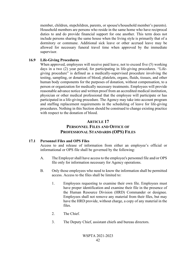member, children, stepchildren, parents, or spouse's/household member's parents). Household members are persons who reside in the same home who have reciprocal duties to and do provide financial support for one another. This term does not include persons sharing the same house when the living style is primarily that of a dormitory or commune. Additional sick leave or other accrued leave may be allowed for necessary funeral travel time when approved by the immediate supervisor.

#### **16.9 Life-Giving Procedures**

When approved, employees will receive paid leave, not to exceed five (5) working days in a two (2) year period, for participating in life-giving procedures. "Lifegiving procedure" is defined as a medically-supervised procedure involving the testing, sampling, or donation of blood, platelets, organs, fluids, tissues, and other human body components for the purposes of donation, without compensation, to a person or organization for medically necessary treatments. Employees will provide reasonable advance notice and written proof from an accredited medical institution, physician or other medical professional that the employee will participate or has participated in a life-giving procedure. The Agency may take into account program and staffing replacement requirements in the scheduling of leave for life-giving procedures. Nothing in this Section should be construed to change existing practice with respect to the donation of blood.

#### **ARTICLE 17**

# **PERSONNEL FILES AND OFFICE OF PROFESSIONAL STANDARDS (OPS) FILES**

### **17.1 Personnel Files and OPS Files**

Access to and release of information from either an employee's official or informational or OPS file shall be governed by the following:

- A. The Employer shall have access to the employee's personnel file and/or OPS file only for information necessary for Agency operations.
- B. Only those employees who need to know the information shall be permitted access. Access to the files shall be limited to:
	- 1. Employees requesting to examine their own file. Employees must have proper identification and examine their file in the presence of the Human Resource Division (HRD) Commander or designee. Employees shall not remove any material from their files, but may have the HRD provide, without charge, a copy of any material in the files.
	- 2. The Chief.
	- 3. The Deputy Chief, assistant chiefs and bureau directors.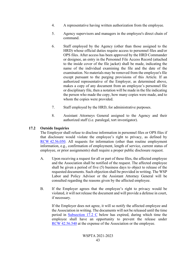- 4. A representative having written authorization from the employee.
- 5. Agency supervisors and managers in the employee's direct chain of command.
- 6. Staff employed by the Agency (other than those assigned to the HRD) whose official duties require access to personnel files and/or OPS files. After access has been approved by the HRD Commander or designee, an entry in the Personnel File Access Record (attached to the inside cover of the file jacket) shall be made, indicating the name of the individual examining the file and the date of the examination. No materials may be removed from the employee's file except pursuant to the purging provisions of this Article. If an authorized representative of the Employer, as determined above, makes a copy of any document from an employee's personnel file or disciplinary file, then a notation will be made in the file indicating the person who made the copy, how many copies were made, and to whom the copies were provided.
- 7. Staff employed by the HRD, for administrative purposes.
- 8. Assistant Attorneys General assigned to the Agency and their authorized staff (i.e. paralegal, tort investigator).

## <span id="page-50-0"></span>**17.2 Outside Inquiries**

The Employer shall refuse to disclose information in personnel files or OPS files if that disclosure would violate the employee's right to privacy, as defined by [RCW 42.56.050.](http://apps.leg.wa.gov/RCW/default.aspx?cite=42.56.050) All requests for information (other than routine employment information, e.g., confirmation of employment, length of service, current status of employee, or prior assignments) shall require a proper public disclosure request.

- A. Upon receiving a request for all or part of these files, the affected employee and the Association shall be notified of the request. The affected employee shall be given a period of five (5) business days to object to release of the requested documents. Such objection shall be provided in writing. The WSP Labor and Policy Advisor or the Assistant Attorney General will be consulted regarding the reasons given by the affected employee.
- B. If the Employer agrees that the employee's right to privacy would be violated, it will not release the document and will provide a defense in court, if necessary.

If the Employer does not agree, it will so notify the affected employee and the Association in writing. The documents will not be released until the time period in [Subsection 17.2 C](#page-50-0) below has expired, during which time the employee shall have an opportunity to prevent the release under [RCW 42.56.540](http://apps.leg.wa.gov/RCW/default.aspx?cite=42.56.540) at the expense of the Association or the employee.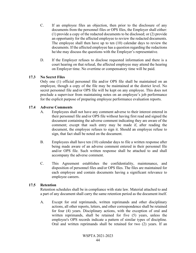- C. If an employee files an objection, then prior to the disclosure of any documents from the personnel files or OPS files, the Employer shall either: (1) provide a copy of the redacted documents to be disclosed; or (2) provide an opportunity for the affected employee to review the redacted documents. The employee shall then have up to ten (10) calendar days to review the documents. If the affected employee has a question regarding the redactions he/she may discuss the questions with the Employer's representative.
- D. If the Employer refuses to disclose requested information and there is a court hearing on that refusal, the affected employee may attend the hearing on Employer time. No overtime or compensatory time will be paid.

### **17.3 No Secret Files**

Only one (1) official personnel file and/or OPS file shall be maintained on an employee, though a copy of the file may be maintained at the district level. No secret personnel file and/or OPS file will be kept on any employee. This does not preclude a supervisor from maintaining notes on an employee's job performance for the explicit purpose of preparing employee performance evaluation reports.

## <span id="page-51-1"></span>**17.4 Adverse Comments**

- A. Employees shall not have any comment adverse to their interest entered in their personnel file and/or OPS file without having first read and signed the document containing the adverse comment indicating they are aware of the comment; except that such entry may be made if, after reading the document, the employee refuses to sign it. Should an employee refuse to sign, that fact shall be noted on the document.
- B. Employees shall have ten (10) calendar days to file a written response after being made aware of an adverse comment entered in their personnel file and/or OPS file. Such written response shall be attached to and shall accompany the adverse comment.
- C. This Agreement establishes the confidentiality, maintenance, and disposition of personnel files and/or OPS files. The files are maintained for each employee and contain documents having a significant relevance to employee careers.

### <span id="page-51-0"></span>**17.5 Retention**

Retention schedules shall be in compliance with state law. Material attached to and a part of any document shall carry the same retention period as the document itself.

A. Except for oral reprimands, written reprimands and other disciplinary actions, all other reports, letters, and other correspondence shall be retained for four (4) years. Disciplinary actions, with the exception of oral and written reprimands, shall be retained for five (5) years, unless the employee's OPS records indicate a pattern of similar types of discipline. Oral and written reprimands shall be retained for two (2) years. If an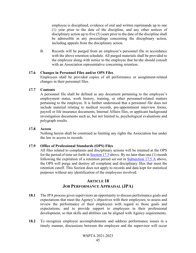employee is disciplined, evidence of oral and written reprimands up to one (1) year prior to the date of the discipline, and any other notices of disciplinary action up to five (5) years prior to the date of the discipline shall be admissible in any proceedings concerning the disciplinary action, including appeals from the disciplinary action.

B. Records will be purged from an employee's personnel file in accordance with the above retention schedule. All purged materials shall be provided to the employee along with notice to the employee that he/she should consult with an Association representative concerning retention.

#### **17.6 Changes in Personnel Files and/or OPS Files**

Employees shall be provided copies of all performance or assignment-related changes in their personnel files.

#### **17.7 Contents**

A personnel file shall be defined as any document pertaining to the employee's employment status, work history, training, or other personnel-related matters pertaining to the employee. It is further understood that a personnel file does not include material relating to medical records, pre-appointment interview forms, payroll or life insurance documents, Internal Affairs files, or applicant background investigation documents such as, but not limited to, psychological evaluations and polygraph results.

#### **17.8 Access**

Nothing herein shall be construed as limiting any rights the Association has under the law to access to records.

#### **17.9 Office of Professional Standards (OPS) Files**

All files related to complaints and disciplinary actions will be retained at the OPS for the period of time set forth in [Section 17.5](#page-51-0) above. By no later than one (1) month following the expiration of a retention period set out in [Subsection 17.5 A](#page-51-0) above, the OPS will purge and destroy all complaint and disciplinary files that meet the retention cutoff. This Section does not apply to records and data kept for statistical purposes without any identification of the employees involved.

# **ARTICLE 18 JOB PERFORMANCE APPRAISAL (JPA)**

- **18.1** The JPA process gives supervisors an opportunity to discuss performance goals and expectations that meet the Agency's objectives with their employees; to assess and review the performance of their employees with regard to those goals and expectations; and to provide support to employees in their professional development, so that skills and abilities can be aligned with Agency requirements.
- **18.2** To recognize employee accomplishments and address performance issues in a timely manner, discussions between the employee and the supervisor will occur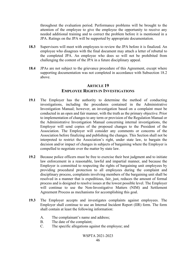throughout the evaluation period. Performance problems will be brought to the attention of the employee to give the employee the opportunity to receive any needed additional training and to correct the problem before it is mentioned in a JPA. Ratings on the JPA will be supported by appropriate documentation.

- **18.3** Supervisors will meet with employees to review the JPA before it is finalized. An employee who disagrees with the final document may attach a letter of rebuttal to the completed JPA. An employee who does so will not be prohibited from challenging the content of the JPA in a future disciplinary appeal.
- **18.4** JPAs are not subject to the grievance procedure of this Agreement, except where supporting documentation was not completed in accordance with Subsection 18.2 above.

## **ARTICLE 19 EMPLOYEE RIGHTS IN INVESTIGATIONS**

- **19.1** The Employer has the authority to determine the method of conducting investigations, including the procedures contained in the Administrative Investigation Manual; however, an investigation based on a complaint must be conducted in an open and fair manner, with the truth as the primary objective. Prior to implementation of changes to any term or provision of the Regulation Manual or the Administrative Investigation Manual concerning internal investigations, the Employer will send copies of the proposed changes to the President of the Association. The Employer will consider any comments or concerns of the Association before finalizing and publishing the changes. This Section shall not be interpreted to restrict the Association's right, under state law, to bargain the decision and/or impact of changes in subjects of bargaining where the Employer is compelled to negotiate over the matter by state law.
- **19.2** Because police officers must be free to exercise their best judgment and to initiate law enforcement in a reasonable, lawful and impartial manner, and because the Employer is committed to respecting the rights of bargaining unit employees by providing procedural protection to all employees during the complaint and disciplinary process, complaints involving members of the bargaining unit shall be resolved in a manner that is expeditious, fair, just, reduces the amount of formal process and is designed to resolve issues at the lowest possible level. The Employer will continue to use the Non-Investigative Matters (NIM) and Settlement Agreement Process as mechanisms for accomplishing this goal.
- **19.3** The Employer accepts and investigates complaints against employees. The Employer shall continue to use an Internal Incident Report (IIR) form. The form shall contain at least the following information:
	- A. The complainant's name and address;
	- B. The date of the complaint;
	- C. The specific allegations against the employee; and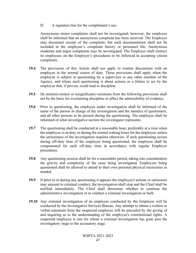D. A signature line for the complainant's use.

Anonymous minor complaints shall not be investigated; however, the employee shall be informed that an anonymous complaint has been received. The Employer may document receipt of the complaint, but such documentation shall not be included in the employee's complaint history or personnel file. Anonymous moderate and major complaints may be investigated. The Employer shall instruct its employees on the Employer's procedures to be followed in accepting citizen complaints.

- **19.4** The provisions of this Article shall not apply to routine discussions with an employee in the normal course of duty. These provisions shall apply when the employee is subject to questioning by a supervisor or any other member of the Agency, and where such questioning is about actions or a failure to act by the employee that, if proven, could lead to discipline.
- **19.5** De minimis (minor or insignificant) variations from the following provisions shall not be the basis for overturning discipline or affect the admissibility of evidence.
- **19.6** Prior to questioning, the employee under investigation shall be informed of the name of the person in charge of the investigation and the name(s) of questioners, and all other persons to be present during the questioning. The employee shall be informed of what investigative section the investigator represents.
- **19.7** The questioning shall be conducted at a reasonable hour, preferably at a time when the employee is on duty or during the normal waking hours for the employee, unless the seriousness of the investigation requires otherwise. If such questioning occurs during off-duty time of the employee being questioned, the employee shall be compensated for such off-duty time in accordance with regular Employer procedures.
- **19.8** Any questioning session shall be for a reasonable period, taking into consideration the gravity and complexity of the issue being investigated. Employees being questioned shall be allowed to attend to their own personal physical necessities as needed.
- **19.9** If prior to or during any questioning it appears the employee's actions or omissions may amount to criminal conduct, the investigation shall stop and the Chief shall be notified immediately. The Chief shall determine whether to continue the administrative investigation or to conduct a criminal investigation or both.
- **19.10** Any criminal investigation of an employee conducted by the Employer will be conducted by the Investigative Services Bureau. Any attempt to obtain a written or verbal statement from the suspected employee will be preceded by the giving of and inquiring as to the understanding of the employee's constitutional rights. A suspected employee is one for whom a criminal investigation has gone past the investigatory stage to the accusatory stage.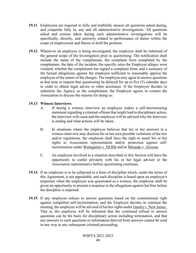- **19.11** Employees are required to fully and truthfully answer all questions asked during, and cooperate fully in, any and all administrative investigations. All questions asked and actions taken during such administrative investigations will be specifically, directly, and narrowly related to performance of duties within the scope of employment and fitness to hold the position.
- **19.12** Whenever an employee is being investigated, the employee shall be informed of the general scope of the investigation prior to questioning. The notification shall include the name of the complainant, the complaint form completed by the complainant, the date of the incident, the specific rules the Employer alleges were violated, whether the complainant has signed a complaint form, and a summary of the factual allegations against the employee sufficient to reasonably apprise the employee of the nature of the charges. The employee may agree to answer questions at that time or request that questioning be delayed for up to five (5) calendar days in order to obtain legal advice or other assistance. If the Employer decides to substitute the Agency as the complainant, the Employer agrees to contact the Association to discuss the reasons for doing so.

### **19.13 Witness Interviews**

- A. If during a witness interview an employee makes a self-incriminating statement regarding a criminal offense that might lead to disciplinary action, the interview will cease and the employee will be advised why the interview is ending and what actions will be taken.
- B. In situations where the employee believes that his or her answers in a witness interview may disclose his or her own possible violations of the law and/or regulations, the employee shall have the right to assert his or her rights to Association representation and/or protection against selfincrimination under Weingarten v. NLRB and/or Miranda v. Arizona.
- C. An employee involved in a situation described in this Section will have the opportunity to confer privately with his or her legal advisor or the Association representative before questioning continues.
- **19.14** If an employee is to be subjected to a form of discipline which, under the terms of this Agreement, is not appealable, and such discipline is based upon an employee's responses when the employee was questioned as a witness, the employee shall be given an opportunity to present a response to the allegations against her/him before the discipline is imposed.
- **19.15** If any employee refuses to answer questions based on the constitutional right against compelled self-incrimination, and the Employer decides to continue the meeting, the employee will be advised of his/her rights under Garrity v. New Jersey. That is, the employee will be informed that the continued refusal to answer questions can be the basis for disciplinary action including termination, and that any answers to such questions or information derived from answers cannot be used in any way in any subsequent criminal proceeding.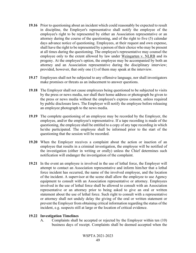- **19.16** Prior to questioning about an incident which could reasonably be expected to result in discipline, the Employer's representative shall notify the employee of the employee's right to be represented by either an Association representative or an attorney during the course of the questioning, and of the right to five (5) calendar days advance notice of questioning. Employees, at their request and own expense, shall have the right to be represented by a person of their choice who may be present at all times during the questioning. The employee's representative may counsel the employee only to the extent allowed by law under Weingarten v. NLRB and its progeny. At the employee's option, the employee may be accompanied by both an attorney and an Association representative during the disciplinary interview; provided, however, that only one (1) of them may speak at the interview.
- **19.17** Employees shall not be subjected to any offensive language, nor shall investigators make promises or threats as an inducement to answer questions.
- **19.18** The Employer shall not cause employees being questioned to be subjected to visits by the press or news media, nor shall their home address or photograph be given to the press or news media without the employee's express consent, unless required by public disclosure laws. The Employer will notify the employee before releasing an employee photograph to the news media.
- **19.19** The complete questioning of an employee may be recorded by the Employer, the employee, and/or the employee's representative. If a tape recording is made of the questioning, the employee shall be entitled to a copy of any tape recording in which he/she participated. The employee shall be informed prior to the start of the questioning that the session will be recorded.
- **19.20** When the Employer receives a complaint about the action or inaction of an employee that results in a criminal investigation, the employee will be notified of the investigation (either in writing or orally) unless the Chief determines such notification will endanger the investigation of the complaint.
- **19.21** In the event an employee is involved in the use of lethal force, the Employer will attempt to contact an Association representative and inform him/her that a lethal force incident has occurred, the name of the involved employee, and the location of the incident. A supervisor at the scene shall allow the employee to use Agency equipment to consult with an Association representative or attorney. Employees involved in the use of lethal force shall be allowed to consult with an Association representative or an attorney prior to being asked to give an oral or written statement about the use of lethal force. Such right to consult with a representative or attorney shall not unduly delay the giving of the oral or written statement or prevent the Employer from obtaining critical information regarding the status of the incident, e.g. suspects still at large or the location of critical evidence.

#### <span id="page-56-0"></span>**19.22 Investigation Timelines**

A. Complaints shall be accepted or rejected by the Employer within ten (10) business days of receipt. Complaints shall be deemed accepted when the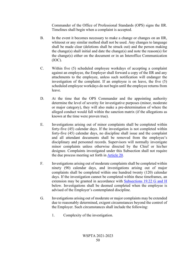Commander of the Office of Professional Standards (OPS) signs the IIR. Timelines shall begin when a complaint is accepted.

- B. In the event it becomes necessary to make a change or changes on an IIR, whiteout or any similar method shall not be used. Any changes to language shall be made clear (deletions shall be struck out) and the person making the change(s) shall initial and date the change(s) and note the reason(s) for the change(s) either on the document or in an Interoffice Communication  $(IOC).$
- C. Within five (5) scheduled employee workdays of accepting a complaint against an employee, the Employer shall forward a copy of the IIR and any attachments to the employee, unless such notification will endanger the investigation of the complaint. If an employee is on leave, the five (5) scheduled employee workdays do not begin until the employee returns from leave.
- D. At the time that the OPS Commander and the appointing authority determine the level of severity for investigative purposes (minor, moderate or major category), they will also make a pre-determination of where the alleged conduct would fall within the sanction matrix (if the allegations as known at the time were proven true).
- E. Investigations arising out of minor complaints shall be completed within forty-five (45) calendar days. If the investigation is not completed within forty-five (45) calendar days, no discipline shall issue and the complaint and all attendant documents shall be removed from the employee's disciplinary and personnel records. Supervisors will normally investigate minor complaints unless otherwise directed by the Chief or his/her designee. Complaints investigated under this Subsection shall not require the due process meeting set forth in [Article 20.](#page-58-0)
- F. Investigations arising out of moderate complaints shall be completed within ninety (90) calendar days, and investigations arising out of major complaints shall be completed within one hundred twenty (120) calendar days. If the investigation cannot be completed within these timeframes, an extension may be granted in accordance with [Subsections 19.22 G and H](#page-56-0) below. Investigations shall be deemed completed when the employee is advised of the Employer's contemplated discipline.
- G. Investigations arising out of moderate or major complaints may be extended due to reasonably determined, exigent circumstances beyond the control of the Employer. Such circumstances shall include the following:
	- 1. Complexity of the investigation.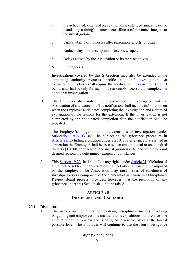- 2. Pre-scheduled, extended leave (including extended annual leave or mandatory training) or unexpected illness of personnel integral to the investigation.
- 3. Unavailability of witnesses after reasonable efforts to locate.
- 4. Undue delays in transcription of interview tapes.
- 5. Delays caused by the Association or its representatives.
- 6. Emergencies.

Investigations covered by this Subsection may also be extended if the appointing authority requests specific, additional investigation. An extension on this basis shall require the notification in [Subsection 19.22 H](#page-56-0) below and shall be only for such time reasonably necessary to complete the additional investigation.

- H. The Employer shall notify the employee being investigated and the Association of any extension. The notification shall include information on when the Employer anticipates completing the investigation and a detailed explanation of the reasons for the extension. If the investigation is not completed by the anticipated completion date the notification shall be repeated.
- I. The Employer's obligation to limit extensions of investigations under [Subsection 19.22 G](#page-56-0) shall be subject to the grievance procedure in [Article 21,](#page-64-0) including arbitration under Step 3. If a grievance is sustained in arbitration the Employer shall be assessed an amount equal to one hundred dollars (\$100.00) for each day the investigation is extended for reasons not deemed reasonably determined, exigent circumstances.
- J. This [Section 19.22](#page-56-0) shall not affect any rights under [Article 21.](#page-64-0) Violation of any timeline set forth in this Section shall not affect any discipline imposed by the Employer. The Association may raise issues of timeliness of investigations as a component of the elements of just cause in a Disciplinary Review Board process; provided, however, that the resolution of any grievance under this Section shall not be raised.

# **ARTICLE 20 DISCIPLINE AND DISCHARGE**

#### <span id="page-58-0"></span>**20.1 Discipline**

A. The parties are committed to resolving disciplinary matters involving bargaining unit employees in a manner that is expeditious, fair, reduces the amount of formal process and is designed to resolve issues at the lowest possible level. The Employer will continue to use the Non-Investigative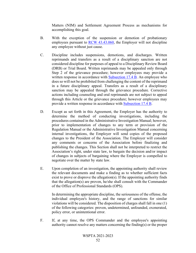Matters (NIM) and Settlement Agreement Process as mechanisms for accomplishing this goal.

- B. With the exception of the suspension or demotion of probationary employees pursuant to [RCW 43.43.060,](http://apps.leg.wa.gov/RCW/default.aspx?cite=43.43.060) the Employer will not discipline any employee without just cause.
- C. Discipline includes suspensions, demotions, and discharges. Written reprimands and transfers as a result of a disciplinary sanction are not considered discipline for purposes of appeal to a Disciplinary Review Board (DRB) or Trial Board. Written reprimands may be appealed only through Step 2 of the grievance procedure; however employees may provide a written response in accordance with **Subsection 17.4 B**. An employee who does so will not be prohibited from challenging the content of the reprimand in a future disciplinary appeal. Transfers as a result of a disciplinary sanction may be appealed through the grievance procedure. Corrective actions including counseling and oral reprimands are not subject to appeal through this Article or the grievance procedure; however employees may provide a written response in accordance with [Subsection 17.4 B.](#page-51-1)
- D. Except as set forth in this Agreement, the Employer has the authority to determine the method of conducting investigations, including the procedures contained in the Administrative Investigation Manual; however, prior to implementation of changes to any term or provision of the Regulation Manual or the Administrative Investigation Manual concerning internal investigations, the Employer will send copies of the proposed changes to the President of the Association. The Employer will consider any comments or concerns of the Association before finalizing and publishing the changes. This Section shall not be interpreted to restrict the Association's right, under state law, to bargain the decision and/or impact of changes in subjects of bargaining where the Employer is compelled to negotiate over the matter by state law.
- E. Upon completion of an investigation, the appointing authority shall review the relevant documents and make a finding as to whether sufficient facts exist to prove or disprove the allegation(s). If the appointing authority finds that the allegation(s) are proven, he/she shall consult with the Commander of the Office of Professional Standards (OPS).

In determining the appropriate discipline, the seriousness of the offense, the individual employee's history, and the range of sanctions for similar violations will be considered. The disposition of charges shall fall in one (1) of the following categories: proven, undetermined, unfounded, exonerated, policy error, or unintentional error.

F. If, at any time, the OPS Commander and the employee's appointing authority cannot resolve any matters concerning the finding(s) or the proper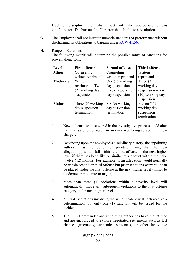level of discipline, they shall meet with the appropriate bureau chief/director. The bureau chief/director shall facilitate a resolution.

- G. The Employer shall not institute numeric standards of performance without discharging its obligations to bargain under [RCW 41.56.](http://apps.leg.wa.gov/RCW/default.aspx?cite=41.56)
- H. Range of Sanctions

The following matrix will determine the possible range of sanctions for proven allegations.

| Level        | <b>First offense</b> | <b>Second offense</b> | <b>Third offense</b> |
|--------------|----------------------|-----------------------|----------------------|
| <b>Minor</b> | Counseling $-$       | Counseling $-$        | Written              |
|              | written reprimand    | written reprimand     | reprimand            |
| Moderate     | Written              | One $(1)$ working     | Three $(3)$          |
|              | reprimand $-$ Two    | day suspension $-$    | working day          |
|              | (2) working day      | Five $(5)$ working    | suspension -Ten      |
|              | suspension           | day suspension        | $(10)$ working day   |
|              |                      |                       | suspension           |
| <b>Major</b> | Three $(3)$ working  | Six (6) working       | Eleven $(11)$        |
|              | day suspension $-$   | day suspension $-$    | working day          |
|              | termination          | termination           | $suspension-$        |
|              |                      |                       | termination          |

- 1. New information discovered in the investigative process could alter the final sanction or result in an employee being served with new charges.
- 2. Depending upon the employee's disciplinary history, the appointing authority has the option of pre-determining that the new allegation(s) would fall within the first offense of the next higher level if there has been like or similar misconduct within the prior twelve (12) months. For example, if an allegation would normally be within second or third offense but prior sanctions warrant, it can be placed under the first offense at the next higher level (minor to moderate or moderate to major).
- 3. More than three (3) violations within a severity level will automatically move any subsequent violations to the first offense category in the next higher level.
- 4. Multiple violations involving the same incident will each receive a determination, but only one (1) sanction will be issued for the incident.
- 5. The OPS Commander and appointing authorities have the latitude and are encouraged to explore negotiated settlements such as last chance agreements, suspended sentences, or other innovative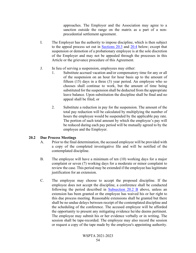approaches. The Employer and the Association may agree to a sanction outside the range on the matrix as a part of a nonprecedential settlement agreement.

- I. The Employer has the authority to impose discipline, which is then subject to the appeal process set out in [Sections 20.3](#page-62-0) and [20.4](#page-62-1) below; except that suspension or demotion of a probationary employee is at the sole discretion of the Employer and may not be appealed through the processes in this Article or the grievance procedure of this Agreement.
- J. In lieu of serving a suspension, employees may either:
	- 1. Substitute accrued vacation and/or compensatory time for any or all of the suspension on an hour for hour basis up to the amount of fifteen (15) days in a three (3) year period. An employee who so chooses shall continue to work, but the amount of time being substituted for the suspension shall be deducted from the appropriate leave balance. Upon substitution the discipline shall be final and no appeal shall be filed; or
	- 2. Substitute a reduction in pay for the suspension. The amount of the total pay reduction will be calculated by multiplying the number of hours the employee would be suspended by the applicable pay rate. The portion of such total amount by which the employee's pay will be reduced during each pay period will be mutually agreed to by the employee and the Employer.

## <span id="page-61-0"></span>**20.2 Due Process Meetings**

- A. Prior to the final determination, the accused employee will be provided with a copy of the completed investigative file and will be notified of the contemplated discipline.
- B. The employee will have a minimum of ten (10) working days for a major complaint or seven (7) working days for a moderate or minor complaint to review the case. This period may be extended if the employee has legitimate justification for an extension.
- C. The employee may choose to accept the proposed discipline. If the employee does not accept the discipline, a conference shall be conducted following the period described in [Subsection 20.2 B](#page-61-0) above, unless an extension has been granted or the employee has waived his or her right to this due process meeting. Reasonable extensions shall be granted but there shall be no undue delays between receipt of the contemplated discipline and the scheduling of the conference. The accused employee will be afforded the opportunity to present any mitigating evidence he/she deems pertinent. The employee may submit his or her evidence verbally or in writing. The session shall be tape-recorded. The employee may also record the session or request a copy of the tape made by the employee's appointing authority.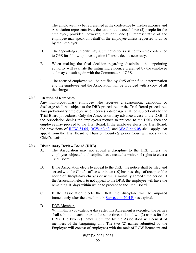The employee may be represented at the conference by his/her attorney and Association representatives, the total not to exceed three (3) people for the employee; provided, however, that only one (1) representative of the employee may speak on behalf of the employee unless requested to do so by the Employer.

- D. The appointing authority may submit questions arising from the conference to OPS for follow-up investigation if he/she deems necessary.
- E. When making the final decision regarding discipline, the appointing authority will evaluate the mitigating evidence presented by the employee and may consult again with the Commander of OPS.
- F. The accused employee will be notified by OPS of the final determination and the employee and the Association will be provided with a copy of all the charges.

#### <span id="page-62-0"></span>**20.3 Election of Remedies**

Any non-probationary employee who receives a suspension, demotion, or discharge shall be subject to the DRB procedures or the Trial Board procedures. Any probationary employee who receives a discharge shall be subject only to the Trial Board procedures. Only the Association may advance a case to the DRB. If the Association denies the employee's request to proceed to the DRB, then the employee may proceed to the Trial Board. If the employee elects the Trial Board, the provisions of [RCW 34.05,](http://apps.leg.wa.gov/RCW/default.aspx?cite=34.05) [RCW 43.43,](http://apps.leg.wa.gov/RCW/default.aspx?cite=43.43) and [WAC 446-08](http://apps.leg.wa.gov/WAC/default.aspx?cite=446-08) shall apply. An appeal from the Trial Board to Thurston County Superior Court will not stay the Chief's decision.

#### <span id="page-62-1"></span>**20.4 Disciplinary Review Board (DRB)**

- A. The Association may not appeal a discipline to the DRB unless the employee subjected to discipline has executed a waiver of rights to elect a Trial Board.
- B. If the Association elects to appeal to the DRB, the notice shall be filed and served with the Chief's office within ten (10) business days of receipt of the notice of disciplinary charges or within a mutually agreed time period. If the Association elects to not appeal to the DRB, the employee will have the remaining 10 days within which to proceed to the Trial Board.
- C. If the Association elects the DRB, the discipline will be imposed immediately after the time limit in [Subsection 20.4 B](#page-62-1) has expired.
- D. DRB Members

Within thirty (30) calendar days after this Agreement is executed, the parties shall submit to each other, at the same time, a list of two (2) names for the DRB. The two (2) names submitted by the Association will consist of members of the bargaining unit. The two (2) names submitted by the Employer will consist of employees with the rank of RCW lieutenant and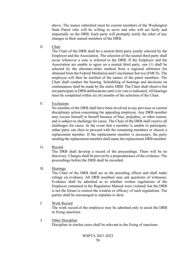above. The names submitted must be current members of the Washington State Patrol who will be willing to serve and who will act fairly and impartially on the DRB. Each party will promptly notify the other of any changes in their named members of the DRB.

E. Chair

The Chair of the DRB shall be a neutral third party jointly selected by the Employer and the Association. The selection of the neutral third party shall occur whenever a case is referred to the DRB. If the Employer and the Association are unable to agree on a neutral third party, one (1) shall be selected by the alternate-strike method from a regional arbitrator list obtained from the Federal Mediation and Conciliation Service (FMCS). The employee will then be notified of the names of the panel members. The Chair shall conduct the hearing. Scheduling of hearings and decisions on continuances shall be made by the entire DRB. The Chair shall observe but not participate in DRB deliberations until a tie vote is indicated. All hearings must be completed within six (6) months of the selection of the Chair.

F. Exclusions

No member of the DRB shall have been involved in any previous or current disciplinary action concerning the appealing employee. Any DRB member may excuse himself or herself because of bias, prejudice, or other reason, and is subject to challenge for cause. The Chair of the DRB shall resolve all challenges for cause. In the event that a member is unable to participate, either party can elect to proceed with the remaining members or choose a replacement member. If the replacement member is necessary, the party needing the replacement member shall name the replacement DRB member.

G. Record

The DRB shall develop a record of the proceedings. There will be no discovery. Charges shall be proven by a preponderance of the evidence. The proceedings before the DRB shall be recorded.

H. Hearings

The Chair of the DRB shall act as the presiding officer and shall make rulings on evidence. All DRB members may ask questions of witnesses. Evidence shall be admitted as to whether written regulations of the Employer contained in the Regulation Manual were violated; but the DRB is not the forum to contest the wisdom or efficacy of such regulations. The parties shall be encouraged to stipulate to facts.

I. Work Record

The work record of the employee may be admitted only to assist the DRB in fixing sanctions.

J. Other Discipline Discipline in similar cases shall be relevant to the fixing of sanctions.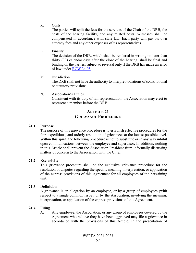K. Costs

The parties will split the fees for the services of the Chair of the DRB, the costs of the hearing facility, and any related costs. Witnesses shall be compensated in accordance with state law. Each party will pay its own attorney fees and any other expenses of its representatives.

L. Finality

The decision of the DRB, which shall be rendered in writing no later than thirty (30) calendar days after the close of the hearing, shall be final and binding on the parties, subject to reversal only if the DRB has made an error of law under [RCW 34.05.](http://apps.leg.wa.gov/RCW/default.aspx?cite=34.05)

M. Jurisdiction

The DRB shall not have the authority to interpret violations of constitutional or statutory provisions.

N. Association's Duties Consistent with its duty of fair representation, the Association may elect to represent a member before the DRB.

## **ARTICLE 21 GRIEVANCE PROCEDURE**

### <span id="page-64-0"></span>**21.1 Purpose**

The purpose of this grievance procedure is to establish effective procedures for the fair, expeditious, and orderly resolution of grievances at the lowest possible level. Within this spirit, the following procedure is not to substitute or in any way inhibit open communications between the employee and supervisor. In addition, nothing in this Article shall prevent the Association President from informally discussing matters of concern to the Association with the Chief.

### **21.2 Exclusivity**

This grievance procedure shall be the exclusive grievance procedure for the resolution of disputes regarding the specific meaning, interpretation, or application of the express provisions of this Agreement for all employees of the bargaining unit.

#### **21.3 Definition**

A grievance is an allegation by an employee, or by a group of employees (with respect to a single common issue), or by the Association, involving the meaning, interpretation, or application of the express provisions of this Agreement.

### **21.4 Filing**

A. Any employee, the Association, or any group of employees covered by the Agreement who believe they have been aggrieved may file a grievance in accordance with the provisions of this Article. In the presentation of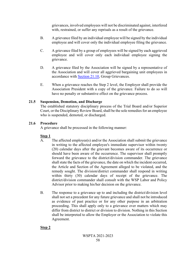grievances, involved employees will not be discriminated against, interfered with, restrained, or suffer any reprisals as a result of the grievance.

- B. A grievance filed by an individual employee will be signed by the individual employee and will cover only the individual employee filing the grievance.
- C. A grievance filed by a group of employees will be signed by each aggrieved employee and will cover only each individual employee signing the grievance.
- D. A grievance filed by the Association will be signed by a representative of the Association and will cover all aggrieved bargaining unit employees in accordance with [Section 21.10,](#page-68-0) Group Grievances.
- E. When a grievance reaches the Step 2 level, the Employer shall provide the Association President with a copy of the grievance. Failure to do so will have no penalty or substantive effect on the grievance process.

## **21.5 Suspension, Demotion, and Discharge**

The established statutory disciplinary process of the Trial Board and/or Superior Court, or the Disciplinary Review Board, shall be the sole remedies for an employee who is suspended, demoted, or discharged.

## **21.6 Procedure**

A grievance shall be processed in the following manner:

## **Step 1**

- A. The affected employee(s) and/or the Association shall submit the grievance in writing to the affected employee's immediate supervisor within twenty (20) calendar days after the grievant becomes aware of its occurrence or should have been aware of the occurrence. The supervisor shall promptly forward the grievance to the district/division commander. The grievance shall state the facts of the grievance, the date on which the incident occurred, the Article and Section of the Agreement alleged to be violated, and the remedy sought. The division/district commander shall respond in writing within thirty (30) calendar days of receipt of the grievance. The district/division commander shall consult with the WSP Labor and Policy Advisor prior to making his/her decision on the grievance.
- B. The response to a grievance up to and including the district/division level shall not set a precedent for any future grievance and shall not be introduced as evidence of past practice or for any other purpose in an arbitration proceeding. This shall apply only to a grievance over matters which may differ from district to district or division to division. Nothing in this Section shall be interpreted to allow the Employer or the Association to violate this Agreement.

## **Step 2**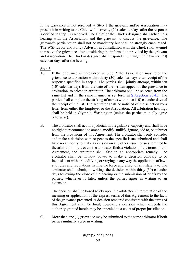If the grievance is not resolved at Step 1 the grievant and/or Association may present it in writing to the Chief within twenty (20) calendar days after the response specified in Step 1 is received. The Chief or the Chief's designee shall schedule a hearing with the Association and the grievant to discuss the grievance. The grievant's participation shall not be mandatory but shall be strongly encouraged. The WSP Labor and Policy Advisor, in consultation with the Chief, shall attempt to resolve the grievance after considering the information provided by the grievant and Association. The Chief or designee shall respond in writing within twenty (20) calendar days after the hearing.

### **Step 3**

- A. If the grievance is unresolved at Step 2 the Association may refer the grievance to arbitration within thirty (30) calendar days after receipt of the response specified in Step 2. The parties shall jointly attempt, within ten (10) calendar days from the date of the written appeal of the grievance to arbitration, to select an arbitrator. The arbitrator shall be selected from the same list and in the same manner as set forth in [Subsection 20.4E.](#page-62-1) The parties shall complete the striking of names within ten (10) calendar days of the receipt of the list. The arbitrator shall be notified of the selection by a letter from either the Employer or the Association. All arbitration hearings shall be held in Olympia, Washington (unless the parties mutually agree otherwise).
- B. The arbitrator shall act in a judicial, not legislative, capacity and shall have no right to recommend to amend, modify, nullify, ignore, add to, or subtract from the provisions of this Agreement. The arbitrator shall only consider and make a decision with respect to the specific issue submitted and shall have no authority to make a decision on any other issue not so submitted to the arbitrator. In the event the arbitrator finds a violation of the terms of this Agreement, the arbitrator shall fashion an appropriate remedy. The arbitrator shall be without power to make a decision contrary to or inconsistent with or modifying or varying in any way the application of laws and rules and regulations having the force and effect of any state law. The arbitrator shall submit, in writing, the decision within thirty (30) calendar days following the close of the hearing or the submission of briefs by the parties, whichever is later, unless the parties agree in writing to an extension.

The decision shall be based solely upon the arbitrator's interpretation of the meaning or application of the express terms of this Agreement to the facts of the grievance presented. A decision rendered consistent with the terms of this Agreement shall be final; however, a decision which exceeds the authority granted herein may be appealed to a court of proper jurisdiction.

C. More than one (1) grievance may be submitted to the same arbitrator if both parties mutually agree in writing.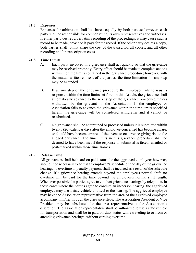## **21.7 Expenses**

Expenses for arbitration shall be shared equally by both parties; however, each party shall be responsible for compensating its own representatives and witnesses. If either party desires a verbatim recording of the proceedings, it may cause such a record to be made, provided it pays for the record. If the other party desires a copy, both parties shall jointly share the cost of the transcript, all copies, and all other recording and/or transcription costs.

#### **21.8 Time Limits**

- A. Each party involved in a grievance shall act quickly so that the grievance may be resolved promptly. Every effort should be made to complete actions within the time limits contained in the grievance procedure; however, with the mutual written consent of the parties, the time limitation for any step may be extended.
- B. If at any step of the grievance procedure the Employer fails to issue a response within the time limits set forth in this Article, the grievance shall automatically advance to the next step of the grievance procedure, unless withdrawn by the grievant or the Association. If the employee or Association fails to advance the grievance within the time limits specified herein, the grievance will be considered withdrawn and it cannot be resubmitted.
- C. No grievance shall be entertained or processed unless it is submitted within twenty (20) calendar days after the employee concerned has become aware, or should have become aware, of the event or occurrence giving rise to the alleged grievance. The time limits in this grievance procedure shall be deemed to have been met if the response or submittal is faxed, emailed or post-marked within those time frames.

#### <span id="page-67-0"></span>**21.9 Release Time**

All grievances shall be heard on paid status for the aggrieved employee; however, should it be necessary to adjust an employee's schedule on the day of the grievance hearing, no overtime or penalty payment shall be incurred as a result of the schedule change. If a grievance hearing extends beyond the employee's normal shift, no overtime will be paid for the time beyond the employee's normal shift length. Whenever possible the parties agree to conduct grievance hearings by telephone. In those cases where the parties agree to conduct an in-person hearing, the aggrieved employee may use a state vehicle to travel to the hearing. The aggrieved employee may have the Association representative from the area of the aggrieved employee accompany him/her through the grievance steps. The Association President or Vice President may be substituted for the area representative at the Association's discretion. The Association representative shall be authorized to use a state vehicle for transportation and shall be in paid on-duty status while traveling to or from or attending grievance hearings, without earning overtime.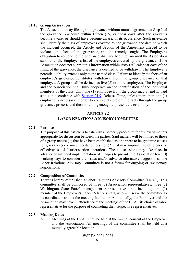#### <span id="page-68-0"></span>**21.10 Group Grievances**

The Association may file a group grievance without mutual agreement at Step 3 of the grievance procedure within fifteen (15) calendar days after the grievants become aware, or should have become aware, of its occurrence. Such grievance shall identify the class of employees covered by the grievance, the date on which the incident occurred, the Article and Section of the Agreement alleged to be violated, the facts of the grievance, and the remedy sought. The Employer's obligation to respond to the grievance shall not begin to run until the Association submits to the Employer a list of the employees covered by the grievance. If the Association does not submit this information within sixty (60) calendar days of the filing of the grievance, the grievance is deemed to be withdrawn. The Employer's potential liability extends only to the named class. Failure to identify the facts of an employee's grievance constitutes withdrawal from the group grievance of that employee. A group shall be defined as five (5) or more employees. The Employer and the Association shall fully cooperate on the identification of the individual members of the class. Only one (1) employee from the group may attend in paid status in accordance with [Section 21.9,](#page-67-0) Release Time, unless more than one (1) employee is necessary in order to completely present the facts through the group grievance process, and then only long enough to present the testimony.

## **ARTICLE 22 LABOR RELATIONS ADVISORY COMMITTEE**

#### <span id="page-68-1"></span>**22.1 Purpose**

The purpose of this Article is to establish an orderly procedure for review of matters appropriate for discussion between the parties. Said matters will be limited to those of a group nature (1) that have been established as or appear to be systemic causes for grievance(s) or misunderstanding(s); or  $(2)$  that may improve the efficiency or effectiveness of district/section operations. These discussions may take place in advance of intended implementation of changes to provide the Association ten (10) working days to consider the issues and/or advance alternative suggestions. The Labor Relations Advisory Committee is not a forum for ongoing or revisionary negotiations.

#### **22.2 Composition of Committee**

There is hereby established a Labor Relations Advisory Committee (LRAC). This committee shall be composed of three (3) Association representatives, three (3) Washington State Patrol management representatives, not including one (1) member of the Employer's Labor Relations staff, who will serve the committee as its coordinator and as the meeting facilitator. Additionally, the Employer and the Association may have in attendance at the meetings of the LRAC its choice of labor representative for the purpose of counseling their respective representatives.

#### **22.3 Meeting Dates**

A. Meetings of the LRAC shall be held at the mutual consent of the Employer and the Association. All meetings of the committee shall be held at a mutually agreeable location.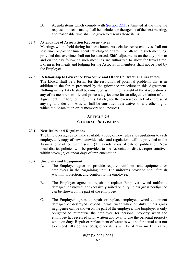B. Agenda items which comply with **Section 22.1**, submitted at the time the request to meet is made, shall be included on the agenda of the next meeting, and reasonable time shall be given to discuss those items.

### **22.4 Attendance of Association Representatives**

Meetings will be held during business hours. Association representatives shall not lose time or pay for time spent traveling to or from, or attending such meetings, provided that overtime shall not be accrued. Shift adjustments on the day prior to and on the day following such meetings are authorized to allow for travel time. Expenses for meals and lodging for the Association members shall not be paid by the Employer.

### **22.5 Relationship to Grievance Procedure and Other Contractual Guarantees**

The LRAC shall be a forum for the resolution of potential problems that is in addition to the forum presented by the grievance procedure in this Agreement. Nothing in this Article shall be construed as limiting the right of the Association or any of its members to file and process a grievance for an alleged violation of this Agreement; Further, nothing in this Article, nor the exercise or lack of exercise of any rights under this Article, shall be construed as a waiver of any other rights which the Association or its members shall possess.

## **ARTICLE 23 GENERAL PROVISIONS**

### **23.1 New Rules and Regulations**

The Employer agrees to make available a copy of new rules and regulations to each employee. A copy of new statewide rules and regulations will be provided to the Association's office within seven (7) calendar days of date of publication. New local district policies will be provided to the Association district representatives within seven (7) calendar days of implementation.

### **23.2 Uniforms and Equipment**

- A. The Employer agrees to provide required uniforms and equipment for employees in the bargaining unit. The uniforms provided shall furnish warmth, protection, and comfort to the employee.
- B. The Employer agrees to repair or replace Employer-owned uniforms damaged, destroyed, or excessively soiled on duty unless gross negligence can be shown on the part of the employee.
- C. The Employer agrees to repair or replace employee-owned equipment damaged or destroyed beyond normal wear while on duty unless gross negligence can be shown on the part of the employee. The Employer is only obligated to reimburse the employee for personal property when the employee has received prior written approval to use the personal property while on duty. Repair or replacement of watches will be for actual cost not to exceed fifty dollars (\$50); other items will be at "fair market" value.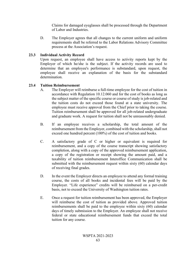Claims for damaged eyeglasses shall be processed through the Department of Labor and Industries.

D. The Employer agrees that all changes to the current uniform and uniform requirements shall be referred to the Labor Relations Advisory Committee process at the Association's request.

## **23.3 Individual Activity Record**

Upon request, an employee shall have access to activity reports kept by the Employer of which he/she is the subject. If the activity records are used to determine that an employee's performance is substandard, upon request, the employee shall receive an explanation of the basis for the substandard determination.

## **23.4 Tuition Reimbursement**

- A. The Employer will reimburse a full-time employee for the cost of tuition in accordance with Regulation 10.12.060 and for the cost of books as long as the subject matter of the specific course or course of study is job-related and the tuition costs do not exceed those found at a state university. The employee must receive approval from the Chief prior to taking the course. Tuition reimbursement shall be approved for all job-related undergraduate and graduate work. A request for tuition shall not be unreasonably denied.
- B. If an employee receives a scholarship, the total amount of the reimbursement from the Employer, combined with the scholarship, shall not exceed one hundred percent (100%) of the cost of tuition and books.
- C. A satisfactory grade of C or higher or equivalent is required for reimbursement, and a copy of the course transcript showing satisfactory completion, along with a copy of the approved reimbursement application, a copy of the registration or receipt showing the amount paid, and a taxability of tuition reimbursement Interoffice Communication shall be submitted with the reimbursement request within sixty (60) calendar days of receiving final grades.
- D. In the event the Employer directs an employee to attend any formal training course, the costs of all books and incidental fees will be paid by the Employer. "Life experience" credits will be reimbursed on a per-credit basis, not to exceed the University of Washington tuition rates.
- E. Once a request for tuition reimbursement has been approved, the Employer will reimburse the cost of tuition as provided above. Approved tuition reimbursements shall be paid to the employee within sixty (60) calendar days of timely submission to the Employer. An employee shall not receive federal or state educational reimbursement funds that exceed the total tuition for any course.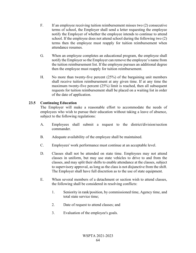- F. If an employee receiving tuition reimbursement misses two (2) consecutive terms of school, the Employer shall send a letter requesting the employee notify the Employer of whether the employee intends to continue to attend school. If the employee does not attend school during the following two (2) terms then the employee must reapply for tuition reimbursement when attendance resumes.
- G. When an employee completes an educational program, the employee shall notify the Employer so the Employer can remove the employee's name from the tuition reimbursement list. If the employee pursues an additional degree then the employee must reapply for tuition reimbursement.
- H. No more than twenty-five percent (25%) of the bargaining unit members shall receive tuition reimbursement at any given time. If at any time the maximum twenty-five percent (25%) limit is reached, then all subsequent requests for tuition reimbursement shall be placed on a waiting list in order of the date of application.

## **23.5 Continuing Education**

The Employer will make a reasonable effort to accommodate the needs of employees who wish to pursue their education without taking a leave of absence, subject to the following regulations:

- A. Employees shall submit a request to the district/division/section commander.
- B. Adequate availability of the employee shall be maintained.
- C. Employees' work performance must continue at an acceptable level.
- D. Classes shall not be attended on state time. Employees may not attend classes in uniform, but may use state vehicles to drive to and from the classes, and may split their shifts to enable attendance at the classes, subject to supervisory approval, as long as the class is not disjunctive from the shift. The Employer shall have full discretion as to the use of state equipment.
- E. When several members of a detachment or section wish to attend classes, the following shall be considered in resolving conflicts:
	- 1. Seniority in rank/position, by commissioned time, Agency time, and total state service time;
	- 2. Date of request to attend classes; and
	- 3. Evaluation of the employee's goals.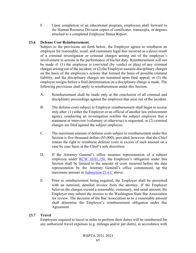F. Upon completion of an educational program, employees shall forward to the Human Resource Division copies of certificates, transcripts, or degrees attached to a completed Employee Status Report.

## <span id="page-72-0"></span>**23.6 Defense Cost Reimbursement.**

Subject to the provisions set forth below, the Employer agrees to reimburse an employee for reasonable, usual, and customary legal fees incurred as a direct result of a criminal investigation or criminal charges arising out of the employee's involvement in actions in the performance of his/her duty. Reimbursement will not be made if: (1) the employee is convicted (by verdict or plea) of any criminal charges arising out of the incident; or (2) the Employer sustains disciplinary charges on the basis of the employee's actions that formed the basis of possible criminal liability, and the disciplinary charges are sustained upon final appeal; or (3) the employee resigns before a final determination on a disciplinary charge is made. The following provisions shall apply to reimbursement under this Section:

- A. Reimbursement shall be made only at the conclusion of all criminal and disciplinary proceedings against the employee that arise out of the incident.
- B. The defense costs subject to Employer reimbursement shall begin to accrue only after: (1) either the Employer or an official of another law enforcement agency conducting an investigation notifies the subject employee that a statement or interview (voluntary or otherwise) is requested; or (2) criminal charges are filed against the subject employee.
- C. The maximum amount of defense costs subject to reimbursement under this Section is five thousand dollars (\$5,000); provided, however, that the Chief retains the right to reimburse defense costs in excess of such amount on a case by case basis at the Chief's sole discretion.
- D. If the Attorney General's office assumes representation of a subject employee under [RCW 10.01.150,](http://apps.leg.wa.gov/RCW/default.aspx?cite=10.01.150) the Employer's obligation under this Section shall be limited to the amount of costs incurred before the date representation by the Attorney General's office commenced, up the maximum amount in [Subsection 23.6 C](#page-72-0) above.
- E. Prior to reimbursement being required, the Employer shall be presented with an itemized, detailed invoice from the attorney. If the Employer believes the charges exceed a reasonable, customary, and usual amount, the Employer may submit the invoice to the Washington State Bar Association for review. The decision of the Bar Association as to a reasonable amount shall determine the Employer's reimbursement obligation under this Agreement.

## **23.7 Travel**

Employees required to travel in order to perform their duties will be reimbursed for any authorized travel expenses (e.g. mileage and/or per diem), in accordance with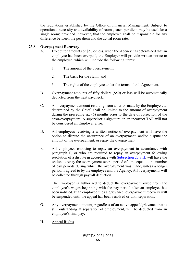the regulations established by the Office of Financial Management. Subject to operational necessity and availability of rooms, such per diem may be used for a single room; provided, however, that the employee shall be responsible for any difference between the per diem and the actual room rate.

## <span id="page-73-0"></span>**23.8 Overpayment Recovery**

- A. Except for amounts of \$50 or less, when the Agency has determined that an employee has been overpaid, the Employer will provide written notice to the employee, which will include the following items:
	- 1. The amount of the overpayment;
	- 2. The basis for the claim; and
	- 3. The rights of the employee under the terms of this Agreement.
- B. Overpayment amounts of fifty dollars (\$50) or less will be automatically deducted from the next paycheck.
- C. An overpayment amount resulting from an error made by the Employer, as determined by the Chief, shall be limited to the amount of overpayment during the preceding six (6) months prior to the date of correction of the error/overpayment. A supervisor's signature on an incorrect TAR will not be considered an Employer error.
- D. All employees receiving a written notice of overpayment will have the option to dispute the occurrence of an overpayment, and/or dispute the amount of the overpayment, or repay the overpayment.
- E. All employees choosing to repay an overpayment in accordance with paragraph F, or who are required to repay an overpayment following resolution of a dispute in accordance with [Subsection 23.8 H,](#page-73-0) will have the option to repay the overpayment over a period of time equal to the number of pay periods during which the overpayment was made, unless a longer period is agreed to by the employee and the Agency. All overpayments will be collected through payroll deduction.
- F. The Employer is authorized to deduct the overpayment owed from the employee's wages beginning with the pay period after an employee has been notified. If an employee files a grievance, overpayment recovery will be suspended until the appeal has been resolved or until separation.
- G. Any overpayment amount, regardless of an active appeal/grievance that is still outstanding at separation of employment, will be deducted from an employee's final pay.
- H. Appeal Rights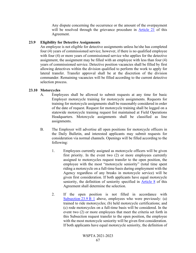Any dispute concerning the occurrence or the amount of the overpayment will be resolved through the grievance procedure in [Article 21](#page-64-0) of this Agreement.

### <span id="page-74-0"></span>**23.9 Eligibility for Detective Assignments**

An employee is not eligible for detective assignments unless he/she has completed four (4) years of commissioned service; however, if there is no qualified employee with four (4) or more years of commissioned service who applies for the detective assignment, the assignment may be filled with an employee with less than four (4) years of commissioned service. Detective position vacancies shall be filled by first allowing detectives within the division qualified to perform the work to apply for lateral transfer. Transfer approval shall be at the discretion of the division commander. Remaining vacancies will be filled according to the current detective selection process.

### **23.10 Motorcycles**

- A. Employees shall be allowed to submit requests at any time for basic Employer motorcycle training for motorcycle assignments. Requests for training for motorcycle assignments shall be reasonably considered in order of the date of request. Request for motorcycle training shall be logged on a statewide motorcycle training request list maintained at Field Operations Headquarters. Motorcycle assignments shall be classified as line assignments.
- B. The Employer will advertise all open positions for motorcycle officers in the Daily Bulletin, and interested applicants may submit requests for consideration via normal channels. Openings will be filled according to the following:
	- 1. Employees currently assigned as motorcycle officers will be given first priority. In the event two (2) or more employees currently assigned to motorcycles request transfer to the open position, the employee with the most "motorcycle seniority" (total time spent riding a motorcycle on a full-time basis during employment with the Agency regardless of any breaks in motorcycle service) will be given first consideration. If both applicants have equal motorcycle seniority, the definition of seniority specified in [Article 8](#page-15-0) of this Agreement shall determine the selection.
	- 2. If the open position is not filled in accordance with [Subsection 23.9 B 1](#page-74-0) above, employees who were previously: (a) trained to ride motorcycles; (b) held motorcycle certifications; and (c) rode motorcycles on a full-time basis will be considered. In the event two (2) or more employees that meet the criteria set forth in this Subsection request transfer to the open position, the employee with the most motorcycle seniority will be given first consideration. If both applicants have equal motorcycle seniority, the definition of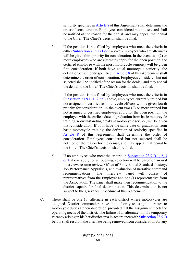seniority specified in [Article 8](#page-15-0) of this Agreement shall determine the order of consideration. Employees considered but not selected shall be notified of the reason for the denial, and may appeal that denial to the Chief. The Chief's decision shall be final.

- 3. If the position is not filled by employees who meet the criteria in either [Subsection 23.9 B 1 or 2](#page-74-0) above, employees who are alternates will be given third priority for consideration. In the event two  $(2)$  or more employees who are alternates apply for the open position, the certified employee with the most motorcycle seniority will be given first consideration. If both have equal motorcycle seniority, the definition of seniority specified in [Article 8](#page-15-0) of this Agreement shall determine the order of consideration. Employees considered but not selected shall be notified of the reason for the denial, and may appeal the denial to the Chief. The Chief's decision shall be final.
- 4. If the position is not filled by employees who meet the criteria in [Subsection 23.9 B 1, 2 or 3](#page-74-0) above, employees currently trained but not assigned or certified as motorcycle officers will be given fourth priority for consideration. In the event two (2) or more trained but not assigned or certified employees apply for the open position, the employee with the earliest date of graduation from basic motorcycle training, notwithstanding breaks in motorcycle service, will be given first consideration. If both have the same date of graduation from basic motorcycle training, the definition of seniority specified in [Article 8](#page-15-0) of this Agreement shall determine the order of consideration. Employees considered but not selected shall be notified of the reason for the denial, and may appeal that denial to the Chief. The Chief's decision shall be final.
- 5. If no employees who meet the criteria in [Subsection 23.9 B 1, 2, 3](#page-74-0)  [or 4](#page-74-0) above apply for an opening, selection will be based on an oral interview, resume review, Office of Professional Standards history, Job Performance Appraisals, and evaluation of narrative command recommendations. The interview panel will consist of representatives from the Employer and one (1) representative from the Association. The panel shall make their recommendation to the district captain for final determination. This determination is not subject to the grievance procedure of this Agreement.
- C. There shall be one (1) alternate in each district where motorcycles are assigned. District commanders have the authority to assign alternates to motorcycle duties at their discretion, provided that the assignment meets the operating needs of the district. The failure of an alternate to fill a temporary vacancy arising in his/her district area in accordance wit[h Subsection 23.9 D](#page-74-0) below shall result in the alternate being removed from consideration for any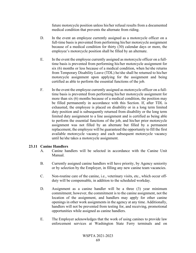future motorcycle position unless his/her refusal results from a documented medical condition that prevents the alternate from riding.

- D. In the event an employee currently assigned as a motorcycle officer on a full-time basis is prevented from performing his/her motorcycle assignment because of a medical condition for thirty (30) calendar days or more, the employee's motorcycle position shall be filled by an alternate.
- E. In the event the employee currently assigned as motorcycle officer on a fulltime basis is prevented from performing his/her motorcycle assignment for six (6) months or less because of a medical condition, when he/she returns from Temporary Disability Leave (TDL) he/she shall be returned to his/her motorcycle assignment upon applying for the assignment and being certified as able to perform the essential functions of the job.
- F. In the event the employee currently assigned as motorcycle officer on a fulltime basis is prevented from performing his/her motorcycle assignment for more than six (6) months because of a medical condition, the position may be filled permanently in accordance with this Section. If, after TDL is exhausted, the employee is placed on disability or in a long term limited duty position and is subsequently returned from disability or the long term limited duty assignment to a line assignment and is certified as being able to perform the essential functions of the job, and his/her prior motorcycle assignment was not filled by an alternate but filled by a permanent replacement, the employee will be guaranteed the opportunity to fill the first available motorcycle vacancy and each subsequent motorcycle vacancy until he/she takes a motorcycle assignment.

### **23.11 Canine Handlers**

- A. Canine handlers will be selected in accordance with the Canine Unit Manual.
- B. Currently assigned canine handlers will have priority, by Agency seniority or by selection by the Employer, in filling any new canine team vacancies.
- C. Non-routine care of the canine, i.e., veterinary visits, etc., which occur offduty will be compensable, in addition to the scheduled workday.
- D. Assignment as a canine handler will be a three (3) year minimum commitment; however, the commitment is to the canine assignment, not the location of the assignment, and handlers may apply for other canine openings in other work assignments in the agency at any time. Additionally, handlers will not be prevented from testing for, and receiving, promotional opportunities while assigned as canine handlers.
- E. The Employer acknowledges that the work of using canines to provide law enforcement services at Washington State Ferry terminals and on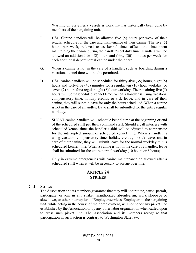Washington State Ferry vessels is work that has historically been done by members of the bargaining unit.

- F. HSD Canine handlers will be allowed five (5) hours per week of their regular schedule for the care and maintenance of their canine. The five (5) hours per week, referred to as kennel time, offsets the time spent maintaining the canine during the handler's off duty time. Handlers will be allowed an additional two (2) hours and thirty (30) minutes per week for each additional departmental canine under their care.
- G. When a canine is not in the care of a handler, such as boarding during a vacation, kennel time will not be permitted.
- H. HSD canine handlers will be scheduled for thirty-five (35) hours; eight (8) hours and forty-five (45) minutes for a regular ten (10) hour workday, or seven (7) hours for a regular eight (8) hour workday. The remaining five (5) hours will be unscheduled kennel time. When a handler is using vacation, compensatory time, holiday credits, or sick leave, and in care of their canine, they will submit leave for only the hours scheduled. When a canine is not in the care of a handler, leave shall be submitted for the entire regular workday.
- I. SHCAT canine handlers will schedule kennel time at the beginning or end of the scheduled shift per their command staff. Should a call interfere with scheduled kennel time, the handler's shift will be adjusted to compensate for the interrupted amount of scheduled kennel time. When a handler is using vacation, compensatory time, holiday credits, or sick leave, and in care of their canine, they will submit leave for the normal workday minus scheduled kennel time. When a canine is not in the care of a handler, leave shall be submitted for the entire normal workday (10 hours or 8 hours).
- J. Only in extreme emergencies will canine maintenance be allowed after a scheduled shift when it will be necessary to accrue overtime.

## **ARTICLE 24 STRIKES**

#### **24.1 Strikes**

The Association and its members guarantee that they will not initiate, cause, permit, participate, or join in any strike, unauthorized absenteeism, work stoppage or slowdown, or other interruption of Employer services. Employees in the bargaining unit, while acting in the course of their employment, will not honor any picket line established by the Association or by any other labor organization when called upon to cross such picket line. The Association and its members recognize that participation in such action is contrary to Washington State law.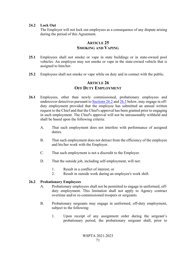### **24.2 Lock Out**

The Employer will not lock out employees as a consequence of any dispute arising during the period of this Agreement.

## **ARTICLE 25 SMOKING AND VAPING**

- **25.1** Employees shall not smoke or vape in state buildings or in state-owned pool vehicles. An employee may not smoke or vape in the state-owned vehicle that is assigned to him/her.
- **25.2** Employees shall not smoke or vape while on duty and in contact with the public.

# **ARTICLE 26 OFF DUTY EMPLOYMENT**

- **26.1** Employees, other than newly commissioned, probationary employees and undercover detectives pursuant to [Sections 26.2](#page-78-0) an[d 26.3](#page-79-0) below, may engage in offduty employment provided that the employee has submitted an annual written request to the Chief and that the Chief's approval has been granted prior to engaging in such employment. The Chief's approval will not be unreasonably withheld and shall be based upon the following criteria:
	- A. That such employment does not interfere with performance of assigned duties.
	- B. That such employment does not detract from the efficiency of the employee and his/her work with the Employer.
	- C. That such employment is not a discredit to the Employer.
	- D. That the outside job, including self-employment, will not:
		- 1. Result in a conflict of interest; or
		- 2. Result in outside work during an employee's work shift.

#### <span id="page-78-0"></span>**26.2 Probationary Employees**

- A. Probationary employees shall not be permitted to engage in uniformed, offduty employment. This limitation shall not apply to Agency contract overtime and/or re-commissioned troopers or sergeants.
- B. Probationary sergeants may engage in uniformed, off-duty employment, subject to the following:
	- 1. Upon receipt of any assignment order during the sergeant's probationary period, the probationary sergeant shall, prior to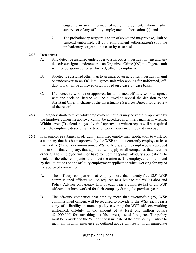engaging in any uniformed, off-duty employment, inform his/her supervisor of any off-duty employment authorizations(s); and

2. The probationary sergeant's chain of command may revoke, limit or suspend uniformed, off-duty employment authorization(s) for the probationary sergeant on a case-by-case basis.

### <span id="page-79-0"></span>**26.3 Detectives**

- A. Any detective assigned undercover to a narcotics investigation unit and any detective assigned undercover to an Organized Crime (OC) intelligence unit will not be approved for uniformed, off-duty employment.
- B. A detective assigned other than to an undercover narcotics investigation unit or undercover to an OC intelligence unit who applies for uniformed, offduty work will be approved/disapproved on a case-by-case basis.
- C. If a detective who is not approved for uniformed off-duty work disagrees with the decision, he/she will be allowed to appeal the decision to the Assistant Chief in charge of the Investigative Services Bureau for a review of the record.
- **26.4** Emergency short-term, off-duty employment requests may be verbally approved by the Employer, when the approval cannot be expedited in a timely manner in writing. Within seven (7) calendar days of verbal approval, a written report will be required from the employee describing the type of work, hours incurred, and employer.
- **26.5** If an employee submits an off-duty, uniformed employment application to work for a company that has been approved by the WSP and that currently employs at least twenty-five (25) other commissioned WSP officers, and the employee is approved to work for that company, that approval will apply to all companies that meet the criteria. The employee will not have to submit separate off-duty applications to work for the other companies that meet the criteria. The employee will be bound by the limitations on the off-duty employment application when working for any of the approved companies.
	- A. The off-duty companies that employ more than twenty-five (25) WSP commissioned officers will be required to submit to the WSP Labor and Policy Advisor on January 15th of each year a complete list of all WSP officers that have worked for their company during the previous year.
	- B. The off-duty companies that employ more than twenty-five (25) WSP commissioned officers will be required to provide to the WSP each year a copy of a liability insurance policy covering the WSP officers working uniformed, off-duty in the amount of at least one million dollars (\$1,000,000) for such things as false arrest, use of force, etc.. The policy must be provided to the WSP on the issue date of the new policy. Failure to maintain liability insurance as outlined above will result in an immediate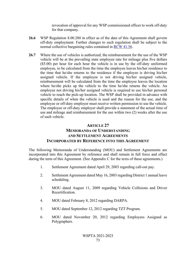revocation of approval for any WSP commissioned officer to work off-duty for that company.

- **26.6** WSP Regulation 8.00.280 in effect as of the date of this Agreement shall govern off-duty employment. Further changes to such regulation shall be subject to the normal collective bargaining rules contained in [RCW 41.56.](http://apps.leg.wa.gov/RCW/default.aspx?cite=41.56)
- **26.7** Where the use of vehicles is authorized, the reimbursement for the use of the WSP vehicle will be at the prevailing state employee rate for mileage plus five dollars (\$5.00) per hour for each hour the vehicle is in use by the off-duty uniformed employee, to be calculated from the time the employee leaves his/her residence to the time that he/she returns to the residence if the employee is driving his/her assigned vehicle. If the employee is not driving his/her assigned vehicle, reimbursement will be calculated from the time the employee leaves the location where he/she picks up the vehicle to the time he/she returns the vehicle. An employee not driving his/her assigned vehicle is required to use his/her personal vehicle to reach the pick-up location. The WSP shall be provided in advance with specific details of when the vehicle is used and the reason for the use, and the employee or off-duty employer must receive written permission to use the vehicle. The employee or off-duty employer shall provide a statement of the actual time of use and mileage and reimbursement for the use within two (2) weeks after the use of such vehicle.

### **ARTICLE 27**

# **MEMORANDA OF UNDERSTANDING AND SETTLEMENT AGREEMENTS INCORPORATED BY REFERENCE INTO THIS AGREEMENT**

The following Memoranda of Understanding (MOU) and Settlement Agreements are incorporated into this Agreement by reference and shall remain in full force and effect during the term of this Agreement. (See Appendix C for the texts of these agreements.)

- 1. Settlement Agreement dated April 29, 2003 regarding call-out pay.
- 2. Settlement Agreement dated May 16, 2003 regarding District 1 annual leave scheduling.
- 3. MOU dated August 11, 2009 regarding Vehicle Collisions and Driver Recertification.
- 4. MOU dated February 8, 2012 regarding DARPA.
- 5. MOU dated September 12, 2012 regarding TZT Program.
- 6. MOU dated November 20, 2012 regarding Employees Assigned as Polygraphers.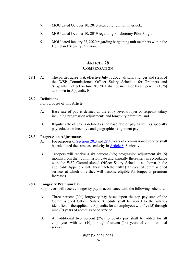- 7. MOU dated October 10, 2013 regarding ignition interlock.
- 8. MOU dated October 10, 2019 regarding Phlebotomy Pilot Program.
- 9. MOU dated January 27, 2020 regarding bargaining unit members within the Homeland Security Division.

# **ARTICLE 28 COMPENSATION**

28.1 A. The parties agree that, effective July 1, 2022, all salary ranges and steps of the WSP Commissioned Officer Salary Schedule for Troopers and Sergeants in effect on June 30, 2021 shall be increased by ten percent (10%) as shown in Appendix B.

#### **28.2 Definitions**

For purposes of this Article:

- A. Base rate of pay is defined as the entry level trooper or sergeant salary including progression adjustments and longevity premium; and
- B. Regular rate of pay is defined as the base rate of pay as well as specialty pay, education incentive and geographic assignment pay.

#### **28.3 Progression Adjustments**

- A. For purposes of Sections 28.3 and 28.4, years of commissioned service shall be calculated the same as seniority in Article 8, Seniority.
- B. Troopers will receive a six percent (6%) progression adjustment six (6) months from their commission date and annually thereafter, in accordance with the WSP Commissioned Officer Salary Schedule as shown in the applicable Appendix, until they reach their fifth (5th) year of commissioned service, at which time they will become eligible for longevity premium increases.

### **28.4 Longevity Premium Pay**

Employees will receive longevity pay in accordance with the following schedule:

- <span id="page-81-0"></span>A. Three percent (3%) longevity pay based upon the top pay step of the Commissioned [Officer Salar](#page-81-0)y [Schedu](#page-82-0)le shall be added to the salaries identified in the applicable Appendix [for all emp](#page-15-0)loyees with five (5) through nine (9) years of commissioned service.
- B. An additional two percent (2%) longevity pay shall be added for all employees with ten (10) through fourteen (14) years of commissioned service.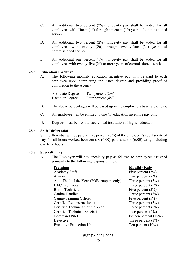- C. An additional two percent (2%) longevity pay shall be added for all employees with fifteen (15) through nineteen (19) years of commissioned service.
- <span id="page-82-0"></span>D. An additional two percent (2%) longevity pay shall be added for all employees with twenty (20) through twenty-four (24) years of commissioned service.
- E. An additional one percent (1%) longevity pay shall be added for all employees with twenty-five (25) or more years of commissioned service.

#### **28.5 Education Incentive**

A. The following monthly education incentive pay will be paid to each employee upon completing the listed degree and providing proof of completion to the Agency.

| Associate Degree       | Two percent $(2\%)$  |
|------------------------|----------------------|
| <b>Bachelor Degree</b> | Four percent $(4\%)$ |

- B. The above percentages will be based upon the employee's base rate of pay.
- C. An employee will be entitled to one (1) education incentive pay only.
- D. Degrees must be from an accredited institution of higher education.

#### **28.6 Shift Differential**

Shift differential will be paid at five percent (5%) of the employee's regular rate of pay for all hours worked between six (6:00) p.m. and six (6:00) a.m., including overtime hours.

#### **28.7 Specialty Pay**

A. The Employer will pay specialty pay as follows to employees assigned primarily to the following responsibilities:

<span id="page-82-1"></span>

| Premium                                    | <b>Monthly Rate</b>     |
|--------------------------------------------|-------------------------|
| <b>Academy Staff</b>                       | Five percent $(5\%)$    |
| Armorer                                    | Two percent $(2\%)$     |
| Auto Theft of the Year (FOB troopers only) | Three percent $(3\%)$   |
| <b>BAC</b> Technician                      | Three percent $(3\%)$   |
| <b>Bomb Technician</b>                     | Five percent $(5\%)$    |
| Canine Handler                             | Three percent $(3\%)$   |
| Canine Training Officer                    | Five percent $(5\%)$    |
| <b>Certified Reconstructionist</b>         | Three percent $(3\%)$   |
| Certified Technician of the Year           | Three percent $(3\%)$   |
| Certified Technical Specialist             | Two percent $(2\%)$     |
| <b>Command Pilot</b>                       | Fifteen percent $(15%)$ |
| Detective                                  | Three percent $(3\%)$   |
| <b>Executive Protection Unit</b>           | Ten percent $(10\%)$    |
|                                            |                         |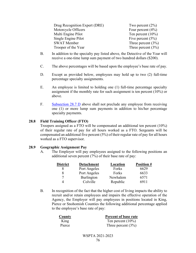| Drug Recognition Expert (DRE) | Two percent $(2\%)$   |
|-------------------------------|-----------------------|
| Motorcycle Officers           | Four percent $(4\%)$  |
| Multi Engine Pilot            | Ten percent $(10\%)$  |
| Single Engine Pilot           | Five percent $(5\%)$  |
| <b>SWAT Member</b>            | Three percent $(3\%)$ |
| Trooper of the Year           | Three percent $(3\%)$ |

- B. In addition to the specialty pay listed above, the Detective of the Year will receive a one-time lump sum payment of two hundred dollars (\$200).
- C. The above percentages will be based upon the employee's base rate of pay.
- D. Except as provided below, employees may hold up to two (2) full-time percentage specialty assignments.
- E. An employee is limited to holding one (1) full-time percentage specialty assignment if the monthly rate for such assignment is ten percent (10%) or above.
- F. Subsection 28.7 D above shall not preclude any employee from receiving one (1) or more lump sum payments in addition to his/her percentage specialty payments.

#### **28.8 Field Training Officer (FTO)**

Troopers assigned as a FTO will be compensated an additional ten percent (10%) of their regular rate of pay for all hours worked as a FTO. Sergeants will be compensated an additional five percent (5%) of their regular rate of pay for all hours worked as a FTO supervisor.

#### **28.9 Geographic Assignment Pay**

A. The Employer will pay employees assigned to the following positions an additional seven percent (7%) of their base rate of pay:

| <b>District</b> | <b>Detachment</b> | Location | <b>Position #</b> |
|-----------------|-------------------|----------|-------------------|
|                 | Port Angeles      | Forks    | 6629              |
| 8               | Port Angeles      | Forks    | 6633              |
|                 | Burlington        | Newhalem | 6571              |
|                 | Colville          | Republic | 6911              |

<span id="page-83-0"></span>B. In recognition of the fact that the higher cost of living impacts the ability to recruit and/or retain employees and impairs the effective operation of the Agency, the Employer will pay employees in positions located in King, Pierce or Snohomish Counties the following additional percentage applied to the employee's base rate of pay:

| County | Percent of base rate  |  |
|--------|-----------------------|--|
| King   | Ten percent $(10\%)$  |  |
| Pierce | Three percent $(3\%)$ |  |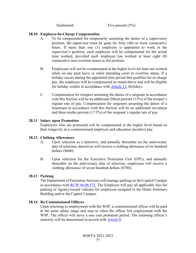### **28.10 Employee-In-Charge Compensation**

- A. To be compensated for temporarily assuming the duties of a supervisory position, the supervisor must be gone for forty (40) or more consecutive hours. If more than one (1) employee is appointed to work in the supervisor's position, each employee will be compensated for the actual time worked, provided each employee has worked at least eight (8) consecutive non-overtime hours in the position.
- B. Employees will not be compensated at the higher level for time not worked while on any paid leave or while attending court in overtime status. If a holiday occurs during the appointed time period that qualifies for in-charge pay, the employee will be compensated as stated above and will be eligible for holiday credits in accordance with Article 13, Holidays.
- C. Compensation for troopers assuming the duties of a sergeant in accordance with this Section will be an additional fifteen percent (15%) of the trooper's regular rate of pay. Compensation for sergeants assuming the duties of a lieutenant in accordance with this Section will be an additional seventeen and three-tenths percent (17.3%) of the sergeant's regular rate of pay.

#### **28.11 Salary upon Promotion**

Employees who are promoted will be compensated at the higher level based on their longevity as a commissioned employee and education incentive pay.

#### **28.12 Clothing Allowances**

- A. Upon selection as a detective, and annually thereafter on the anniversary date of selection, detectives will recei[ve a clothing](#page-36-0) allowance of six hundred dollars (\$600).
- B. Upon selection for the Executive Protection Unit (EPU), and annually thereafter on the anniversary date of selection, employees will receive a clothing allowance of seven hundred dollars (\$700).

### **28.13 Parking**

The Department of Enterprise Services will manage parking on the Capitol Campus in accordance with RCW 46.08.172. The Employer will pay all applicable fees for parking of Agency-issued vehicles for employees assigned to the Helen Sommers Building and/or the Capitol Campus.

### **28.14 Re-Commissioned Officers**

Upon returning to employment with the WSP, a commissioned officer will be paid at the same salary range and step as when the officer left employment with the WSP. The officer will serve a one year probation period. The returning officer's seniority will be determined in accord with **Article 8**.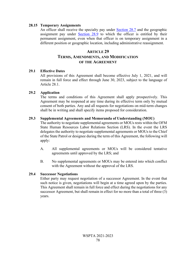#### **28.15 Temporary Assignments**

An officer shall receive the specialty pay under Section 28.7 and the geographic assignment pay under Section 28.9 to which the officer is entitled by their permanent assignment, even when that officer is on temporary assignment in a different position or geographic location, including administrative reassignment.

# **[ARTI](http://apps.leg.wa.gov/RCW/default.aspx?cite=46.08.172)CLE 29 TERMS, AMENDMENTS, AND MODIFICATION OF THE AGREEMENT**

#### **29.1 Effective Dates**

All provisions of this Agreement shall become effective July 1, 2021, and will remain in full force and effect through June 30, 2023, subject to the language of Article 28.1.

#### **29.2 Application**

The terms and conditions of this Agreement [shall apply p](#page-82-1)rospectively. This Agreement may be reo[pened at any tim](#page-83-0)e during its effective term only by mutual consent of both parties. Any and all requests for negotiations on mid-term changes shall be in writing and shall specify items proposed for consideration.

#### **29.3 Supplemental Agreements and Memoranda of Understanding (MOU)**

The authority to negotiate supplemental agreements or MOUs rests within the OFM State Human Resources Labor Relations Section (LRS). In the event the LRS delegates the authority to negotiate supplemental agreements or MOUs to the Chief of the State Patrol or designee during the term of this Agreement, the following will apply:

- A. All supplemental agreements or MOUs will be considered tentative agreements until approved by the LRS; and
- B. No supplemental agreements or MOUs may be entered into which conflict with the Agreement without the approval of the LRS.

### **29.4 Successor Negotiations**

Either party may request negotiation of a successor Agreement. In the event that such notice is given, negotiations will begin at a time agreed upon by the parties. This Agreement shall remain in full force and effect during the negotiations for any successor Agreement, but shall remain in effect for no more than a total of three (3) years.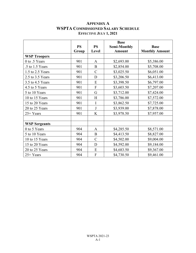# **APPENDIX A WSPTA COMMISSIONED SALARY SCHEDULE EFFECTIVE JULY 1, 2021**

|                      |           |                | <b>Base</b>         |                       |
|----------------------|-----------|----------------|---------------------|-----------------------|
|                      | <b>PS</b> | <b>PS</b>      | <b>Semi-Monthly</b> | <b>Base</b>           |
|                      | Group     | Level          | <b>Amount</b>       | <b>Monthly Amount</b> |
| <b>WSP Troopers</b>  |           |                |                     |                       |
| 0 to .5 Years        | 901       | $\mathbf{A}$   | \$2,693.00          | \$5,386.00            |
| .5 to 1.5 Years      | 901       | $\bf{B}$       | \$2,854.00          | \$5,708.00            |
| 1.5 to 2.5 Years     | 901       | $\mathcal{C}$  | \$3,025.50          | \$6,051.00            |
| 2.5 to 3.5 Years     | 901       | D              | \$3,206.50          | \$6,413.00            |
| 3.5 to 4.5 Years     | 901       | E              | \$3,398.50          | \$6,797.00            |
| 4.5 to 5 Years       | 901       | $\overline{F}$ | \$3,603.50          | \$7,207.00            |
| 5 to 10 Years        | 901       | G              | \$3,712.00          | \$7,424.00            |
| 10 to 15 Years       | 901       | Η              | \$3,786.00          | \$7,572.00            |
| 15 to 20 Years       | 901       | I              | \$3,862.50          | \$7,725.00            |
| 20 to 25 Years       | 901       | $\bf J$        | \$3,939.00          | \$7,878.00            |
| 25+ Years            | 901       | K              | \$3,978.50          | \$7,957.00            |
|                      |           |                |                     |                       |
| <b>WSP Sergeants</b> |           |                |                     |                       |
| 0 to 5 Years         | 904       | A              | \$4,285.50          | \$8,571.00            |
| 5 to 10 Years        | 904       | $\bf{B}$       | \$4,413.50          | \$8,827.00            |
| 10 to 15 Years       | 904       | $\mathbf C$    | \$4,502.00          | \$9,004.00            |
| 15 to 20 Years       | 904       | D              | \$4,592.00          | \$9,184.00            |
| 20 to 25 Years       | 904       | E              | \$4,683.50          | \$9,367.00            |
| $25+Years$           | 904       | $\overline{F}$ | \$4,730.50          | \$9,461.00            |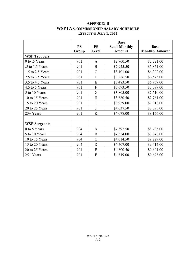# **APPENDIX B WSPTA COMMISSIONED SALARY SCHEDULE EFFECTIVE JULY 1, 2022**

|                      |           |               | <b>Base</b>         |                       |
|----------------------|-----------|---------------|---------------------|-----------------------|
|                      | <b>PS</b> | <b>PS</b>     | <b>Semi-Monthly</b> | <b>Base</b>           |
|                      | Group     | Level         | <b>Amount</b>       | <b>Monthly Amount</b> |
| <b>WSP Troopers</b>  |           |               |                     |                       |
| 0 to .5 Years        | 901       | A             | \$2,760.50          | \$5,521.00            |
| .5 to 1.5 Years      | 901       | B             | \$2,925.50          | \$5,851.00            |
| 1.5 to 2.5 Years     | 901       | $\mathbf C$   | \$3,101.00          | \$6,202.00            |
| 2.5 to 3.5 Years     | 901       | $\mathbf D$   | \$3,286.50          | \$6,573.00            |
| 3.5 to 4.5 Years     | 901       | E             | \$3,483.50          | \$6,967.00            |
| 4.5 to 5 Years       | 901       | ${\bf F}$     | \$3,693.50          | \$7,387.00            |
| 5 to 10 Years        | 901       | G             | \$3,805.00          | \$7,610.00            |
| 10 to 15 Years       | 901       | H             | \$3,880.50          | \$7,761.00            |
| 15 to 20 Years       | 901       | $\mathbf I$   | \$3,959.00          | \$7,918.00            |
| 20 to 25 Years       | 901       | J             | \$4,037.50          | \$8,075.00            |
| 25+ Years            | 901       | K             | \$4,078.00          | \$8,156.00            |
|                      |           |               |                     |                       |
| <b>WSP Sergeants</b> |           |               |                     |                       |
| 0 to 5 Years         | 904       | A             | \$4,392.50          | \$8,785.00            |
| 5 to 10 Years        | 904       | $\mathbf B$   | \$4,524.00          | \$9,048.00            |
| 10 to 15 Years       | 904       | $\mathcal{C}$ | \$4,614.50          | \$9,229.00            |
| 15 to 20 Years       | 904       | D             | \$4,707.00          | \$9,414.00            |
| 20 to 25 Years       | 904       | E             | \$4,800.50          | \$9,601.00            |
| $25+Years$           | 904       | $\mathbf F$   | \$4,849.00          | \$9,698.00            |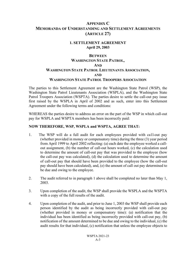### **1. SETTLEMENT AGREEMENT April 29, 2003**

## **BETWEEN WASHINGTON STATE PATROL, AND WASHINGTON STATE PATROL LIEUTENANTS ASSOCIATION, AND WASHINGTON STATE PATROL TROOPERS ASSOCIATION**

The parties to this Settlement Agreement are the Washington State Patrol (WSP), the Washington State Patrol Lieutenants Association (WSPLA), and the Washington State Patrol Troopers Association (WSPTA). The parties desire to settle the call-out pay issue first raised by the WSPLA in April of 2002 and as such, enter into this Settlement Agreement under the following terms and conditions:

WHEREAS the parties desire to address an error on the part of the WSP in which call-out pay for WSPLA and WSPTA members has been incorrectly paid:

## **NOW THEREFORE, WSP, WSPLA and WSPTA, AGREE THAT:**

- 1. The WSP will do a full audit for each employees provided with ca1l-out pay (whether provided in money or compensatory time) during the three (3) year period from April 1999 to April 2002 reflecting: (a) each date the employee worked a callout assignment, (b) the number of call-out hours worked, (c) the calculation used to determine the amount of call-out pay that was provided to the employee (how the call-out pay was calculated), (d) the calculation used to determine the amount of call-out pay that should have been provided to the employee (how the call-out pay should have been calculated), and, (e) the amount of call out pay determined to be due and owing to the employee.
- 2. The audit referred to in paragraph 1 above shall be completed no later than May 1, 2003.
- 3. Upon completion of the audit, the WSP shall provide the WSPLA and the WSPTA with a copy of the full results of the audit.
- 4. Upon completion of the audit, and prior to June 1, 2003 the WSP shall provide each person identified by the audit as being incorrectly provided with call-out pay (whether provided in money or compensatory time): (a) notification that the individual has been identified as being incorrectly provided with call-out pay, (b) notification of the amount determined to be due and owing to the individual, (c) the audit results for that individual, (c) notification that unless the employee objects to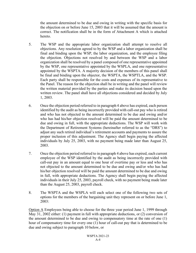the amount determined to be due and owing in writing with the specific basis for the objection on or before June 15, 2003 that it will be assumed that the amount is correct. The notification shall be in the form of Attachment A which is attached hereto.

- 5. The WSP and the appropriate labor organization shall attempt to resolve all objections. Any resolution agreed to by the WSP and a labor organization shall be final and binding upon the WSP, the labor organization, and the employee filing the objection. Objections not resolved by and between the WSP and a labor organization shall be resolved by a panel composed of one representative appointed by the WSP, one representative appointed by the WSPLA, and one representative appointed by the WSPTA. A majority decision of the members of this panel shall be final and binding upon the objector, the WSPTA, the WSPTLA, and the WSP. Each party shall be responsible for the costs and expenses of its representative to the Panel. The reason for the objection shall be in writing and the panel will review the written material provided by the parties and make its decision based upon the written review. The panel shall have all objections considered and decided by July 1, 2003.
- 6. Once the objection period referred to in paragraph 4 above has expired, each person identified by the audit as being incorrectly provided with call-out pay who is retired and who has not objected to the amount determined to be due and owing and/or who has had his/her objection resolved will be paid the amount determined to be due and owing in full, with the appropriate deductions. The WSP will work with the Department of Retirement Systems (hereinafter referred to as the "DRS") to adjust any such retired individual's retirement accounts and payments to assure the proper inclusion of this adjustment. The Agency shall begin paying the affected individuals by July 25, 2003, with no payment being made later than August 25, 2003.
- 7. Once the objection period referred to in paragraph 4 above has expired, each current employee of the WSP identified by the audit as being incorrectly provided with call-out pay in an amount equal to one hour of overtime pay or less and who has not objected to the amount determined to be due and owing and/or who has had his/her objection resolved will be paid the amount determined to be due and owing in full, with appropriate deductions. The Agency shall begin paying the affected individuals in their July 25, 2003, payroll check, with no payment being made later than the August 25, 2003, payroll check.
- 8. The WSPTA and the WSPLA will each select one of the following two sets of options for the members of the bargaining unit they represent on or before June 1, 2003:

Option A Employees being able to choose for the three year period June 1, 1999 through May 31, 2002 either: (1) payment in full with appropriate deductions, or (2) conversion of the amount determined to be due and owing to compensatory time at the rate of one (1) hour of compensatory time for every one (1) hour of call-out pay that is determined to be due and owing subject to paragraph 10 below, or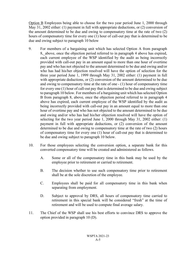Option B Employees being able to choose for the two year period June 1, 2000 through May 31, 2002 either: (1) payment in full with appropriate deductions, or (2) conversion of the amount determined to be due and owing to compensatory time at the rate of two (2) hours of compensatory time for every one (1) hour of call-out pay that is determined to be due and owing subject to paragraph 10 below

- 9. For members of a bargaining unit which has selected Option A from paragraph 8, above, once the objection period referred to in paragraph 4 above has expired, each current employee of the WSP identified by the audit as being incorrectly provided with call-out pay in an amount equal to more than one hour of overtime pay and who has not objected to the amount determined to be due and owing and/or who has had his/her objection resolved will have the option of selection for the three year period June 1, 1999 through May 31, 2002 either: (1) payment in full with appropriate deductions, or (2) conversion of the amount determined to be due and owing to compensatory time at the rate of one - (1) hour of compensatory time for every one (1) hour of call-out pay that is determined to be due and owing subject to paragraph 10 below. For members of a bargaining unit which has selected Option B from paragraph 8, above, once the objection period referred to in paragraph 4 above has expired, each current employee of the WSP identified by the audit as being incorrectly provided with call-out pay in an amount equal to more than one hour of overtime pay and who has not objected to the amount determined to be due and owing and/or who has had his/her objection resolved will have the option of selecting for the two year period June 1, 2000 through May 31, 2002 either: (1) payment in full with appropriate deductions, or (2) conversion of the amount determined to be due and owing to compensatory time at the rate of two (2) hours of compensatory time for every one (1) hour of call-out pay that is determined to be due and owing subject to paragraph 10 below.
- 10. For those employees selecting the conversion option, a separate bank for this converted compensatory time will be created and administered as follows.
	- A. Some or all of the compensatory time in this bank may be used by the employee prior to retirement or carried to retirement.
	- B. The decision whether to use such compensatory time prior to retirement shall be at the sole discretion of the employee.
	- C. Employees shall be paid for all compensatory time in this bank when separating from employment.
	- D. Subject to approval by DRS, all hours of compensatory time carried to retirement in this special bank will be considered "fresh" at the time of retirement and will be used to compute final average salary.
- 11. The Chief of the WSP shall use his best efforts to convince DRS to approve the option provided in paragraph 10 (D).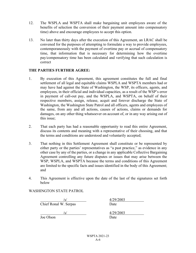- 12. The WSPLA and WSPTA shall make bargaining unit employees aware of the benefits of selection the conversion of their payment amount into compensatory time) above and encourage employees to accept this option.
- 13. No later than thirty days after the execution of this Agreement, an LRAC shall be convened for the purposes of attempting to formulate a way to provide employees, contemporaneously with the payment of overtime pay or accrual of compensatory time, that information that is necessary for determining how the overtime pay/compensatory time has been calculated and verifying that such calculation is correct

### **THE PARTIES FURTHER AGREE:**

- 1. By execution of this Agreement, this agreement constitutes the full and final settlement of all legal and equitable claims WSPLA and WSPTA members had or may have had against the State of Washington, the WSP, its officers, agents, and employees, in their official and individual capacities, as a result of the WSP's error in payment of call-out pay, and the WSPLA, and WSPTA, on behalf of their respective members, assign, release, acquit and forever discharge the State of Washington, the Washington State Patrol and all officers, agents and employees of the same, from any and all actions, causes of actions, claims or demands for damages, on any other thing whatsoever on account of, or in any way arising out of this issue;
- 2. That each party has had a reasonable opportunity to read this entire Agreement, discuss its contents and meaning with a representative of their choosing, and that the terms and conditions are understood and voluntarily accepted;
- 3. That nothing in this Settlement Agreement shall constitute or be represented by either party or the parties' representatives as "a past practice," as evidence in any other case by any of the parties, or a change in any applicable Collective Bargaining Agreement controlling any future disputes or issues that may arise between the WSP, WSPLA, and WSPTA because the terms and conditions of this Agreement are limited to the specific facts and issues identified in the body of this Agreement; and
- 4. This Agreement is effective upon the date of the last of the signatures set forth below

WASHINGTON STATE PATROL

/s/ 4/29/2003 Chief Ronal W. Serpas Date

Joe Olson Date

/s/ 4/29/2003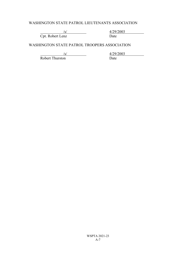## WASHINGTON STATE PATROL LIEUTENANTS ASSOCIATION

/s/ 4/29/2003 Cpt. Robert Lenz Date

WASHINGTON STATE PATROL TROOPERS ASSOCIATION

Robert Thurston

 $\frac{\frac{1}{s}}{\frac{4}{29}}$   $\frac{4}{29/2003}$   $\frac{4}{29/2003}$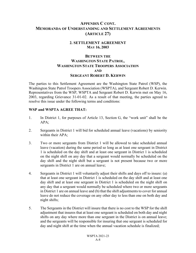#### **2. SETTLEMENT AGREEMENT MAY 16, 2003**

### **BETWEEN THE WASHINGTON STATE PATROL, WASHINGTON STATE TROOPERS ASSOCIATION AND SERGEANT ROBERT D. KERWIN**

The parties to this Settlement Agreement are the Washington State Patrol (WSP), the Washington State Patrol Troopers Association (WSPTA), and Sergeant Robert D. Kerwin. Representatives from the WSP, WSPTA and Sergeant Robert D. Kerwin met on May 16, 2003, regarding Grievance 31-01-02. As a result of that meeting, the parties agreed to resolve this issue under the following terms and conditions:

### **WSP and WSPTA AGREE THAT:**

- 1. In District 1, for purposes of Article 13, Section G, the "work unit" shall be the APA;
- 2. Sergeants in District 1 will bid for scheduled annual leave (vacations) by seniority within their APA;
- 3. Two or more sergeants from District 1 will be allowed to take scheduled annual leave (vacation) during the same period so long as at least one sergeant in District 1 is scheduled on the day shift and at least one sergeant in District 1 is scheduled on the night shift on any day that a sergeant would normally be scheduled on the day shift and the night shift but a sergeant is not present because two or more sergeants in District 1 are on annual leave;
- 4. Sergeants in District 1 will voluntarily adjust their shifts and days off to insure: (a) that at least one sergeant in District 1 is scheduled on the day shift and at least one day shift and at least one sergeant in District 1 is scheduled on the night shift on any day that a sergeant would normally be scheduled where two or more sergeants in District 1 are on annual leave and (b) that the shift adjustments to cover for annual leave do not reduce the coverage on any other day to less than one on both day and night shifts;
- 5. The Sergeants in the District will insure that there is no cost to the WSP for the shift adjustment that insures that at least one sergeant is scheduled on both day and night shifts on any day where more than one sergeant in the District is on annual leave; and the sergeants will be responsible for insuring that one sergeant is scheduled for day and night shift at the time when the annual vacation schedule is finalized;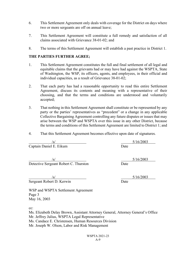- 6. This Settlement Agreement only deals with coverage for the District on days where two or more sergeants are off on annual leave;
- 7. This Settlement Agreement will constitute a full remedy and satisfaction of all claims associated with Grievance 38-01-02; and
- 8. The terms of this Settlement Agreement will establish a past practice in District 1.

### **THE PARTIES FURTHER AGREE;**

- 1. This Settlement Agreement constitutes the full and final settlement of all legal and equitable claims that the grievants had or may have had against the WSPTA, State of Washington, the WSP, its officers, agents, and employees, in their official and individual capacities, as a result of Grievance 38-01-02;
- 2. That each party has had a reasonable opportunity to read this entire Settlement Agreement, discuss its contents and meaning with a representative of their choosing, and that the terms and conditions are understood and voluntarily accepted;
- 3. That nothing in this Settlement Agreement shall constitute or be represented by any party or the parties' representatives as "precedent" or a change in any applicable Collective Bargaining Agreement controlling any future disputes or issues that may arise between the WSP and WSPTA over this issue in any other District, because the terms and conditions of this Settlement Agreement are limited to District 1; and
- 4. That this Settlement Agreement becomes effective upon date of signatures.

 $/$ s/ $/$  5/16/2003

**Captain Daniel E. Eikum** Date

/s/ 5/16/2003 Detective Sergeant Robert C. Thurston Date

Sergeant Robert D. Kerwin Date

WSP and WSPTA Settlement Agreement Page 3 May 16, 2003

cc:

Ms. Elizabeth Delay Brown, Assistant Attorney General, Attorney General's Office Mr. Jeffrey Julius, WSPTA Legal Representative Ms. Candace E. Christensen, Human Resources Division Mr. Joseph W. Olson, Labor and Risk Management

 $/$ s/ $/$  5/16/2003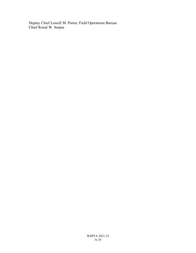Deputy Chief Lowell M. Porter, Field Operations Bureau Chief Ronal W. Serpas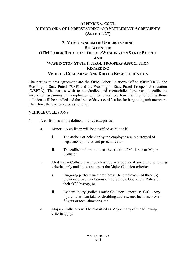# **3. MEMORANDUM OF UNDERSTANDING BETWEEN THE OFM LABOR RELATIONS OFFICE/WASHINGTON STATE PATROL AND WASHINGTON STATE PATROL TROOPERS ASSOCIATION REGARDING VEHICLE COLLISIONS AND DRIVER RECERTIFICATION**

The parties to this agreement are the OFM Labor Relations Office (OFM/LRO), the Washington State Patrol (WSP) and the Washington State Patrol Troopers Association (WSPTA). The parties wish to standardize and memorialize how vehicle collisions involving bargaining unit employees will be classified, how training following those collisions will be handled and the issue of driver certification for bargaining unit members. Therefore, the parties agree as follows:

#### VEHICLE COLLISIONS

- 1. A collision shall be defined in three categories:
	- a. Minor A collision will be classified as Minor if:
		- i. The actions or behavior by the employee are in disregard of department policies and procedures and
		- ii. The collision does not meet the criteria of Moderate or Major Collision.
	- b. Moderate Collisions will be classified as Moderate if any of the following criteria apply and it does not meet the Major Collision criteria:
		- i. On-going performance problems: The employee had three (3) previous proven violations of the Vehicle Operations Policy on their OPS history, or
		- ii. Evident Injury (Police Traffic Collision Report PTCR) Any injury other than fatal or disabling at the scene. Includes broken fingers or toes, abrasions, etc.
	- c. Major Collisions will be classified as Major if any of the following criteria apply: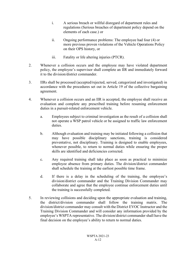- i. A serious breach or willful disregard of department rules and regulations (Serious breaches of department policy depend on the elements of each case.) or
- ii. Ongoing performance problems: The employee had four (4) or more previous proven violations of the Vehicle Operations Policy on their OPS history, or
- iii. Fatality or life altering injuries (PTCR).
- 2. Whenever a collision occurs and the employee may have violated department policy, the employee's supervisor shall complete an IIR and immediately forward it to the division/district commander.
- 3. IIRs shall be processed (accepted/rejected, served, categorized and investigated) in accordance with the procedures set out in Article 19 of the collective bargaining agreement.
- 4. Whenever a collision occurs and an IIR is accepted, the employee shall receive an evaluation and complete any prescribed training before resuming enforcement duties in a pursuit-related enforcement vehicle.
	- a. Employees subject to criminal investigation as the result of a collision shall not operate a WSP patrol vehicle or be assigned to traffic law enforcement duties.
	- b. Although evaluation and training may be initiated following a collision that may have possible disciplinary sanctions, training is considered preventative, not disciplinary. Training is designed to enable employees, whenever possible, to return to normal duties while ensuring the proper skills are identified and deficiencies corrected.
	- c. Any required training shall take place as soon as practical to minimize employee absence from primary duties. The division/district commander shall schedule the training at the earliest possible time frame.
	- d. If there is a delay in the scheduling of the training, the employee's division/district commander and the Training Division Commander may collaborate and agree that the employee continue enforcement duties until the training is successfully completed.
- 5. In reviewing collisions and deciding upon the appropriate evaluation and training, the district/division commander shall follow the training matrix. The division/district commander may consult with the District EVOC Instructor and the Training Division Commander and will consider any information provided by the employee's WSPTA representative. The division/district commander shall have the final decision on the employee's ability to return to normal duties.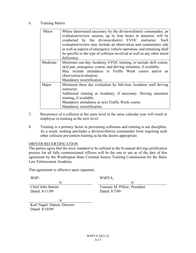#### 6. Training Matrix

| Minor    | Where determined necessary by the division/district commander, an<br>evaluation/review session, up to four hours in duration, will be<br>conducted by the division/district EVOC instructor. Such<br>evaluation/review may include an observation and commentary ride<br>as well as aspects of emergency vehicle operation; and retraining shall<br>be specific to the type of collision involved as well as any other noted<br>deficiency. |
|----------|---------------------------------------------------------------------------------------------------------------------------------------------------------------------------------------------------------------------------------------------------------------------------------------------------------------------------------------------------------------------------------------------------------------------------------------------|
| Moderate | Minimum one-day Academy EVOC training, to include skill course,<br>skid pan, emergency course, and driving simulator, if available.<br>May include attendance in Traffic Week course and/or<br>an<br>observation/evaluation.<br>Mandatory recertification.                                                                                                                                                                                  |
| Major    | Minimum three day evaluation by full-time Academy staff driving<br>instructor.<br>Additional training at Academy, if necessary. Driving simulator<br>training, if available.<br>Mandatory attendance at next Traffic Week course.<br>Mandatory recertification.                                                                                                                                                                             |

- 7. Recurrence of a collision at the same level in the same calendar year will result in employee re-training at the next level.
- 8. Training is a primary factor in preventing collisions and training is not discipline. As a result, nothing precludes a division/district commander from requiring such other collision prevention training as he/she deems appropriate.

#### DRIVER RECERTIFICATION

The parties agree that the error standard to be utilized in the bi-annual driving certification process for all fully commissioned officers will be the one in use as of the date of this agreement by the Washington State Criminal Justice Training Commission for the Basic Law Enforcement Academy.

This agreement is effective upon signature.

WSP: WSPTA:

Dated: 8/11/09 Dated: 8/7/09

 $\sqrt{s}$ / $\sqrt{s}$ / $\sqrt{s}$ / $\sqrt{s}$ / $\sqrt{s}$ / $\sqrt{s}$ / $\sqrt{s}$ / $\sqrt{s}$ / $\sqrt{s}$ / $\sqrt{s}$ / $\sqrt{s}$ / $\sqrt{s}$ / $\sqrt{s}$ / $\sqrt{s}$ / $\sqrt{s}$ / $\sqrt{s}$ / $\sqrt{s}$ / $\sqrt{s}$ / $\sqrt{s}$ / $\sqrt{s}$ / $\sqrt{s}$ / $\sqrt{s}$ / $\sqrt{s}$ / $\sqrt{s}$ / $\sqrt{s}$ / $\sqrt{s}$ / $\sqrt{s}$ / $\sqrt{s}$ / $\sqrt{s}$ / $\sqrt{s}$ / $\sqrt{s}$ / $\sqrt{s$ 

Chief John Batiste Tommie M. Pillow, President

/s/

Karl Nagel, Deputy Director Dated: 8/10/09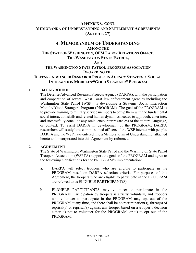## **4. MEMORANDUM OF UNDERSTANDING AMONG THE THE STATE OF WASHINGTON, OFM LABOR RELATIONS OFFICE, THE WASHINGTON STATE PATROL, AND THE WASHINGTON STATE PATROL TROOPERS ASSOCIATION**

### **REGARDING THE**

## **DEFENSE ADVANCED RESEARCH PROJECTS AGENCY STRATEGIC SOCIAL INTERACTION MODULES/"GOOD STRANGER" PROGRAM**

### **1. BACKGROUND:**

The Defense Advanced Research Projects Agency (DARPA), with the participation and cooperation of several West Coast law enforcement agencies including the Washington State Patrol (WSP), is developing a Strategic Social Interaction Module/"Good Stranger" Program (PROGRAM). The goal of the PROGRAM is to provide training to military service members to equip them with the fundamental social interaction skills and related human dynamics needed to approach, enter into, and successfully conclude any social encounter regardless of the culture, language, or context. To assist DARPA in development of the PROGRAM, DARPA researchers will study how commissioned officers of the WSP interact with people. DARPA and the WSP have entered into a Memorandum of Understanding, attached hereto and incorporated into this Agreement by reference.

## **2. AGREEMENT:**

The State of Washington/Washington State Patrol and the Washington State Patrol Troopers Association (WSPTA) support the goals of the PROGRAM and agree to the following clarifications for the PROGRAM's implementation:

- a. DARPA will select troopers who are eligible to participate in the PROGRAM based on DARPA selection criteria. For purposes of this Agreement, the troopers who are eligible to participate in the PROGRAM are referred to as ELIGIBLE PARTICIPANT(S).
- b. ELIGIBLE PARTICIPANTS may volunteer to participate in the PROGRAM. Participation by troopers is strictly voluntary, and troopers who volunteer to participate in the PROGRAM may opt out of the PROGRAM at any time, and there shall be no recrimination(s), threat(s) of reprisal(s) or reprisal(s) against any trooper based on a trooper's decision either: i) not to volunteer for the PROGRAM; or ii) to opt out of the PROGRAM.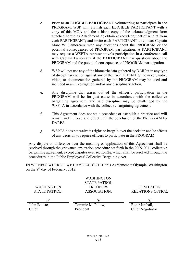- c. Prior to an ELIGIBLE PARTICIPANT volunteering to participate in the PROGRAM, WSP will: furnish each ELIGIBLE PARTICIPANT with a copy of this MOA and the a blank copy of the acknowledgment form attached hereto as Attachment A; obtain acknowledgment of receipt from each PARTICIPANT; and invite each PARTICIPANT to contact Captain Marc W. Lamoreaux with any questions about the PROGRAM or the potential consequences of PROGRAM participation. A PARTICIPANT may request a WSPTA representative's participation in a conference call with Captain Lamoreaux if the PARTICIPANT has questions about the PROGRAM and the potential consequences of PROGRAM participation.
- d. WSP will not use any of the biometric data gathered by DARPA in any type of disciplinary action against any of the PARTICIPANTS; however, audio, video, or documentation gathered by the PROGRAM may be used and included in an investigation and/or any disciplinary action.
- e. Any discipline that arises out of the officer's participation in the PROGRAM will be for just cause in accordance with the collective bargaining agreement, and said discipline may be challenged by the WSPTA in accordance with the collective bargaining agreement.
- f. This Agreement does not set a precedent or establish a practice and will remain in full force and effect until the conclusion of the PROGRAM by DARPA.
- g. WSPTA does not waive its rights to bargain over the decision and/or effects of any decision to require officers to participate in the PROGRAM.

Any dispute or difference over the meaning or application of this Agreement shall be resolved through the grievance-arbitration procedure set forth in the 2009-2011 collective bargaining agreement, except disputes over section 2g, which shall be resolved through the procedures in the Public Employees' Collective Bargaining Act.

IN WITNESS WHEROF, WE HAVE EXECUTED this Agreement at Olympia, Washington on the  $8<sup>th</sup>$  day of February, 2012.

WASHINGTON STATE PATROL:

WASHINGTON STATE PATROL **TROOPERS** ASSOCIATION:

OFM LABOR RELATIONS OFFICE:

John Batiste, Chief

 $/\mathrm{s}/\mathrm{s}/\mathrm{s}/\mathrm{s}/\mathrm{s}$ Tommie M. Pillow, President

Ron Marshall, Chief Negotiator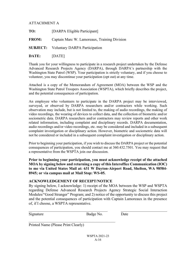## ATTACHMENT A

- **TO:** [DARPA Eligible Participant]
- **FROM:** Captain Marc W. Lamoreaux, Training Division
- **SUBJECT:** Voluntary DARPA Participation

**DATE:** [DATE]

Thank you for your willingness to participate in a research project undertaken by the Defense Advanced Research Projects Agency (DARPA), through DARPA's partnership with the Washington State Patrol (WSP). Your participation is strictly voluntary, and if you choose to volunteer, you may discontinue your participation (opt out) at any time.

Attached is a copy of the Memorandum of Agreement (MOA) between the WSP and the Washington State Patrol Troopers Association (WSPTA), which briefly describes the project, and the potential consequences of participation.

An employee who volunteers to participate in the DARPA project may be interviewed, surveyed, or observed by DARPA researchers and/or contractors while working. Such observation may include, but is not limited to, the making of audio recordings, the making of video recordings, the wearing of devices to collect data, and the collection of biometric and/or sociometric data. DARPA researchers and/or contractors may review reports and other work related information, including complaint and disciplinary records. DARPA documentation, audio recordings and/or video recordings, etc. may be considered and included in a subsequent complaint investigation or disciplinary action. However, biometric and sociometric data will not be considered or included in a subsequent complaint investigation or disciplinary action.

Prior to beginning your participation, if you wish to discuss the DARPA project or the potential consequences of participation, you should contact me at 360.432.7501. You may request that a representative from the WSPTA join our discussion.

**Prior to beginning your participation, you must acknowledge receipt of the attached MOA by signing below and returning a copy of this Interoffice Communication (IOC) to me via United States Mail at: 631 W Dayton-Airport Road, Shelton, WA 98584- 8945; or via campus mail at Mail Stop: WS-05.**

#### **ACKNOWLEDGEMENT OF RECEIPT/NOTICE**

By signing below, I acknowledge: 1) receipt of the MOA between the WSP and WSPTA regarding Defense Advanced Research Projects Agency Strategic Social Interaction Modules/"Good Stranger" Program; and 2) notice of the opportunity to discuss this project and the potential consequences of participation with Captain Lamoreaux in the presence of, if I choose, a WSPTA representative.

 $\_$  , and the contribution of the contribution of  $\mathcal{L}_1$  , and  $\mathcal{L}_2$  , and  $\mathcal{L}_3$  , and  $\mathcal{L}_4$  , and  $\mathcal{L}_5$  , and  $\mathcal{L}_6$  , and  $\mathcal{L}_7$  , and  $\mathcal{L}_8$  , and  $\mathcal{L}_7$  , and  $\mathcal{L}_8$  , and  $\mathcal{L}_7$  ,

Signature Badge No. Date

Printed Name (Please Print Clearly)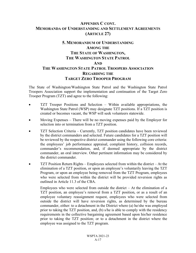# **5. MEMORANDUM OF UNDERSTANDING AMONG THE THE STATE OF WASHINGTON, THE WASHINGTON STATE PATROL AND THE WASHINGTON STATE PATROL TROOPERS ASSOCIATION REGARDING THE TARGET ZERO TROOPER PROGRAM**

The State of Washington/Washington State Patrol and the Washington State Patrol Troopers Association support the implementation and continuation of the Target Zero Trooper Program (TZT) and agree to the following:

- TZT Trooper Positions and Selection Within available appropriations, the Washington State Patrol (WSP) may designate TZT positions. If a TZT position is created or becomes vacant, the WSP will seek volunteers statewide.
- Moving Expenses There will be no moving expenses paid by the Employer for selection into or termination from a TZT position.
- TZT Selection Criteria Currently, TZT position candidates have been reviewed by the district commanders and selected. Future candidates for a TZT position will be reviewed by the respective district commander using the following core criteria: the employees' job performance appraisal, complaint history, collision records, commander's recommendation, and, if deemed appropriate by the district commander, an oral interview. Other pertinent information may be considered by the district commander.
- TZT Position Return Rights Employees selected from within the district At the elimination of a TZT position, or upon an employee's voluntarily leaving the TZT Program, or upon an employee being removed from the TZT Program, employees who were selected from within the district will be provided reversion rights as outlined in Article 11.3 of the CBA.

Employees who were selected from outside the district  $-$  At the elimination of a TZT position, an employee's removal from a TZT position, or as a result of an employee voluntary reassignment request, employees who were selected from outside the district will have reversion rights, as determined by the bureau commander, either: to a detachment in the District where (a) he/she was employed prior to taking the TZT position, and, (b) s/he is able to comply with the residency requirements in the collective bargaining agreement based upon his/her residence prior to taking the TZT position; or to a detachment in the district where the employee was assigned to the TZT program.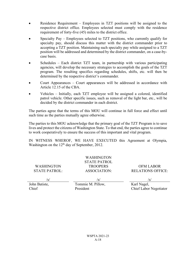- Residence Requirement Employees in TZT positions will be assigned to the respective district office. Employees selected must comply with the residence requirement of forty-five (45) miles to the district office.
- Specialty Pay Employees selected to TZT positions, who currently qualify for specialty pay, should discuss this matter with the district commander prior to accepting a TZT position. Maintaining such specialty pay while assigned to a TZT position will be addressed and determined by the district commander, on a case-bycase basis.
- Schedules Each district TZT team, in partnership with various participating agencies, will develop the necessary strategies to accomplish the goals of the TZT program. The resulting specifics regarding schedules, shifts, etc. will then be determined by the respective district's commander.
- Court Appearances Court appearances will be addressed in accordance with Article 12.15 of the CBA.
- Vehicles Initially, each TZT employee will be assigned a colored, identified patrol vehicle. Other specific issues, such as removal of the light bar, etc., will be decided by the district commander in each district.

The parties agree that the terms of this MOU will continue in full force and effect until such time as the parties mutually agree otherwise.

The parties to this MOU acknowledge that the primary goal of the TZT Program is to save lives and protect the citizens of Washington State. To that end, the parties agree to continue to work cooperatively to ensure the success of this important and vital program.

IN WITNESS WHEROF, WE HAVE EXECUTED this Agreement at Olympia, Washington on the  $12<sup>th</sup>$  day of September, 2012.

WASHINGTON STATE PATROL:

WASHINGTON STATE PATROL **TROOPERS** ASSOCIATION:

OFM LABOR RELATIONS OFFICE:

John Batiste, Chief

/s/ /s/ /s/ Tommie M. Pillow, President

Karl Nagel, Chief Labor Negotiator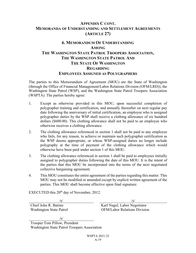# **6. MEMORANDUM OF UNDERSTANDING AMONG THE WASHINGTON STATE PATROL TROOPERS ASSOCIATION, THE WASHINGTON STATE PATROL AND THE STATE OF WASHINGTON REGARDING EMPLOYEES ASSIGNED AS POLYGRAPHERS**

The parties to this Memorandum of Agreement (MOU) are the State of Washington (through the Office of Financial Management/Labor Relations Division (OFM/LRD)), the Washington State Patrol (WSP), and the Washington State Patrol Troopers Association (WSPTA). The parties hereby agree:

- 1. Except as otherwise provided in this MOU, upon successful completion of polygrapher training and certification, and annually thereafter on next regular pay date following the anniversary of initial certification, an employee who is assigned polygrapher duties by the WSP shall receive a clothing allowance of six hundred dollars (\$600.00). This clothing allowance shall not be paid to an employee who otherwise receives a clothing allowance.
- 2. The clothing allowance referenced in section 1 shall not be paid to any employee who fails, for any reason, to achieve or maintain such polygrapher certification as the WSP deems appropriate, or whose WSP-assigned duties no longer include polygraphy at the time of payment of the clothing allowance which would otherwise have been paid under section 1 of this MOU.
- 3. The clothing allowance referenced in section 1 shall be paid to employees initially assigned to polygrapher duties following the date of this MOU. It is the intent of the parties that this MOU be incorporated into the terms of the next negotiated collective bargaining agreement.
- 4. This MOU constitutes the entire agreement of the parties regarding this matter. This MOU may not be modified or amended except by explicit written agreement of the parties. This MOU shall become effective upon final signature.

EXECUTED this  $20<sup>th</sup>$  day of November, 2012.

 $\sqrt{s}$ /s/

Chief John R. Batiste Karl Nagel, Labor Negotiator Washington State Patrol OFM/Labor Relations Division

 $/s/$ 

Trooper Tom Pillow, President Washington State Patrol Troopers Association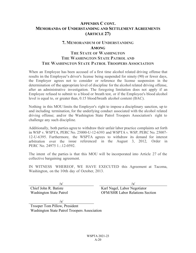## **7. MEMORANDUM OF UNDERSTANDING AMONG THE STATE OF WASHINGTON THE WASHINGTON STATE PATROL AND THE WASHINGTON STATE PATROL TROOPERS ASSOCIATION**

When an Employee has been accused of a first time alcohol related driving offense that results in the Employee's driver's license being suspended for ninety (90) or fewer days, the Employer agrees not to consider or reference the license suspension in the determination of the appropriate level of discipline for the alcohol related driving offense, after an administrative investigation. The foregoing limitation does not apply if an Employee refused to submit to a blood or breath test, or if the Employee's blood alcohol level is equal to, or greater than, 0.15 blood/breath alcohol content (BAC).

Nothing in this MOU limits the Employer's right to impose a disciplinary sanction, up to and including termination, for the underlying conduct associated with the alcohol related driving offense; and/or the Washington State Patrol Troopers Association's right to challenge any such discipline.

Additionally, both parties agree to withdraw their unfair labor practice complaints set forth in WSP v. WSPTA, PERC No. 25000-U-12-6393 and WSPTA v. WSP, PERC No. 25007- 12-U-6395. Furthermore, the WSPTA agrees to withdraw its demand for interest arbitration over the issue referenced in the August 3, 2012, Order in PERC No. 24975 1.:.12-0592.

The intent of the parties is that this MOU will be incorporated into Article 27 of the collective bargaining agreement.

IN WITNESS WHEREOF, WE HAVE EXECUTED this Agreement at Tacoma, Washington, on the 10th day of October, 2013.

 $\sqrt{s}$ / $\sqrt{s}$ / $\sqrt{s}$ / $\sqrt{s}$ / $\sqrt{s}$ / $\sqrt{s}$ / $\sqrt{s}$ / $\sqrt{s}$ / $\sqrt{s}$ / $\sqrt{s}$ / $\sqrt{s}$ / $\sqrt{s}$ / $\sqrt{s}$ / $\sqrt{s}$ / $\sqrt{s}$ / $\sqrt{s}$ / $\sqrt{s}$ / $\sqrt{s}$ / $\sqrt{s}$ / $\sqrt{s}$ / $\sqrt{s}$ / $\sqrt{s}$ / $\sqrt{s}$ / $\sqrt{s}$ / $\sqrt{s}$ / $\sqrt{s}$ / $\sqrt{s}$ / $\sqrt{s}$ / $\sqrt{s}$ / $\sqrt{s}$ / $\sqrt{s}$ / $\sqrt{s$ 

Chief John R. Batiste Karl Nagel, Labor Negotiator Washington State Patrol OFM/SHR Labor Relations Section

 $\sqrt{s/}$ 

Trooper Tom Pillow, President Washington State Patrol Troopers Association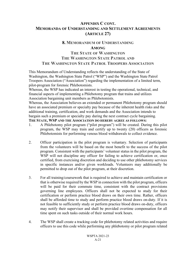## **8. MEMORANDUM OF UNDERSTANDING AMONG**

# **THE STATE OF WASHINGTON THE WASHINGTON STATE PATROL AND THE WASHINGTON STATE PATROL TROOPERS ASSOCIATION**

This Memorandum of Understanding reflects the understanding of the State of Washington, the Washington State Patrol ("WSP") and the Washington State Patrol Troopers Association ("Association") regarding the implementation of a limited term, pilot-program for forensic Phlebotomists.

Whereas, the WSP has indicated an interest in testing the operational, technical, and financial aspects of implementing a Phlebotomy program that trains and utilizes Association bargaining unit members as Phlebotomists.

Whereas, the Association believes an extended or permanent Phlebotomy program should have an associated premium or specialty pay because of the inherent health risks and the additional training, certification, and work demands and the Association intends to bargain such a premium or specialty pay during the next contract cycle bargaining.

### **THE STATE, WSP AND THE ASSOCIATION DO HEREBY AGREE AS FOLLOWS:**

- 1. A Phlebotomy pilot program ("pilot program") will be created. During this pilot program, the WSP may train and certify up to twenty (20) officers as forensic Phlebotomists for performing venous blood withdrawals to collect evidence.
- 2. Officer participation in the pilot program is voluntary. Selection of participants from the volunteers will be based on the most benefit to the success of the pilot program. Consistent with the participants' volunteer status in the pilot program, the WSP will not discipline any officer for failing to achieve certification or, once certified, from exercising discretion and deciding to use other phlebotomy services in specific instances and/or given workloads. Volunteers may additionally be permitted to drop out of the pilot program, at their discretion.
- 3. For all training/coursework that is required to achieve and maintain certification or that is otherwise required by the WSP in connection with the pilot program, officers will be paid for their commute time, consistent with the contract provisions governing line employees. Officers shall not be expected to study for their certification or perform practice blood draws on their own time. Rather, officers shall be afforded time to study and perform practice blood draws on-duty. If it is not feasible to sufficiently study or perform practice blood draws on-duty, officers may notify their supervisor and shall be provided overtime compensation for all time spent on such tasks outside of their normal work hours.
- 4. The WSP shall create a tracking code for phlebotomy related activities and require officers to use this code while performing any phlebotomy or pilot program related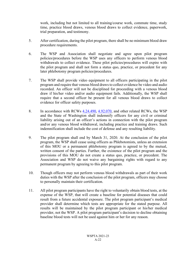work, including but not limited to all training/course work, commute time, study time, practice blood draws, venous blood draws to collect evidence, paperwork, trial preparation, and testimony.

- 5. After certification, during the pilot program, there shall be no minimum blood draw procedure requirements.
- 6. The WSP and Association shall negotiate and agree upon pilot program policies/procedures before the WSP uses any officers to perform venous blood withdrawals to collect evidence. These pilot policies/procedures will expire with the pilot program and shall not form a status quo, practice, or precedent for any later phlebotomy program policies/procedures.
- 7. The WSP shall provide video equipment to all officers participating in the pilot program and require that venous blood draws to collect evidence be video and audio recorded. An officer will not be disciplined for proceeding with a venous blood draw if his/her video and/or audio equipment fails. Additionally, the WSP shall require that a second officer be present for all venous blood draws to collect evidence for officer safety purposes.
- 8. In accordance with RCWs  $4.24.490$ ,  $4.92.070$ , and other related RCWs, the WSP and the State of Washington shall indemnify officers for any civil or criminal liability arising out of an officer's actions in connection with the pilot program and/or any venous blood withdrawal, including practice and training draws. Such indemnification shall include the cost of defense and any resulting liability.
- 9. The pilot program shall end by March 31, 2020. At the conclusion of the pilot program, the WSP shall cease using officers as Phlebotomists, unless an extension of this MOU or a permanent phlebotomy program is agreed to by the mutual, written consent of the parties. Further, the existence of the pilot program and the provisions of this MOU do not create a status quo, practice, or precedent. The Association and WSP do not waive any bargaining rights with regard to any permanent program by agreeing to this pilot program.
- 10. Though officers may not perform venous blood withdrawals as part of their work duties with the WSP after the conclusion of the pilot program, officers may choose to personally maintain their certification.
- 11. All pilot program participants have the right to voluntarily obtain blood tests, at the expense of the WSP, that will create a baseline for potential diseases that could result from a future accidental exposure. The pilot program participant's medical provider shall determine which tests are appropriate for the stated purpose. All results will be maintained by the pilot program participant or his/her medical provider, not the WSP. A pilot program participant's decision to decline obtaining baseline blood tests will not be used against him or her for any reason.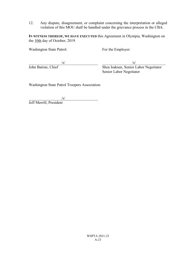12. Any dispute, disagreement, or complaint concerning the interpretation or alleged violation of this MOU shall be handled under the grievance process in the CBA.

**IN WITNESS THEREOF, WE HAVE EXECUTED** this Agreement in Olympia, Washington on the 10th day of October, 2019.

Washington State Patrol: For the Employer:

 $\sqrt{s}$ / $\sqrt{s}$ / $\sqrt{s}$ / $\sqrt{s}$ / $\sqrt{s}$ / $\sqrt{s}$ / $\sqrt{s}$ / $\sqrt{s}$ / $\sqrt{s}$ / $\sqrt{s}$ / $\sqrt{s}$ / $\sqrt{s}$ / $\sqrt{s}$ / $\sqrt{s}$ / $\sqrt{s}$ / $\sqrt{s}$ / $\sqrt{s}$ / $\sqrt{s}$ / $\sqrt{s}$ / $\sqrt{s}$ / $\sqrt{s}$ / $\sqrt{s}$ / $\sqrt{s}$ / $\sqrt{s}$ / $\sqrt{s}$ / $\sqrt{s}$ / $\sqrt{s}$ / $\sqrt{s}$ / $\sqrt{s}$ / $\sqrt{s}$ / $\sqrt{s}$ / $\sqrt{s$ John Batiste, Chief Shea Isaksen, Senior Labor Negotiator Senior Labor Negotiator

Washington State Patrol Troopers Association:

/s/

Jeff Merrill, President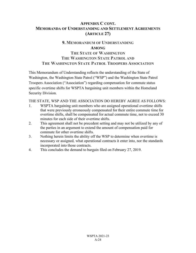## **APPENDIX C CONT. MEMORANDA OF UNDERSTANDING AND SETTLEMENT AGREEMENTS (ARTICLE 27)**

## **9. MEMORANDUM OF UNDERSTANDING AMONG**

# **THE STATE OF WASHINGTON THE WASHINGTON STATE PATROL AND THE WASHINGTON STATE PATROL TROOPERS ASSOCIATION**

This Memorandum of Understanding reflects the understanding of the State of Washington, the Washington State Patrol ("WSP") and the Washington State Patrol Troopers Association ("Association") regarding compensation for commute status specific overtime shifts for WSPTA bargaining unit members within the Homeland Security Division.

## THE STATE, WSP AND THE ASSOCIATION DO HEREBY AGREE AS FOLLOWS:

- 1. WSPTA bargaining unit members who are assigned operational overtime shifts that were previously erroneously compensated for their entire commute time for overtime shifts, shall be compensated for actual commute time, not to exceed 30 minutes for each side of their overtime shifts.
- 2. This agreement shall not be precedent setting and may not be utilized by any of the parties in an argument to extend the amount of compensation paid for commute for other overtime shifts.
- 3. Nothing herein limits the ability off the WSP to determine when overtime is necessary or assigned, what operational contracts it enter into, nor the standards incorporated into those contracts.
- 4. This concludes the demand to bargain filed on February 27, 2019.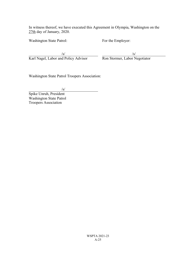In witness thereof, we have executed this Agreement in Olympia, Washington on the 27th day of January, 2020.

Washington State Patrol: For the Employer:

 $\sqrt{s}$ / $\sqrt{s}$ / $\sqrt{s}$ / $\sqrt{s}$ / $\sqrt{s}$ / $\sqrt{s}$ / $\sqrt{s}$ / $\sqrt{s}$ / $\sqrt{s}$ / $\sqrt{s}$ / $\sqrt{s}$ / $\sqrt{s}$ / $\sqrt{s}$ / $\sqrt{s}$ / $\sqrt{s}$ / $\sqrt{s}$ / $\sqrt{s}$ / $\sqrt{s}$ / $\sqrt{s}$ / $\sqrt{s}$ / $\sqrt{s}$ / $\sqrt{s}$ / $\sqrt{s}$ / $\sqrt{s}$ / $\sqrt{s}$ / $\sqrt{s}$ / $\sqrt{s}$ / $\sqrt{s}$ / $\sqrt{s}$ / $\sqrt{s}$ / $\sqrt{s}$ / $\sqrt{s$ Karl Nagel, Labor and Policy Advisor Ron Stormer, Labor Negotiator

Washington State Patrol Troopers Association:

 $\sqrt{s}$ /

Spike Unruh, President Washington State Patrol Troopers Association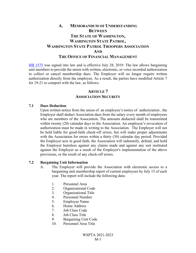## **A. MEMORANDUM OF UNDERSTANDING BETWEEN THE STATE OF WASHINGTON, WASHINGTON STATE PATROL, WASHINGTON STATE PATROL TROOPERS ASSOCIATION AND THE OFFICE OF FINANCIAL MANAGEMENT**

HB 1575 was signed into law and is effective July 28, 2019. The law allows bargaining unit members to provide the union with written, electronic, or voice recorded authorization to collect or cancel membership dues. The Employer will no longer require written authorization directly from the employee. As a result, the parties have modified Article 7 for 19-21 to comport with the law, as follows:

## **ARTICLE 7 ASSOCIATION SECURITY**

#### **7.1 Dues Deduction**

Upon written notice from the union of an employee's notice of authorization , the Employer shall deduct Association dues from the salary every month of employees who are members of the Association. The amounts deducted shall be transmitted within twenty (20) calendar days to the Association. An employee's revocation of authorization must be made in writing to the Association. The Employer will not be held liable for good-faith check-off errors, but will make proper adjustments with the Association for errors within a thirty (30) calendar day period. Provided the Employer acts in good faith, the Association will indemnify, defend, and hold the Employer harmless against any claims made and against any suit instituted against the Employer as a result of the Employer's implementation of the above provisions, or the result of any check-off errors.

#### **7.2 Bargaining Unit Information**

- A. The Employer will provide the Association with electronic access to a bargaining unit membership report of current employees by July 15 of each year. The report will include the following data:
	- 1. Personnel Area
	- 2. Organizational Code
	- 3. Organizational Title
	- 4. Personnel Number
	- 5. Employee Name
	- 6. Home Address
	- 7. Job Class Code
	- 8. Job Class Title
	- 9. Bargaining Unit Code
	- 10. Personnel Area Title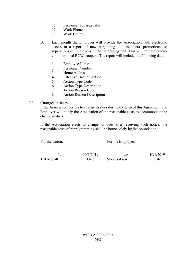- 11. Personnel Subarea Title
- 12. Work Phone
- 13. Work County
- B. Each month the Employer will provide the Association with electronic access to a report of new bargaining unit members, promotions, or separations of employees in the bargaining unit. This will contain newlycommissioned RCW troopers. The report will include the following data:
	- 1. Employee Name
	- 2. Personnel Number
	- 3. Home Address
	- 4. Effective Date of Action
	- 5. Action Type Code
	- 6. Action Type Description
	- 7. Action Reason Code
	- 8. Action Reason Description

#### **7.3 Changes in Dues**

If the Association desires to change its dues during the term of this Agreement, the Employer will notify the Association of the reasonable costs to accommodate the change in dues.

If the Association elects to change its dues after receiving such notice, the reasonable costs of reprogramming shall be borne solely by the Association.

For the Union: For the Employer:

 $\frac{\text{S}}{\text{Jeff Merrill}}$  10/1/2019<br>Ieff Merrill Date Shea Isaksen Date Date Shea Isaksen Date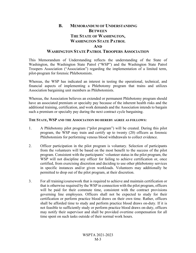## **B. MEMORANDUM OF UNDERSTANDING BETWEEN THE STATE OF WASHINGTON, WASHINGTON STATE PATROL AND WASHINGTON STATE PATROL TROOPERS ASSOCIATION**

This Memorandum of Understanding reflects the understanding of the State of Washington, the Washington State Patrol ("WSP") and the Washington State Patrol Troopers Association ("Association") regarding the implementation of a limited term, pilot-program for forensic Phlebotomists.

Whereas, the WSP has indicated an interest in testing the operational, technical, and financial aspects of implementing a Phlebotomy program that trains and utilizes Association bargaining unit members as Phlebotomists.

Whereas, the Association believes an extended or permanent Phlebotomy program should have an associated premium or specialty pay because of the inherent health risks and the additional training, certification, and work demands and the Association intends to bargain such a premium or specialty pay during the next contract cycle bargaining.

### **THE STATE, WSP AND THE ASSOCIATION DO HEREBY AGREE AS FOLLOWS:**

- 1. A Phlebotomy pilot program ("pilot program") will be created. During this pilot program, the WSP may train and certify up to twenty (20) officers as forensic Phlebotomists for performing venous blood withdrawals to collect evidence.
- 2. Officer participation in the pilot program is voluntary. Selection of participants from the volunteers will be based on the most benefit to the success of the pilot program. Consistent with the participants' volunteer status in the pilot program, the WSP will not discipline any officer for failing to achieve certification or, once certified, from exercising discretion and deciding to use other phlebotomy services in specific instances and/or given workloads. Volunteers may additionally be permitted to drop out of the pilot program, at their discretion.
- 3. For all training/coursework that is required to achieve and maintain certification or that is otherwise required by the WSP in connection with the pilot program, officers will be paid for their commute time, consistent with the contract provisions governing line employees. Officers shall not be expected to study for their certification or perform practice blood draws on their own time. Rather, officers shall be afforded time to study and perform practice blood draws on-duty. If it is not feasible to sufficiently study or perform practice blood draws on-duty, officers may notify their supervisor and shall be provided overtime compensation for all time spent on such tasks outside of their normal work hours.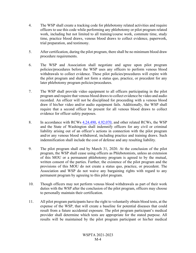- 4. The WSP shall create a tracking code for phlebotomy related activities and require officers to use this code while performing any phlebotomy or pilot program related work, including but not limited to all training/course work, commute time, study time, practice blood draws, venous blood draws to collect evidence, paperwork, trial preparation, and testimony.
- 5. After certification, during the pilot program, there shall be no minimum blood draw procedure requirements.
- 6. The WSP and Association shall negotiate and agree upon pilot program policies/procedures before the WSP uses any officers to perform venous blood withdrawals to collect evidence. These pilot policies/procedures will expire with the pilot program and shall not form a status quo, practice, or precedent for any later phlebotomy program policies/procedures.
- 7. The WSP shall provide video equipment to all officers participating in the pilot program and require that venous blood draws to collect evidence be video and audio recorded. An officer will not be disciplined for proceeding with a venous blood draw if his/her video and/or audio equipment fails. Additionally, the WSP shall require that a second officer be present for all venous blood draws to collect evidence for officer safety purposes.
- 8. In accordance with RCWs  $4.24.490, 4.92.070$ , and other related RCWs, the WSP and the State of Washington shall indemnify officers for any civil or criminal liability arising out of an officer's actions in connection with the pilot program and/or any venous blood withdrawal, including practice and training draws. Such indemnification shall include the cost of defense and any resulting liability.
- 9. The pilot program shall end by March 31, 2020. At the conclusion of the pilot program, the WSP shall cease using officers as Phlebotomists, unless an extension of this MOU or a permanent phlebotomy program is agreed to by the mutual, written consent of the parties. Further, the existence of the pilot program and the provisions of this MOU do not create a status quo, practice, or precedent. The Association and WSP do not waive any bargaining rights with regard to any permanent program by agreeing to this pilot program.
- 10. Though officers may not perform venous blood withdrawals as part of their work duties with the WSP after the conclusion of the pilot program, officers may choose to personally maintain their certification.
- 11. All pilot program participants have the right to voluntarily obtain blood tests, at the expense of the WSP, that will create a baseline for potential diseases that could result from a future accidental exposure. The pilot program participant's medical provider shall determine which tests are appropriate for the stated purpose. All results will be maintained by the pilot program participant or his/her medical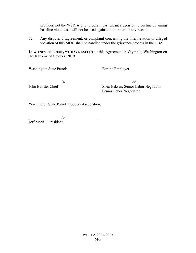provider, not the WSP. A pilot program participant's decision to decline obtaining baseline blood tests will not be used against him or her for any reason.

12. Any dispute, disagreement, or complaint concerning the interpretation or alleged violation of this MOU shall be handled under the grievance process in the CBA.

**IN WITNESS THEREOF, WE HAVE EXECUTED** this Agreement in Olympia, Washington on the 10th day of October, 2019.

Washington State Patrol: For the Employer:

 $\sqrt{s}$ / $\sqrt{s}$ / $\sqrt{s}$ / $\sqrt{s}$ / $\sqrt{s}$ / $\sqrt{s}$ / $\sqrt{s}$ / $\sqrt{s}$ / $\sqrt{s}$ / $\sqrt{s}$ / $\sqrt{s}$ / $\sqrt{s}$ / $\sqrt{s}$ / $\sqrt{s}$ / $\sqrt{s}$ / $\sqrt{s}$ / $\sqrt{s}$ / $\sqrt{s}$ / $\sqrt{s}$ / $\sqrt{s}$ / $\sqrt{s}$ / $\sqrt{s}$ / $\sqrt{s}$ / $\sqrt{s}$ / $\sqrt{s}$ / $\sqrt{s}$ / $\sqrt{s}$ / $\sqrt{s}$ / $\sqrt{s}$ / $\sqrt{s}$ / $\sqrt{s}$ / $\sqrt{s$ John Batiste, Chief Shea Isaksen, Senior Labor Negotiator Senior Labor Negotiator

Washington State Patrol Troopers Association:

 $\sqrt{s/}$ 

Jeff Merrill, President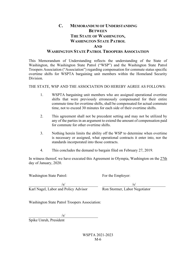## **C. MEMORANDUM OF UNDERSTANDING BETWEEN THE STATE OF WASHINGTON, WASHINGTON STATE PATROL AND WASHINGTON STATE PATROL TROOPERS ASSOCIATION**

This Memorandum of Understanding reflects the understanding of the State of Washington, the Washington State Patrol ("WSP") and the Washington State Patrol Troopers Association ("Association") regarding compensation for commute status specific overtime shifts for WSPTA bargaining unit members within the Homeland Security Division.

THE STATE, WSP AND THE ASSOCIATION DO HEREBY AGREE AS FOLLOWS:

- 1. WSPTA bargaining unit members who are assigned operational overtime shifts that were previously erroneously compensated for their entire commute time for overtime shifts, shall be compensated for actual commute time, not to exceed 30 minutes for each side of their overtime shifts.
- 2. This agreement shall not be precedent setting and may not be utilized by any of the parties in an argument to extend the amount of compensation paid for commute for other overtime shifts.
- 3. Nothing herein limits the ability off the WSP to determine when overtime is necessary or assigned, what operational contracts it enter into, nor the standards incorporated into those contracts.
- 4. This concludes the demand to bargain filed on February 27, 2019.

In witness thereof, we have executed this Agreement in Olympia, Washington on the 27th day of January, 2020.

Washington State Patrol: For the Employer:

Karl Nagel, Labor and Policy Advisor Ron Stormer, Labor Negotiator

 $\sqrt{s}$ / $\sqrt{s}$ / $\sqrt{s}$ / $\sqrt{s}$ / $\sqrt{s}$ / $\sqrt{s}$ / $\sqrt{s}$ / $\sqrt{s}$ / $\sqrt{s}$ / $\sqrt{s}$ / $\sqrt{s}$ / $\sqrt{s}$ / $\sqrt{s}$ / $\sqrt{s}$ / $\sqrt{s}$ / $\sqrt{s}$ / $\sqrt{s}$ / $\sqrt{s}$ / $\sqrt{s}$ / $\sqrt{s}$ / $\sqrt{s}$ / $\sqrt{s}$ / $\sqrt{s}$ / $\sqrt{s}$ / $\sqrt{s}$ / $\sqrt{s}$ / $\sqrt{s}$ / $\sqrt{s}$ / $\sqrt{s}$ / $\sqrt{s}$ / $\sqrt{s}$ / $\sqrt{s$ 

Washington State Patrol Troopers Association:

 $\sqrt{s/}$ 

Spike Unruh, President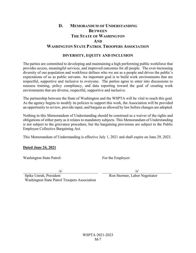# **D. MEMORANDUM OF UNDERSTANDING BETWEEN THE STATE OF WASHINGTON AND WASHINGTON STATE PATROL TROOPERS ASSOCIATION**

## **DIVERSITY, EQUITY AND INCLUSION**

The parties are committed to developing and maintaining a high performing public workforce that provides access, meaningful services, and improved outcomes for all people. The ever-increasing diversity of our population and workforce defines who we are as a people and drives the public's expectations of us as public servants. An important goal is to build work environments that are respectful, supportive and inclusive to everyone. The parties agree to enter into discussions to reassess training, policy compliancy, and data reporting toward the goal of creating work environments that are diverse, respectful, supportive and inclusive.

The partnership between the State of Washington and the WSPTA will be vital to reach this goal. As the agency begins to modify its policies to support this work, the Association will be provided an opportunity to review, provide input, and bargain as allowed by law before changes are adopted.

Nothing in this Memorandum of Understanding should be construed as a waiver of the rights and obligations of either party as it relates to mandatory subjects. This Memorandum of Understanding is not subject to the grievance procedure, but the bargaining provisions are subject to the Public Employee Collective Bargaining Act.

This Memorandum of Understanding is effective July 1, 2021 and shall expire on June 29, 2023.

### **Dated June 24, 2021**

Washington State Patrol: For the Employer:

 $\sqrt{s}$ / $\sqrt{s}$ / $\sqrt{s}$ / $\sqrt{s}$ / $\sqrt{s}$ / $\sqrt{s}$ / $\sqrt{s}$ / $\sqrt{s}$ / $\sqrt{s}$ / $\sqrt{s}$ / $\sqrt{s}$ / $\sqrt{s}$ / $\sqrt{s}$ / $\sqrt{s}$ / $\sqrt{s}$ / $\sqrt{s}$ / $\sqrt{s}$ / $\sqrt{s}$ / $\sqrt{s}$ / $\sqrt{s}$ / $\sqrt{s}$ / $\sqrt{s}$ / $\sqrt{s}$ / $\sqrt{s}$ / $\sqrt{s}$ / $\sqrt{s}$ / $\sqrt{s}$ / $\sqrt{s}$ / $\sqrt{s}$ / $\sqrt{s}$ / $\sqrt{s}$ / $\sqrt{s$ 

Ron Stormer, Labor Negotiator

Spike Unruh, President Washington State Patrol Troopers Association